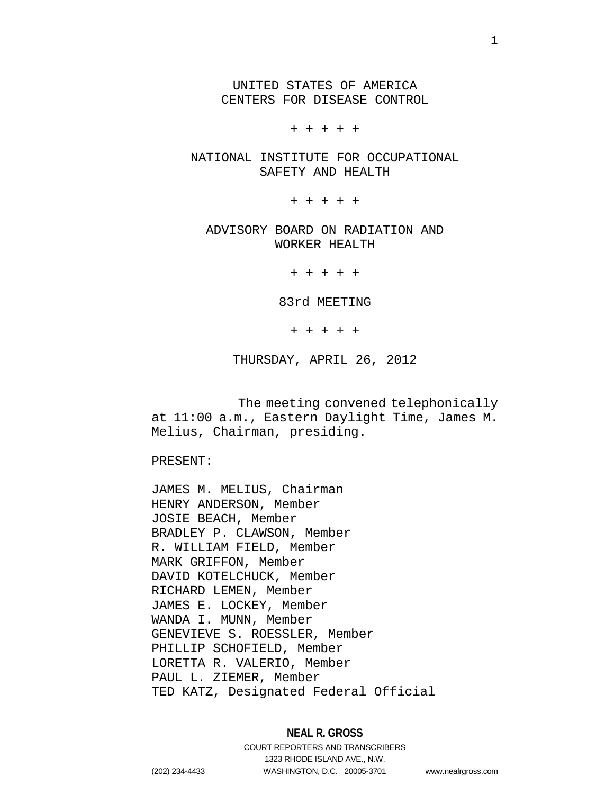UNITED STATES OF AMERICA CENTERS FOR DISEASE CONTROL

+ + + + +

NATIONAL INSTITUTE FOR OCCUPATIONAL SAFETY AND HEALTH

+ + + + +

ADVISORY BOARD ON RADIATION AND WORKER HEALTH

+ + + + +

83rd MEETING

+ + + + +

THURSDAY, APRIL 26, 2012

 The meeting convened telephonically at 11:00 a.m., Eastern Daylight Time, James M. Melius, Chairman, presiding.

PRESENT:

JAMES M. MELIUS, Chairman HENRY ANDERSON, Member JOSIE BEACH, Member BRADLEY P. CLAWSON, Member R. WILLIAM FIELD, Member MARK GRIFFON, Member DAVID KOTELCHUCK, Member RICHARD LEMEN, Member JAMES E. LOCKEY, Member WANDA I. MUNN, Member GENEVIEVE S. ROESSLER, Member PHILLIP SCHOFIELD, Member LORETTA R. VALERIO, Member PAUL L. ZIEMER, Member TED KATZ, Designated Federal Official

## **NEAL R. GROSS**

COURT REPORTERS AND TRANSCRIBERS 1323 RHODE ISLAND AVE., N.W. (202) 234-4433 WASHINGTON, D.C. 20005-3701 www.nealrgross.com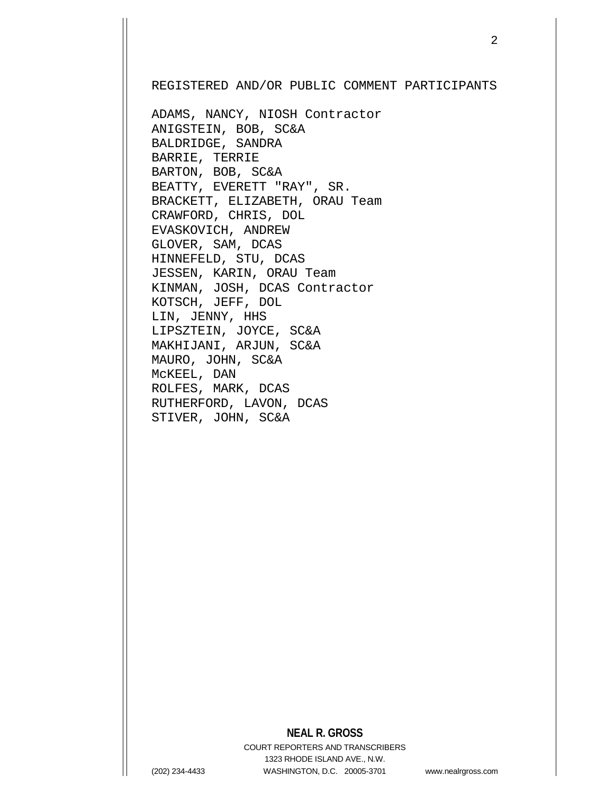REGISTERED AND/OR PUBLIC COMMENT PARTICIPANTS

ADAMS, NANCY, NIOSH Contractor ANIGSTEIN, BOB, SC&A BALDRIDGE, SANDRA BARRIE, TERRIE BARTON, BOB, SC&A BEATTY, EVERETT "RAY", SR. BRACKETT, ELIZABETH, ORAU Team CRAWFORD, CHRIS, DOL EVASKOVICH, ANDREW GLOVER, SAM, DCAS HINNEFELD, STU, DCAS JESSEN, KARIN, ORAU Team KINMAN, JOSH, DCAS Contractor KOTSCH, JEFF, DOL LIN, JENNY, HHS LIPSZTEIN, JOYCE, SC&A MAKHIJANI, ARJUN, SC&A MAURO, JOHN, SC&A McKEEL, DAN ROLFES, MARK, DCAS RUTHERFORD, LAVON, DCAS STIVER, JOHN, SC&A

## **NEAL R. GROSS**

COURT REPORTERS AND TRANSCRIBERS 1323 RHODE ISLAND AVE., N.W. (202) 234-4433 WASHINGTON, D.C. 20005-3701 www.nealrgross.com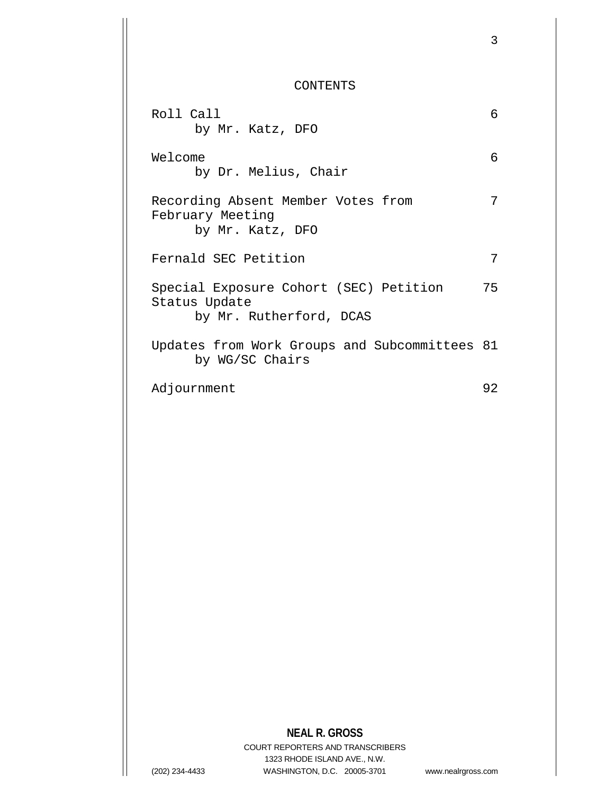CONTENTS

3

| Roll Call<br>by Mr. Katz, DFO                                                      | 6  |
|------------------------------------------------------------------------------------|----|
| Welcome<br>by Dr. Melius, Chair                                                    | 6  |
| Recording Absent Member Votes from<br>February Meeting<br>by Mr. Katz, DFO         | 7  |
| Fernald SEC Petition                                                               | 7  |
| Special Exposure Cohort (SEC) Petition<br>Status Update<br>by Mr. Rutherford, DCAS | 75 |
| Updates from Work Groups and Subcommittees 81<br>by WG/SC Chairs                   |    |
| Adjournment                                                                        | 92 |
|                                                                                    |    |

**NEAL R. GROSS**

COURT REPORTERS AND TRANSCRIBERS 1323 RHODE ISLAND AVE., N.W. (202) 234-4433 WASHINGTON, D.C. 20005-3701 www.nealrgross.com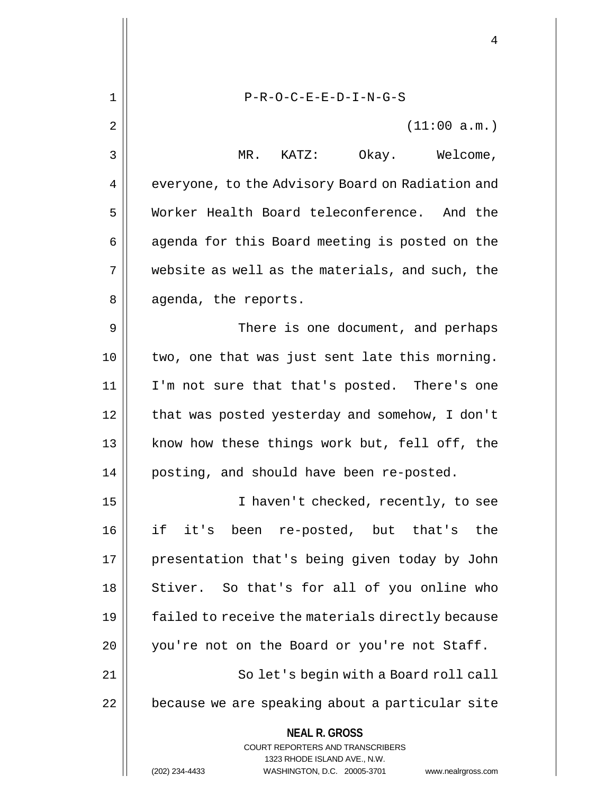**NEAL R. GROSS** COURT REPORTERS AND TRANSCRIBERS 1323 RHODE ISLAND AVE., N.W. 1 P-R-O-C-E-E-D-I-N-G-S  $2 \parallel$  (11:00 a.m.) 3 MR. KATZ: Okay. Welcome, 4 | everyone, to the Advisory Board on Radiation and 5 Worker Health Board teleconference. And the 6 || agenda for this Board meeting is posted on the  $7 \parallel$  website as well as the materials, and such, the 8 || agenda, the reports. 9 || There is one document, and perhaps 10 two, one that was just sent late this morning. 11 I'm not sure that that's posted. There's one 12 || that was posted yesterday and somehow, I don't 13 || know how these things work but, fell off, the 14 | posting, and should have been re-posted. 15 I haven't checked, recently, to see 16 if it's been re-posted, but that's the 17 || presentation that's being given today by John 18 || Stiver. So that's for all of you online who 19 | failed to receive the materials directly because 20 || you're not on the Board or you're not Staff. 21 || So let's begin with a Board roll call 22 | because we are speaking about a particular site

(202) 234-4433 WASHINGTON, D.C. 20005-3701 www.nealrgross.com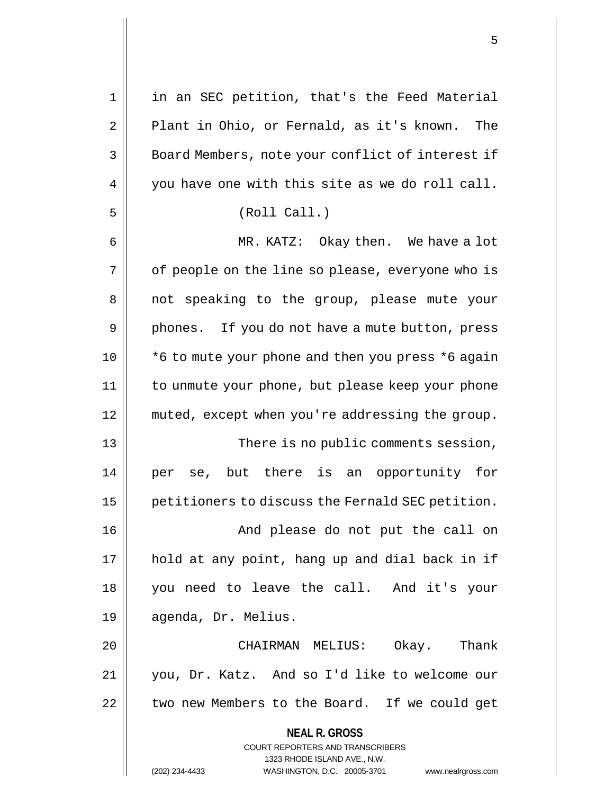| $\mathbf 1$ | in an SEC petition, that's the Feed Material                        |
|-------------|---------------------------------------------------------------------|
| 2           | Plant in Ohio, or Fernald, as it's known. The                       |
| 3           | Board Members, note your conflict of interest if                    |
| 4           | you have one with this site as we do roll call.                     |
| 5           | (Roll Call.)                                                        |
| 6           | MR. KATZ: Okay then. We have a lot                                  |
| 7           | of people on the line so please, everyone who is                    |
| 8           | not speaking to the group, please mute your                         |
| 9           | phones. If you do not have a mute button, press                     |
| 10          | *6 to mute your phone and then you press *6 again                   |
| 11          | to unmute your phone, but please keep your phone                    |
| 12          | muted, except when you're addressing the group.                     |
| 13          | There is no public comments session,                                |
| 14          | se, but there is an opportunity for<br>per                          |
| 15          | petitioners to discuss the Fernald SEC petition.                    |
| 16          | And please do not put the call on                                   |
| 17          | hold at any point, hang up and dial back in if                      |
| 18          | you need to leave the call. And it's your                           |
| 19          | agenda, Dr. Melius.                                                 |
| 20          | CHAIRMAN MELIUS:<br>Okay. Thank                                     |
| 21          | you, Dr. Katz. And so I'd like to welcome our                       |
| 22          | two new Members to the Board. If we could get                       |
|             | <b>NEAL R. GROSS</b>                                                |
|             | <b>COURT REPORTERS AND TRANSCRIBERS</b>                             |
|             | 1323 RHODE ISLAND AVE., N.W.                                        |
|             | (202) 234-4433<br>WASHINGTON, D.C. 20005-3701<br>www.nealrgross.com |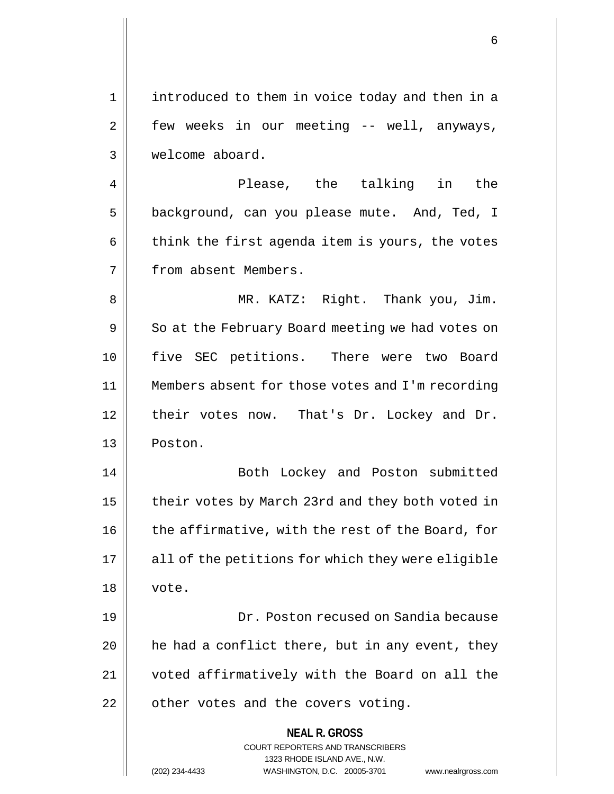1 introduced to them in voice today and then in a  $2 \parallel$  few weeks in our meeting -- well, anyways, 3 welcome aboard.

4 Please, the talking in the 5 | background, can you please mute. And, Ted, I  $6 \parallel$  think the first agenda item is yours, the votes 7 | from absent Members.

8 MR. KATZ: Right. Thank you, Jim.  $9 \parallel$  So at the February Board meeting we had votes on 10 five SEC petitions. There were two Board 11 Members absent for those votes and I'm recording 12 || their votes now. That's Dr. Lockey and Dr. 13 Poston.

14 || Both Lockey and Poston submitted 15 | their votes by March 23rd and they both voted in 16 | the affirmative, with the rest of the Board, for  $17$  || all of the petitions for which they were eligible 18 vote.

19 Dr. Poston recused on Sandia because  $20$  | he had a conflict there, but in any event, they 21 voted affirmatively with the Board on all the  $22$  | other votes and the covers voting.

> **NEAL R. GROSS** COURT REPORTERS AND TRANSCRIBERS 1323 RHODE ISLAND AVE., N.W. (202) 234-4433 WASHINGTON, D.C. 20005-3701 www.nealrgross.com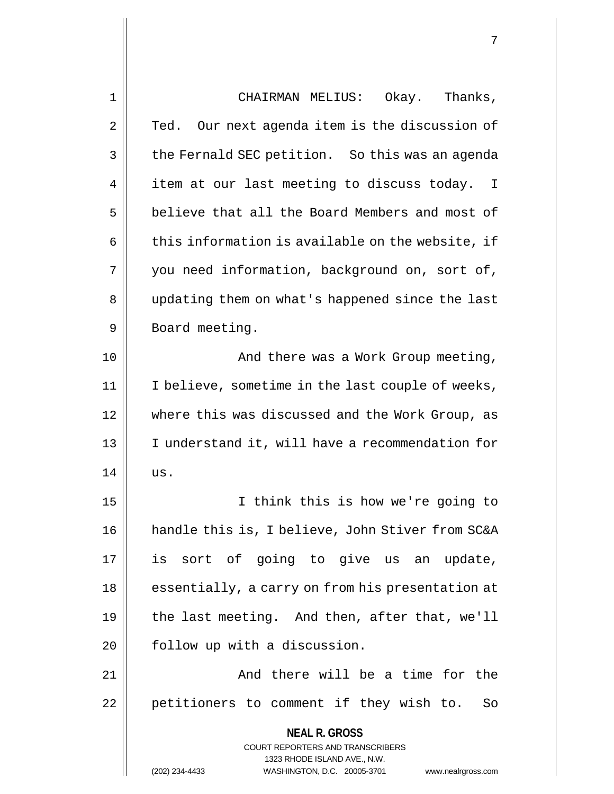| CHAIRMAN MELIUS: Okay. Thanks,                                                                                                                                         |
|------------------------------------------------------------------------------------------------------------------------------------------------------------------------|
| Our next agenda item is the discussion of<br>Ted.                                                                                                                      |
| the Fernald SEC petition. So this was an agenda                                                                                                                        |
| item at our last meeting to discuss today.<br>$\mathbf{I}$                                                                                                             |
| believe that all the Board Members and most of                                                                                                                         |
| this information is available on the website, if                                                                                                                       |
| you need information, background on, sort of,                                                                                                                          |
| updating them on what's happened since the last                                                                                                                        |
| Board meeting.                                                                                                                                                         |
| And there was a Work Group meeting,                                                                                                                                    |
| I believe, sometime in the last couple of weeks,                                                                                                                       |
| where this was discussed and the Work Group, as                                                                                                                        |
| I understand it, will have a recommendation for                                                                                                                        |
| us.                                                                                                                                                                    |
| I think this is how we're going to                                                                                                                                     |
| handle this is, I believe, John Stiver from SC&A                                                                                                                       |
| is sort of going to give us an update,                                                                                                                                 |
| essentially, a carry on from his presentation at                                                                                                                       |
| the last meeting. And then, after that, we'll                                                                                                                          |
| follow up with a discussion.                                                                                                                                           |
| And there will be a time for the                                                                                                                                       |
| petitioners to comment if they wish to.<br>So                                                                                                                          |
| <b>NEAL R. GROSS</b><br><b>COURT REPORTERS AND TRANSCRIBERS</b><br>1323 RHODE ISLAND AVE., N.W.<br>(202) 234-4433<br>WASHINGTON, D.C. 20005-3701<br>www.nealrgross.com |
|                                                                                                                                                                        |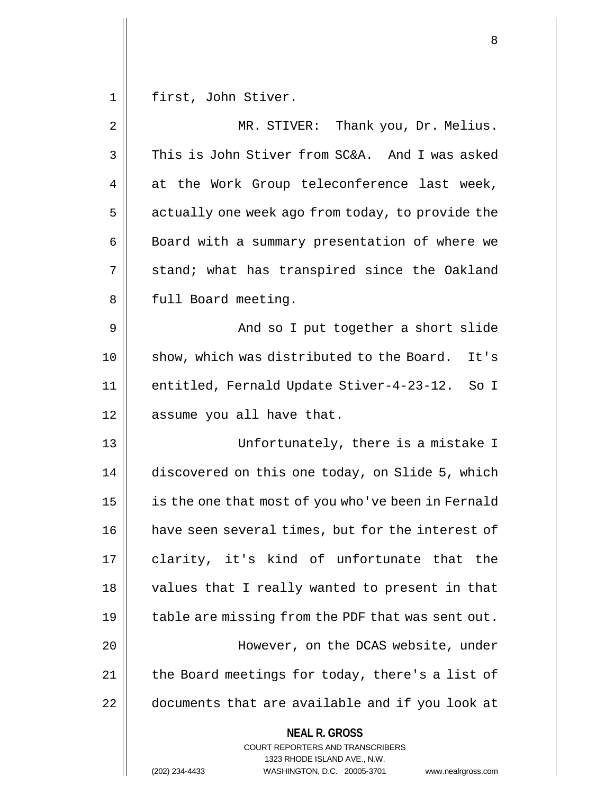1 | first, John Stiver.

| 2  | MR. STIVER: Thank you, Dr. Melius.                                                                                                                                     |
|----|------------------------------------------------------------------------------------------------------------------------------------------------------------------------|
| 3  | This is John Stiver from SC&A. And I was asked                                                                                                                         |
| 4  | at the Work Group teleconference last week,                                                                                                                            |
| 5  | actually one week ago from today, to provide the                                                                                                                       |
| 6  | Board with a summary presentation of where we                                                                                                                          |
| 7  | stand; what has transpired since the Oakland                                                                                                                           |
| 8  | full Board meeting.                                                                                                                                                    |
| 9  | And so I put together a short slide                                                                                                                                    |
| 10 | show, which was distributed to the Board.<br>It's                                                                                                                      |
| 11 | entitled, Fernald Update Stiver-4-23-12.<br>So I                                                                                                                       |
| 12 | assume you all have that.                                                                                                                                              |
| 13 | Unfortunately, there is a mistake I                                                                                                                                    |
| 14 | discovered on this one today, on Slide 5, which                                                                                                                        |
| 15 | is the one that most of you who've been in Fernald                                                                                                                     |
| 16 | have seen several times, but for the interest of                                                                                                                       |
| 17 | clarity, it's kind of unfortunate that the                                                                                                                             |
| 18 | values that I really wanted to present in that                                                                                                                         |
| 19 | table are missing from the PDF that was sent out.                                                                                                                      |
| 20 | However, on the DCAS website, under                                                                                                                                    |
| 21 | the Board meetings for today, there's a list of                                                                                                                        |
| 22 | documents that are available and if you look at                                                                                                                        |
|    | <b>NEAL R. GROSS</b><br><b>COURT REPORTERS AND TRANSCRIBERS</b><br>1323 RHODE ISLAND AVE., N.W.<br>(202) 234-4433<br>WASHINGTON, D.C. 20005-3701<br>www.nealrgross.com |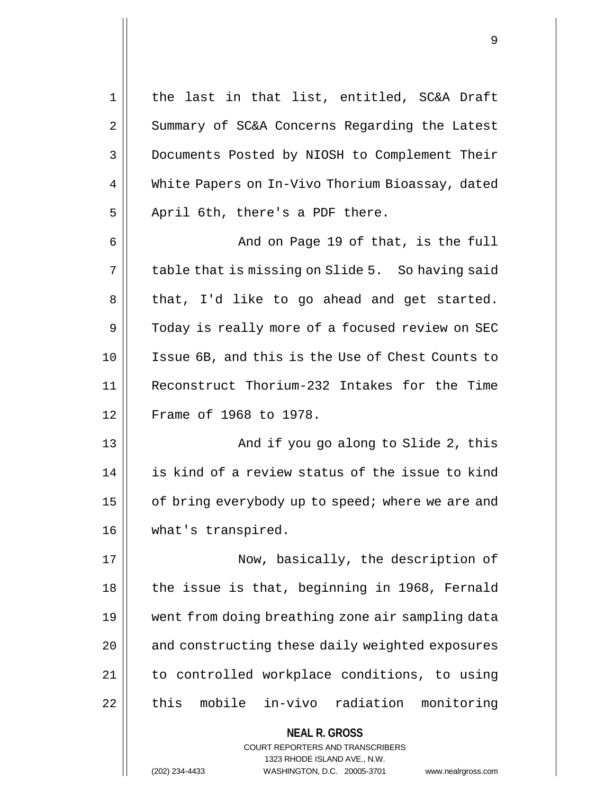**NEAL R. GROSS** COURT REPORTERS AND TRANSCRIBERS 1 || the last in that list, entitled, SC&A Draft 2 | Summary of SC&A Concerns Regarding the Latest 3 Documents Posted by NIOSH to Complement Their 4 White Papers on In-Vivo Thorium Bioassay, dated  $5$  | April 6th, there's a PDF there. 6 And on Page 19 of that, is the full  $7 \parallel$  table that is missing on Slide 5. So having said 8 || that, I'd like to go ahead and get started. 9 | Today is really more of a focused review on SEC 10 Issue 6B, and this is the Use of Chest Counts to 11 Reconstruct Thorium-232 Intakes for the Time 12 Frame of 1968 to 1978. 13 || And if you go along to Slide 2, this 14 || is kind of a review status of the issue to kind 15  $\parallel$  of bring everybody up to speed; where we are and 16 | what's transpired. 17 || Now, basically, the description of  $18$  || the issue is that, beginning in 1968, Fernald 19 went from doing breathing zone air sampling data 20 | and constructing these daily weighted exposures 21 | to controlled workplace conditions, to using 22 || this mobile in-vivo radiation monitoring

1323 RHODE ISLAND AVE., N.W.

(202) 234-4433 WASHINGTON, D.C. 20005-3701 www.nealrgross.com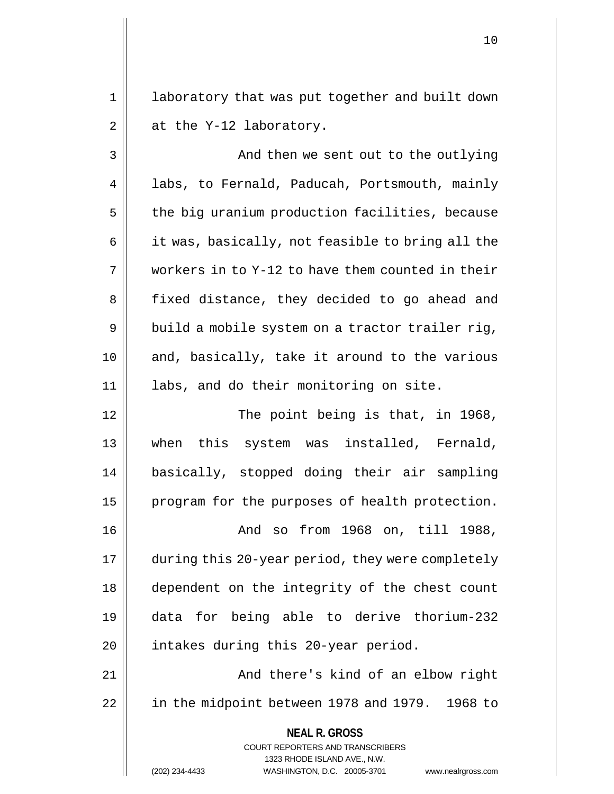1 || laboratory that was put together and built down  $2 \parallel$  at the Y-12 laboratory.

3 And then we sent out to the outlying 4 | labs, to Fernald, Paducah, Portsmouth, mainly  $5$  | the big uranium production facilities, because  $6 \parallel$  it was, basically, not feasible to bring all the  $7 \parallel$  workers in to Y-12 to have them counted in their 8 || fixed distance, they decided to go ahead and  $9 \parallel$  build a mobile system on a tractor trailer rig, 10 || and, basically, take it around to the various 11 labs, and do their monitoring on site.

12 || The point being is that, in 1968, 13 || when this system was installed, Fernald, 14 basically, stopped doing their air sampling 15 | program for the purposes of health protection.

16 And so from 1968 on, till 1988, 17 during this 20-year period, they were completely 18 dependent on the integrity of the chest count 19 data for being able to derive thorium-232 20 | intakes during this 20-year period.

21 And there's kind of an elbow right 22 | in the midpoint between 1978 and 1979. 1968 to

> **NEAL R. GROSS** COURT REPORTERS AND TRANSCRIBERS

> > 1323 RHODE ISLAND AVE., N.W.

(202) 234-4433 WASHINGTON, D.C. 20005-3701 www.nealrgross.com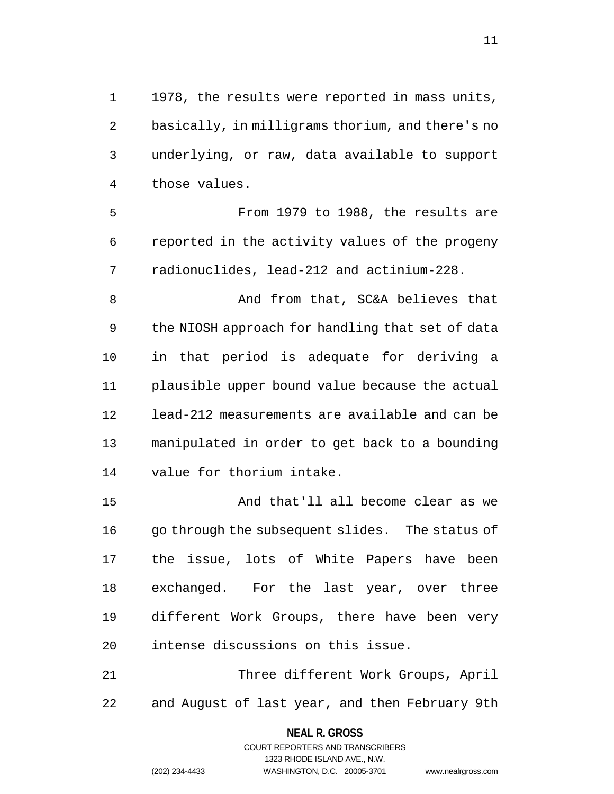**NEAL R. GROSS** COURT REPORTERS AND TRANSCRIBERS 1323 RHODE ISLAND AVE., N.W. 1 || 1978, the results were reported in mass units, 2 | basically, in milligrams thorium, and there's no 3 || underlying, or raw, data available to support 4 | those values. 5 || From 1979 to 1988, the results are 6 | reported in the activity values of the progeny 7 | radionuclides, lead-212 and actinium-228. 8 || And from that, SC&A believes that 9 | the NIOSH approach for handling that set of data 10 in that period is adequate for deriving a 11 plausible upper bound value because the actual 12 lead-212 measurements are available and can be 13 manipulated in order to get back to a bounding 14 || value for thorium intake. 15 || And that'll all become clear as we 16 || go through the subsequent slides. The status of 17 || the issue, lots of White Papers have been 18 || exchanged. For the last year, over three 19 different Work Groups, there have been very 20 | intense discussions on this issue. 21 Three different Work Groups, April  $22$  | and August of last year, and then February 9th

(202) 234-4433 WASHINGTON, D.C. 20005-3701 www.nealrgross.com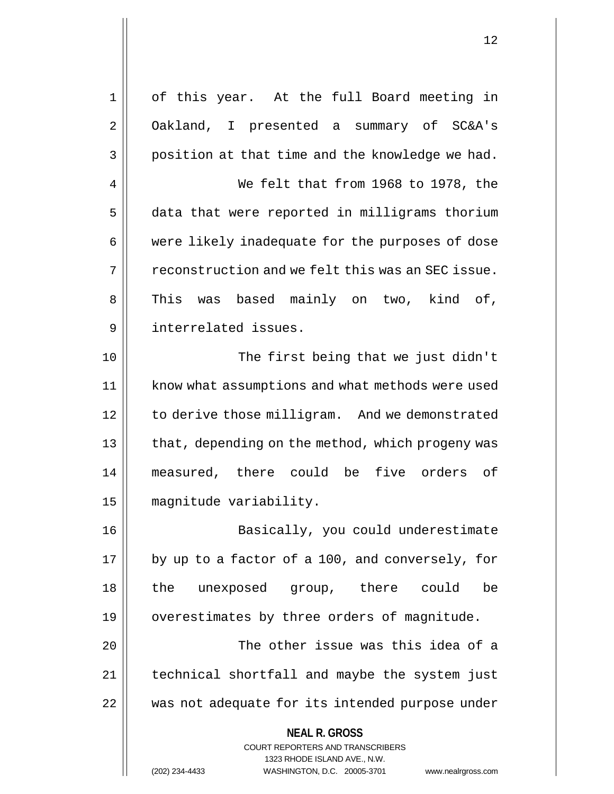**NEAL R. GROSS** COURT REPORTERS AND TRANSCRIBERS 1323 RHODE ISLAND AVE., N.W. 1 of this year. At the full Board meeting in 2 | Oakland, I presented a summary of SC&A's  $3 \parallel$  position at that time and the knowledge we had. 4 We felt that from 1968 to 1978, the 5 data that were reported in milligrams thorium 6 || were likely inadequate for the purposes of dose  $7 \parallel$  reconstruction and we felt this was an SEC issue. 8 || This was based mainly on two, kind of, 9 interrelated issues. 10 || The first being that we just didn't 11 | know what assumptions and what methods were used 12 | to derive those milligram. And we demonstrated 13 || that, depending on the method, which progeny was 14 measured, there could be five orders of 15 magnitude variability. 16 Basically, you could underestimate  $17$  | by up to a factor of a 100, and conversely, for 18 the unexposed group, there could be 19 | overestimates by three orders of magnitude. 20 The other issue was this idea of a 21 | technical shortfall and maybe the system just 22 was not adequate for its intended purpose under

(202) 234-4433 WASHINGTON, D.C. 20005-3701 www.nealrgross.com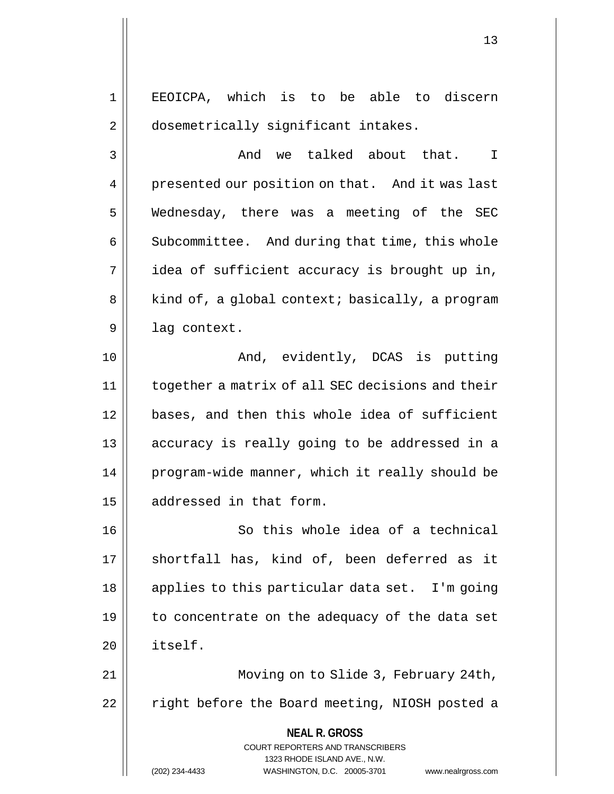1 || EEOICPA, which is to be able to discern 2 | dosemetrically significant intakes.

3 And we talked about that. I 4 | presented our position on that. And it was last 5 Wednesday, there was a meeting of the SEC 6 | Subcommittee. And during that time, this whole  $7 \parallel$  idea of sufficient accuracy is brought up in, 8 | kind of, a global context; basically, a program  $9 \parallel$  lag context.

10 || The Contract And, evidently, DCAS is putting 11 together a matrix of all SEC decisions and their 12 bases, and then this whole idea of sufficient 13 accuracy is really going to be addressed in a 14 | program-wide manner, which it really should be 15 | addressed in that form.

16 || So this whole idea of a technical 17 || shortfall has, kind of, been deferred as it 18 || applies to this particular data set. I'm going 19 || to concentrate on the adequacy of the data set 20 itself.

21 Moving on to Slide 3, February 24th, 22 || right before the Board meeting, NIOSH posted a

> **NEAL R. GROSS** COURT REPORTERS AND TRANSCRIBERS

> > 1323 RHODE ISLAND AVE., N.W.

(202) 234-4433 WASHINGTON, D.C. 20005-3701 www.nealrgross.com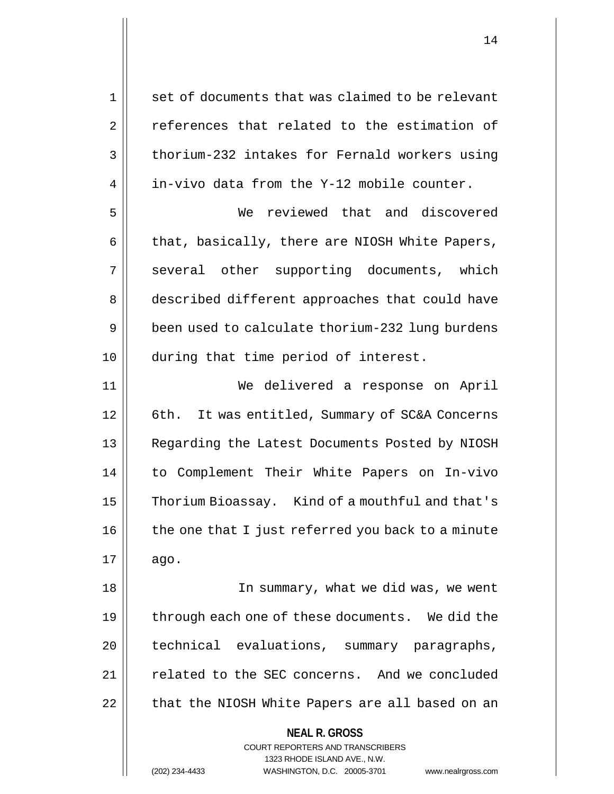**NEAL R. GROSS** COURT REPORTERS AND TRANSCRIBERS 1323 RHODE ISLAND AVE., N.W.  $1 \parallel$  set of documents that was claimed to be relevant 2 || references that related to the estimation of  $3 \parallel$  thorium-232 intakes for Fernald workers using  $4 \parallel$  in-vivo data from the Y-12 mobile counter. 5 We reviewed that and discovered  $6 \parallel$  that, basically, there are NIOSH White Papers, 7 || several other supporting documents, which 8 || described different approaches that could have 9 | been used to calculate thorium-232 lung burdens 10 during that time period of interest. 11 We delivered a response on April 12 | 6th. It was entitled, Summary of SC&A Concerns 13 || Regarding the Latest Documents Posted by NIOSH 14 to Complement Their White Papers on In-vivo 15 | Thorium Bioassay. Kind of a mouthful and that's  $16$  | the one that I just referred you back to a minute  $17 \parallel \quad$  ago. 18 In summary, what we did was, we went 19  $\parallel$  through each one of these documents. We did the 20 || technical evaluations, summary paragraphs, 21 | related to the SEC concerns. And we concluded  $22$  | that the NIOSH White Papers are all based on an

(202) 234-4433 WASHINGTON, D.C. 20005-3701 www.nealrgross.com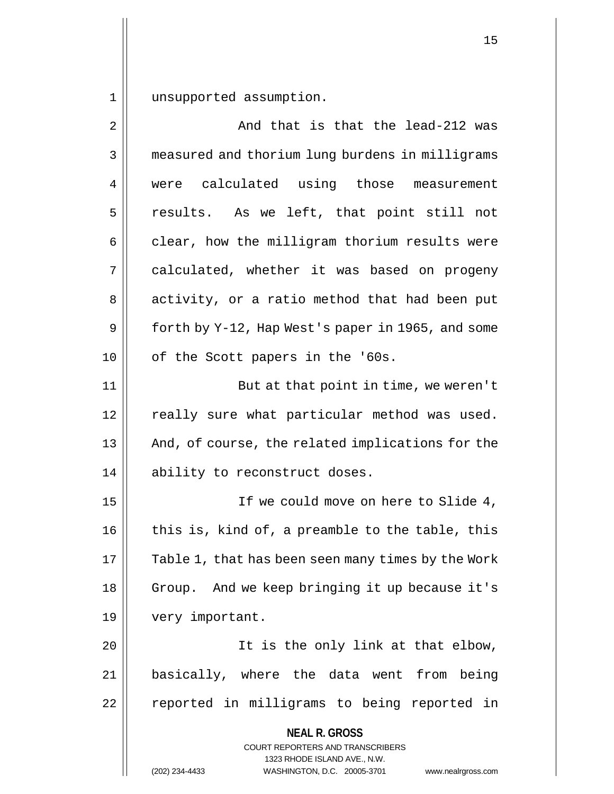1 unsupported assumption.

| 2  | And that is that the lead-212 was                                                                                                                                      |
|----|------------------------------------------------------------------------------------------------------------------------------------------------------------------------|
| 3  | measured and thorium lung burdens in milligrams                                                                                                                        |
| 4  | were calculated using those measurement                                                                                                                                |
| 5  | results. As we left, that point still not                                                                                                                              |
| 6  | clear, how the milligram thorium results were                                                                                                                          |
| 7  | calculated, whether it was based on progeny                                                                                                                            |
| 8  | activity, or a ratio method that had been put                                                                                                                          |
| 9  | forth by Y-12, Hap West's paper in 1965, and some                                                                                                                      |
| 10 | of the Scott papers in the '60s.                                                                                                                                       |
| 11 | But at that point in time, we weren't                                                                                                                                  |
| 12 | really sure what particular method was used.                                                                                                                           |
| 13 | And, of course, the related implications for the                                                                                                                       |
| 14 | ability to reconstruct doses.                                                                                                                                          |
| 15 | If we could move on here to Slide 4,                                                                                                                                   |
| 16 | this is, kind of, a preamble to the table, this                                                                                                                        |
| 17 | Table 1, that has been seen many times by the Work                                                                                                                     |
| 18 | Group. And we keep bringing it up because it's                                                                                                                         |
| 19 | very important.                                                                                                                                                        |
| 20 | It is the only link at that elbow,                                                                                                                                     |
| 21 | basically, where the data went from being                                                                                                                              |
| 22 | reported in milligrams to being reported in                                                                                                                            |
|    | <b>NEAL R. GROSS</b><br><b>COURT REPORTERS AND TRANSCRIBERS</b><br>1323 RHODE ISLAND AVE., N.W.<br>(202) 234-4433<br>WASHINGTON, D.C. 20005-3701<br>www.nealrgross.com |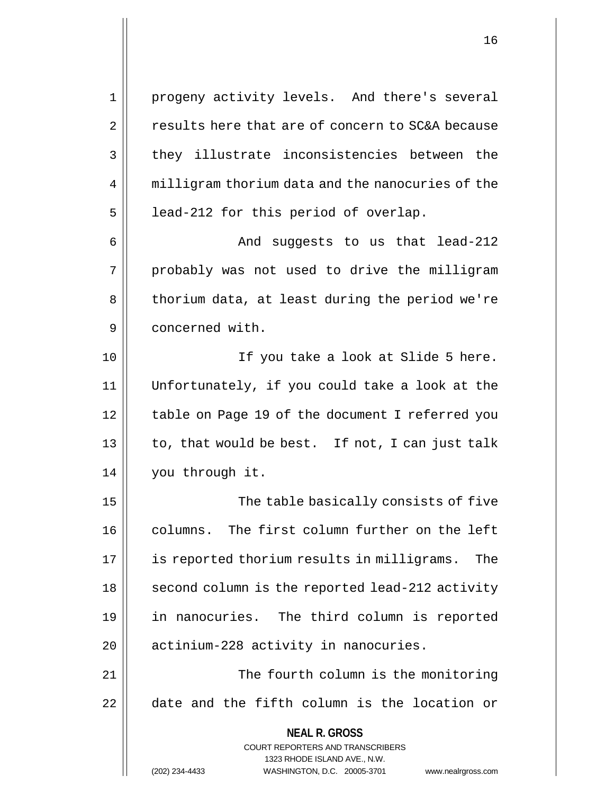**NEAL R. GROSS** COURT REPORTERS AND TRANSCRIBERS 1323 RHODE ISLAND AVE., N.W. 1 progeny activity levels. And there's several 2 | results here that are of concern to SC&A because 3 they illustrate inconsistencies between the 4 | milligram thorium data and the nanocuries of the  $5 \parallel$  lead-212 for this period of overlap. 6 And suggests to us that lead-212  $7 \parallel$  probably was not used to drive the milligram 8 | thorium data, at least during the period we're 9 | concerned with. 10 If you take a look at Slide 5 here. 11 Unfortunately, if you could take a look at the 12 | table on Page 19 of the document I referred you  $13 \parallel$  to, that would be best. If not, I can just talk 14 | you through it. 15 The table basically consists of five 16 columns. The first column further on the left 17 is reported thorium results in milligrams. The 18 || second column is the reported lead-212 activity 19 in nanocuries. The third column is reported 20 | actinium-228 activity in nanocuries. 21 || The fourth column is the monitoring 22 date and the fifth column is the location or

(202) 234-4433 WASHINGTON, D.C. 20005-3701 www.nealrgross.com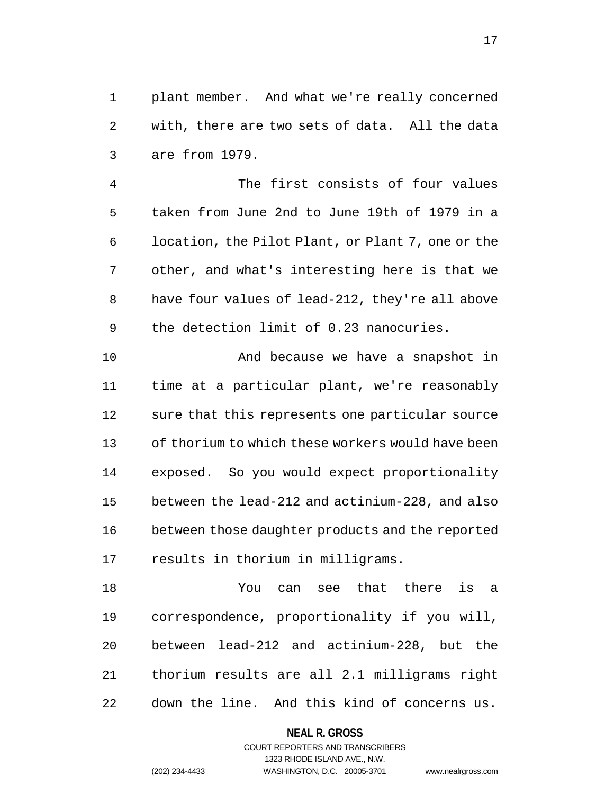1 || plant member. And what we're really concerned  $2 \parallel$  with, there are two sets of data. All the data  $3 \parallel$  are from 1979.

4 The first consists of four values 5 taken from June 2nd to June 19th of 1979 in a  $6 \parallel$  location, the Pilot Plant, or Plant 7, one or the  $7 \parallel$  other, and what's interesting here is that we 8 || have four values of lead-212, they're all above 9  $\parallel$  the detection limit of 0.23 nanocuries.

10 || And because we have a snapshot in 11 time at a particular plant, we're reasonably 12 || sure that this represents one particular source 13 || of thorium to which these workers would have been 14 || exposed. So you would expect proportionality 15 between the lead-212 and actinium-228, and also 16 | between those daughter products and the reported 17 || results in thorium in milligrams.

18 You can see that there is a 19 correspondence, proportionality if you will, 20 between lead-212 and actinium-228, but the 21 | thorium results are all 2.1 milligrams right 22 down the line. And this kind of concerns us.

> COURT REPORTERS AND TRANSCRIBERS 1323 RHODE ISLAND AVE., N.W.

**NEAL R. GROSS**

(202) 234-4433 WASHINGTON, D.C. 20005-3701 www.nealrgross.com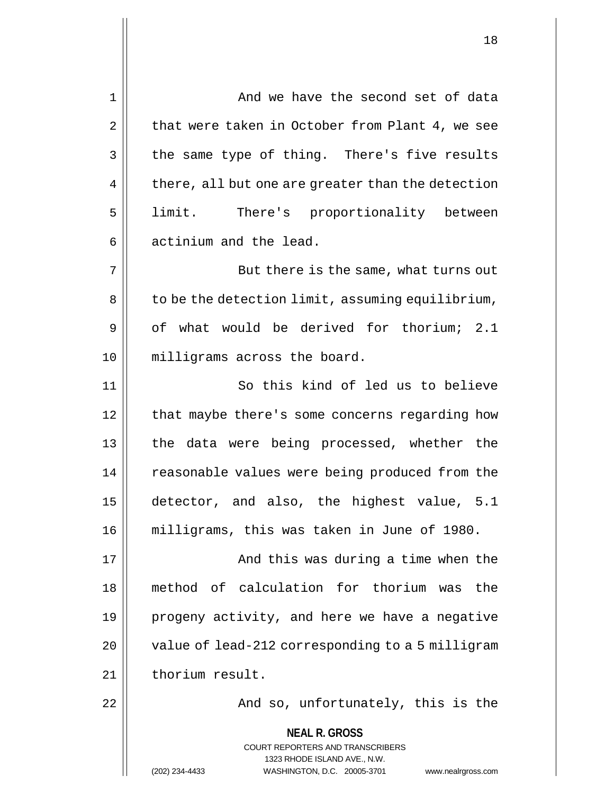| $\mathbf 1$ | And we have the second set of data                                      |
|-------------|-------------------------------------------------------------------------|
| 2           | that were taken in October from Plant 4, we see                         |
| 3           | the same type of thing. There's five results                            |
| 4           | there, all but one are greater than the detection                       |
| 5           | limit. There's proportionality between                                  |
| 6           | actinium and the lead.                                                  |
| 7           | But there is the same, what turns out                                   |
| 8           | to be the detection limit, assuming equilibrium,                        |
| 9           | of what would be derived for thorium; 2.1                               |
| 10          | milligrams across the board.                                            |
| 11          | So this kind of led us to believe                                       |
| 12          | that maybe there's some concerns regarding how                          |
| 13          | the data were being processed, whether the                              |
| 14          | reasonable values were being produced from the                          |
| 15          | detector, and also, the highest value, 5.1                              |
| 16          | milligrams, this was taken in June of 1980.                             |
| 17          | And this was during a time when the                                     |
| 18          | method of calculation for thorium was the                               |
| 19          | progeny activity, and here we have a negative                           |
| 20          | value of lead-212 corresponding to a 5 milligram                        |
| 21          | thorium result.                                                         |
| 22          | And so, unfortunately, this is the                                      |
|             | <b>NEAL R. GROSS</b>                                                    |
|             | <b>COURT REPORTERS AND TRANSCRIBERS</b><br>1323 RHODE ISLAND AVE., N.W. |
|             | (202) 234-4433<br>WASHINGTON, D.C. 20005-3701<br>www.nealrgross.com     |

 $\begin{array}{c} \hline \end{array}$ 

 $\mathsf{l}\mathsf{l}$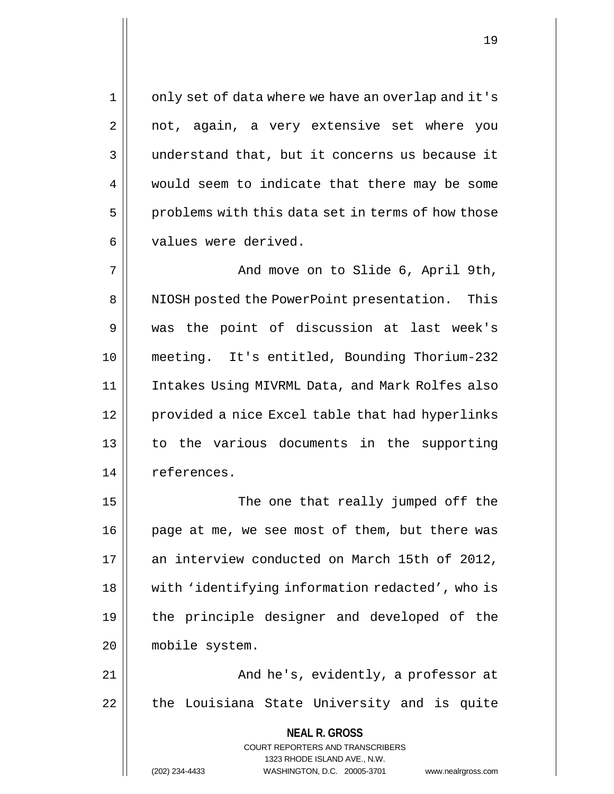1 || only set of data where we have an overlap and it's  $2 \parallel$  not, again, a very extensive set where you  $3 \parallel$  understand that, but it concerns us because it 4 would seem to indicate that there may be some  $5 \parallel$  problems with this data set in terms of how those 6 | values were derived.

7 And move on to Slide 6, April 9th, 8 || NIOSH posted the PowerPoint presentation. This 9 was the point of discussion at last week's 10 meeting. It's entitled, Bounding Thorium-232 11 Intakes Using MIVRML Data, and Mark Rolfes also 12 | provided a nice Excel table that had hyperlinks 13 to the various documents in the supporting 14 | references.

15 || The one that really jumped off the 16 | page at me, we see most of them, but there was 17 an interview conducted on March 15th of 2012, 18 || with 'identifying information redacted', who is 19 the principle designer and developed of the 20 mobile system.

21 And he's, evidently, a professor at 22 || the Louisiana State University and is quite

> **NEAL R. GROSS** COURT REPORTERS AND TRANSCRIBERS 1323 RHODE ISLAND AVE., N.W.

(202) 234-4433 WASHINGTON, D.C. 20005-3701 www.nealrgross.com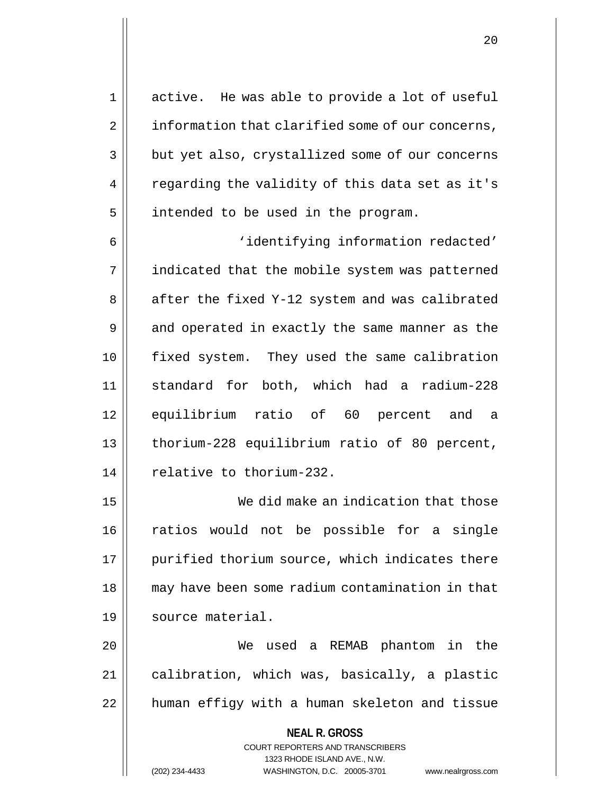1 active. He was able to provide a lot of useful 2 | information that clarified some of our concerns, 3 but yet also, crystallized some of our concerns 4 || regarding the validity of this data set as it's  $5$  intended to be used in the program.

6 || 'identifying information redacted' 7 | indicated that the mobile system was patterned 8 || after the fixed Y-12 system and was calibrated 9 || and operated in exactly the same manner as the 10 fixed system. They used the same calibration 11 standard for both, which had a radium-228 12 equilibrium ratio of 60 percent and a 13 thorium-228 equilibrium ratio of 80 percent, 14 | relative to thorium-232.

15 We did make an indication that those 16 ratios would not be possible for a single 17 || purified thorium source, which indicates there 18 || may have been some radium contamination in that 19 | source material.

20 We used a REMAB phantom in the 21 | calibration, which was, basically, a plastic 22 || human effigy with a human skeleton and tissue

> **NEAL R. GROSS** COURT REPORTERS AND TRANSCRIBERS 1323 RHODE ISLAND AVE., N.W. (202) 234-4433 WASHINGTON, D.C. 20005-3701 www.nealrgross.com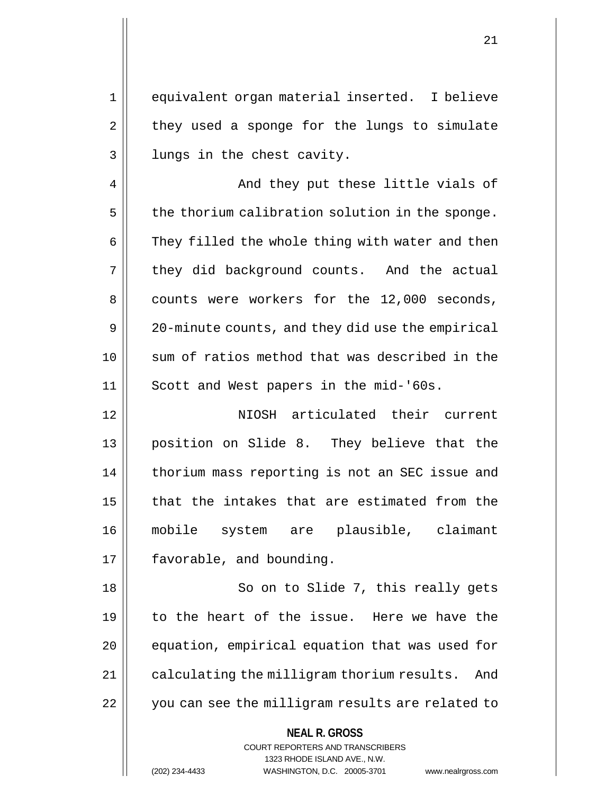1 equivalent organ material inserted. I believe  $2 \parallel$  they used a sponge for the lungs to simulate 3 || lungs in the chest cavity.

4 || And they put these little vials of  $5$  | the thorium calibration solution in the sponge.  $6 \parallel$  They filled the whole thing with water and then  $7 \parallel$  they did background counts. And the actual 8 counts were workers for the 12,000 seconds, 9 | 20-minute counts, and they did use the empirical 10 sum of ratios method that was described in the 11 || Scott and West papers in the mid-'60s.

12 || **NIOSH** articulated their current 13 position on Slide 8. They believe that the 14 | thorium mass reporting is not an SEC issue and 15 || that the intakes that are estimated from the 16 mobile system are plausible, claimant 17 | favorable, and bounding.

18 || So on to Slide 7, this really gets 19 to the heart of the issue. Here we have the 20 || equation, empirical equation that was used for 21 | calculating the milligram thorium results. And 22 || you can see the milligram results are related to

**NEAL R. GROSS**

COURT REPORTERS AND TRANSCRIBERS 1323 RHODE ISLAND AVE., N.W. (202) 234-4433 WASHINGTON, D.C. 20005-3701 www.nealrgross.com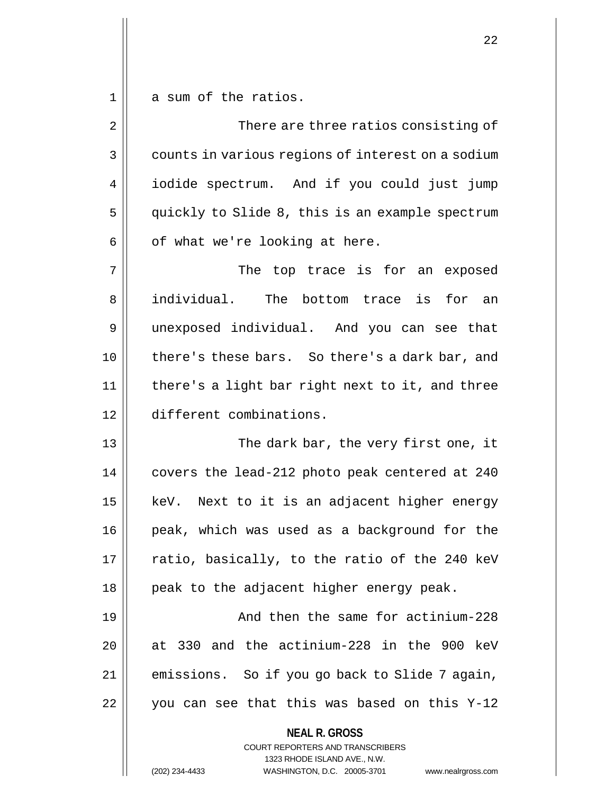$1 \parallel$  a sum of the ratios.

| $\overline{2}$ | There are three ratios consisting of                                                                                                                                   |
|----------------|------------------------------------------------------------------------------------------------------------------------------------------------------------------------|
| 3              | counts in various regions of interest on a sodium                                                                                                                      |
| 4              | iodide spectrum. And if you could just jump                                                                                                                            |
| 5              | quickly to Slide 8, this is an example spectrum                                                                                                                        |
| 6              | of what we're looking at here.                                                                                                                                         |
| 7              | The top trace is for an exposed                                                                                                                                        |
| 8              | individual.<br>The bottom trace is for an                                                                                                                              |
| 9              | unexposed individual. And you can see that                                                                                                                             |
| 10             | there's these bars. So there's a dark bar, and                                                                                                                         |
| 11             | there's a light bar right next to it, and three                                                                                                                        |
| 12             | different combinations.                                                                                                                                                |
| 13             | The dark bar, the very first one, it                                                                                                                                   |
| 14             | covers the lead-212 photo peak centered at 240                                                                                                                         |
| 15             | keV. Next to it is an adjacent higher energy                                                                                                                           |
| 16             | peak, which was used as a background for the                                                                                                                           |
| 17             | ratio, basically, to the ratio of the 240 keV                                                                                                                          |
| 18             | peak to the adjacent higher energy peak.                                                                                                                               |
| 19             | And then the same for actinium-228                                                                                                                                     |
| 20             | at 330 and the actinium-228 in the 900 keV                                                                                                                             |
| 21             | emissions. So if you go back to Slide 7 again,                                                                                                                         |
| 22             | you can see that this was based on this Y-12                                                                                                                           |
|                | <b>NEAL R. GROSS</b><br><b>COURT REPORTERS AND TRANSCRIBERS</b><br>1323 RHODE ISLAND AVE., N.W.<br>(202) 234-4433<br>WASHINGTON, D.C. 20005-3701<br>www.nealrgross.com |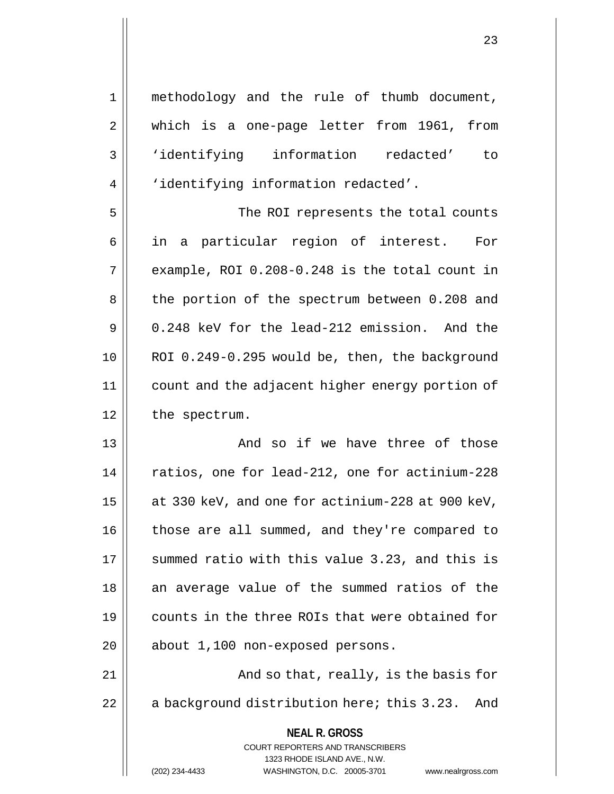| $\mathbf 1$ | methodology and the rule of thumb document,                         |
|-------------|---------------------------------------------------------------------|
| 2           | which is a one-page letter from 1961, from                          |
| 3           | 'identifying information redacted' to                               |
| 4           | 'identifying information redacted'.                                 |
| 5           | The ROI represents the total counts                                 |
| 6           | in a particular region of interest. For                             |
| 7           | example, ROI 0.208-0.248 is the total count in                      |
| 8           | the portion of the spectrum between 0.208 and                       |
| 9           | 0.248 keV for the lead-212 emission. And the                        |
| 10          | ROI 0.249-0.295 would be, then, the background                      |
| 11          | count and the adjacent higher energy portion of                     |
| 12          | the spectrum.                                                       |
| 13          | And so if we have three of those                                    |
| 14          | ratios, one for lead-212, one for actinium-228                      |
| 15          | at 330 keV, and one for actinium-228 at 900 keV,                    |
| 16          | those are all summed, and they're compared to                       |
| 17          | summed ratio with this value 3.23, and this is                      |
| 18          | an average value of the summed ratios of the                        |
| 19          | counts in the three ROIs that were obtained for                     |
| 20          | about 1,100 non-exposed persons.                                    |
| 21          | And so that, really, is the basis for                               |
| 22          | a background distribution here; this 3.23.<br>And                   |
|             | <b>NEAL R. GROSS</b><br><b>COURT REPORTERS AND TRANSCRIBERS</b>     |
|             | 1323 RHODE ISLAND AVE., N.W.                                        |
|             | (202) 234-4433<br>WASHINGTON, D.C. 20005-3701<br>www.nealrgross.com |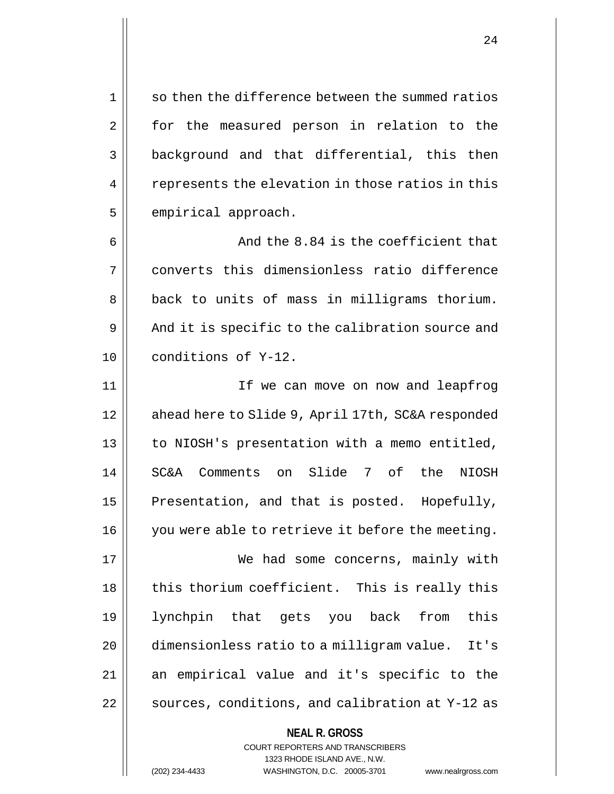$1 \parallel$  so then the difference between the summed ratios 2 || for the measured person in relation to the 3 background and that differential, this then  $4 \parallel$  represents the elevation in those ratios in this  $5$  | empirical approach.

6 And the 8.84 is the coefficient that 7 converts this dimensionless ratio difference 8 || back to units of mass in milligrams thorium.  $9 \parallel$  And it is specific to the calibration source and 10 conditions of Y-12.

11 If we can move on now and leapfrog 12 | ahead here to Slide 9, April 17th, SC&A responded 13 || to NIOSH's presentation with a memo entitled, 14 SC&A Comments on Slide 7 of the NIOSH 15  $\parallel$  Presentation, and that is posted. Hopefully, 16 || you were able to retrieve it before the meeting.

17 || We had some concerns, mainly with  $18$  || this thorium coefficient. This is really this 19 lynchpin that gets you back from this 20 dimensionless ratio to a milligram value. It's 21 || an empirical value and it's specific to the  $22$  | sources, conditions, and calibration at Y-12 as

> **NEAL R. GROSS** COURT REPORTERS AND TRANSCRIBERS 1323 RHODE ISLAND AVE., N.W. (202) 234-4433 WASHINGTON, D.C. 20005-3701 www.nealrgross.com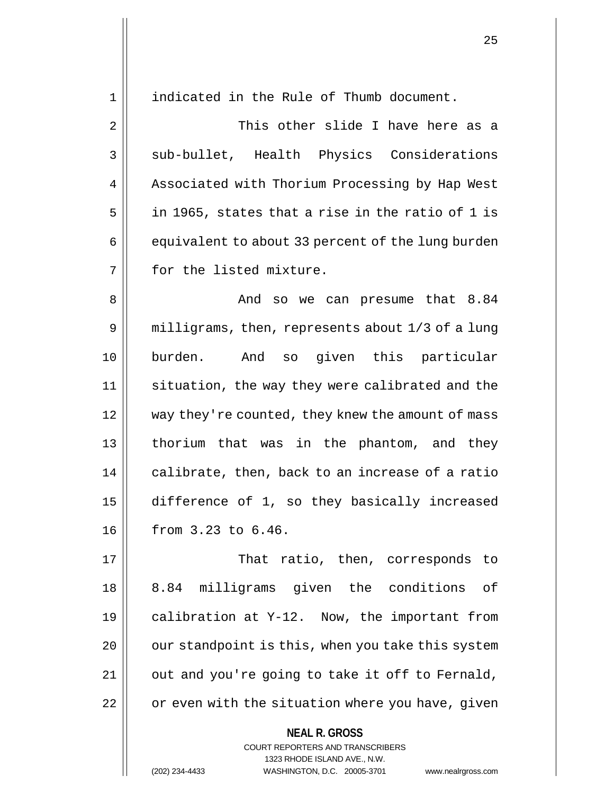1 || indicated in the Rule of Thumb document.

2 This other slide I have here as a 3 || sub-bullet, Health Physics Considerations 4 | Associated with Thorium Processing by Hap West  $5 \parallel$  in 1965, states that a rise in the ratio of 1 is  $6 \parallel$  equivalent to about 33 percent of the lung burden 7 || for the listed mixture.

8 And so we can presume that 8.84 9 | milligrams, then, represents about 1/3 of a lung 10 burden. And so given this particular 11 || situation, the way they were calibrated and the 12 way they're counted, they knew the amount of mass 13 thorium that was in the phantom, and they  $14$  | calibrate, then, back to an increase of a ratio 15 difference of 1, so they basically increased 16 from 3.23 to 6.46.

17 || That ratio, then, corresponds to 18 8.84 milligrams given the conditions of 19 calibration at Y-12. Now, the important from  $20$  |  $\sigma$  our standpoint is this, when you take this system  $21$  | out and you're going to take it off to Fernald,  $22$   $\parallel$  or even with the situation where you have, given

**NEAL R. GROSS**

COURT REPORTERS AND TRANSCRIBERS 1323 RHODE ISLAND AVE., N.W. (202) 234-4433 WASHINGTON, D.C. 20005-3701 www.nealrgross.com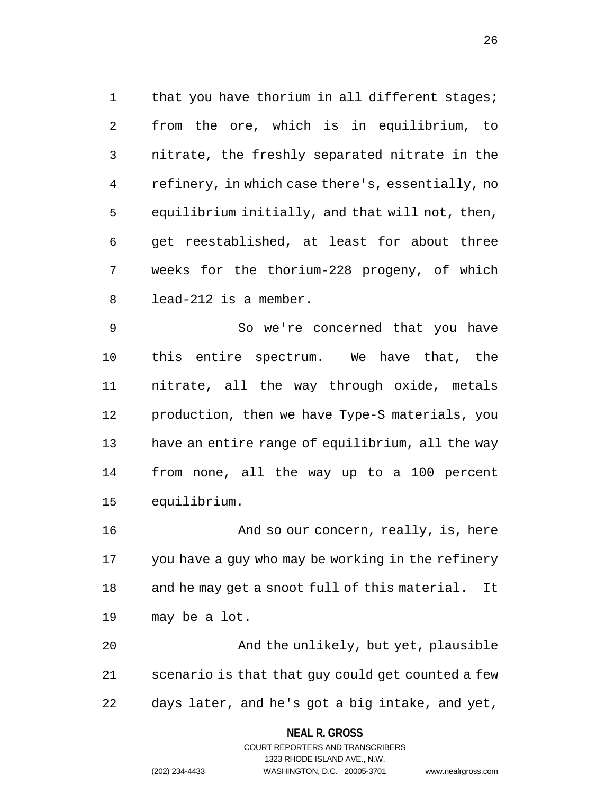**NEAL R. GROSS** COURT REPORTERS AND TRANSCRIBERS 1323 RHODE ISLAND AVE., N.W.  $1 \parallel$  that you have thorium in all different stages; 2 || from the ore, which is in equilibrium, to  $3 \parallel$  nitrate, the freshly separated nitrate in the 4 | refinery, in which case there's, essentially, no  $5 \parallel$  equilibrium initially, and that will not, then,  $6 \parallel$  get reestablished, at least for about three 7 weeks for the thorium-228 progeny, of which  $8 \parallel$  lead-212 is a member. 9 So we're concerned that you have 10 || this entire spectrum. We have that, the 11 nitrate, all the way through oxide, metals 12 production, then we have Type-S materials, you 13 || have an entire range of equilibrium, all the way 14 from none, all the way up to a 100 percent 15 equilibrium. 16 | And so our concern, really, is, here 17 || you have a guy who may be working in the refinery  $18$  || and he may get a snoot full of this material. It  $19 \parallel$  may be a lot. 20 And the unlikely, but yet, plausible 21 || scenario is that that guy could get counted a few  $22$  | days later, and he's got a big intake, and yet,

(202) 234-4433 WASHINGTON, D.C. 20005-3701 www.nealrgross.com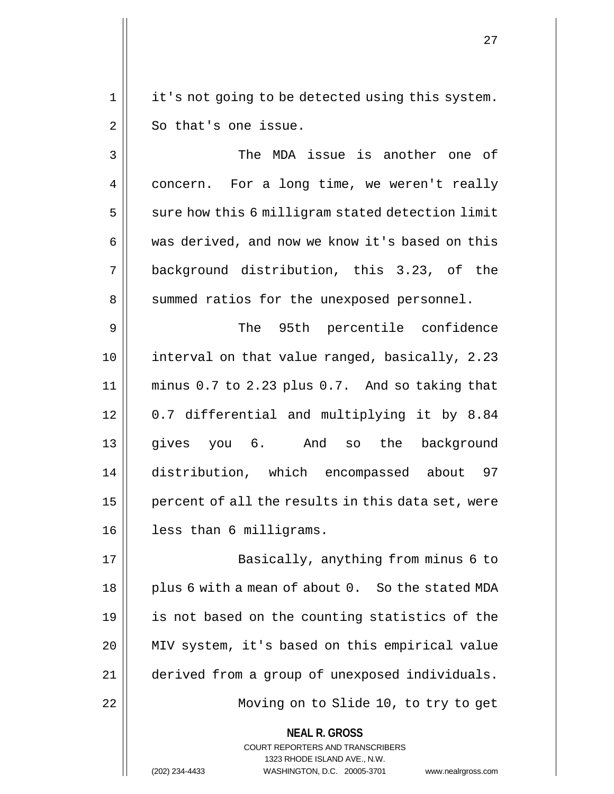1 || it's not going to be detected using this system.  $2 \parallel$  So that's one issue.

3 The MDA issue is another one of 4 | concern. For a long time, we weren't really  $5 \parallel$  sure how this 6 milligram stated detection limit 6 was derived, and now we know it's based on this 7 background distribution, this 3.23, of the 8 || summed ratios for the unexposed personnel. 9 || The 95th percentile confidence

10 interval on that value ranged, basically, 2.23 11 minus 0.7 to 2.23 plus 0.7. And so taking that 12 0.7 differential and multiplying it by 8.84 13 gives you 6. And so the background 14 distribution, which encompassed about 97 15  $\parallel$  percent of all the results in this data set, were 16 less than 6 milligrams.

17 || Basically, anything from minus 6 to  $18$  || plus 6 with a mean of about 0. So the stated MDA 19 || is not based on the counting statistics of the 20 || MIV system, it's based on this empirical value 21 derived from a group of unexposed individuals. 22 Moving on to Slide 10, to try to get

**NEAL R. GROSS**

COURT REPORTERS AND TRANSCRIBERS 1323 RHODE ISLAND AVE., N.W. (202) 234-4433 WASHINGTON, D.C. 20005-3701 www.nealrgross.com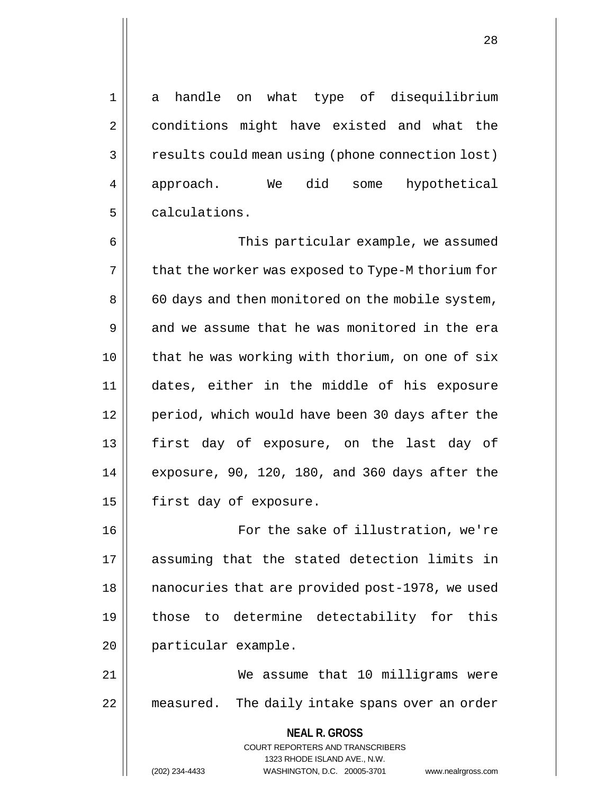1 a handle on what type of disequilibrium 2 | conditions might have existed and what the 3 | results could mean using (phone connection lost) 4 || approach. We did some hypothetical

6 This particular example, we assumed  $7 \parallel$  that the worker was exposed to Type-M thorium for 8 | 60 days and then monitored on the mobile system, 9 and we assume that he was monitored in the era 10 || that he was working with thorium, on one of six 11 dates, either in the middle of his exposure 12 || period, which would have been 30 days after the 13 || first day of exposure, on the last day of 14 exposure, 90, 120, 180, and 360 days after the 15 | first day of exposure.

5 calculations.

16 || For the sake of illustration, we're 17 assuming that the stated detection limits in 18 | nanocuries that are provided post-1978, we used 19 those to determine detectability for this 20 || particular example.

21 We assume that 10 milligrams were 22 || measured. The daily intake spans over an order

> **NEAL R. GROSS** COURT REPORTERS AND TRANSCRIBERS 1323 RHODE ISLAND AVE., N.W. (202) 234-4433 WASHINGTON, D.C. 20005-3701 www.nealrgross.com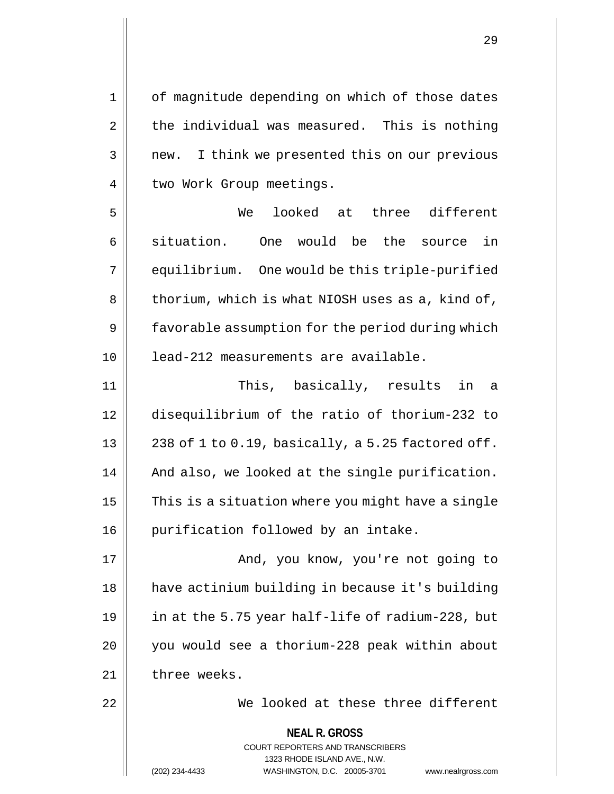**NEAL R. GROSS** COURT REPORTERS AND TRANSCRIBERS 1323 RHODE ISLAND AVE., N.W. 1 || of magnitude depending on which of those dates  $2 \parallel$  the individual was measured. This is nothing  $3 \parallel$  new. I think we presented this on our previous 4 | two Work Group meetings. 5 We looked at three different 6 situation. One would be the source in 7 | equilibrium. One would be this triple-purified  $8 \parallel$  thorium, which is what NIOSH uses as a, kind of, 9 | favorable assumption for the period during which 10 lead-212 measurements are available. 11 This, basically, results in a 12 disequilibrium of the ratio of thorium-232 to 13  $\vert$  238 of 1 to 0.19, basically, a 5.25 factored off. 14 || And also, we looked at the single purification.  $15$   $\parallel$  This is a situation where you might have a single 16 | purification followed by an intake. 17 || And, you know, you're not going to 18 | have actinium building in because it's building 19  $\vert$  in at the 5.75 year half-life of radium-228, but 20 you would see a thorium-228 peak within about 21 | three weeks. 22 We looked at these three different

(202) 234-4433 WASHINGTON, D.C. 20005-3701 www.nealrgross.com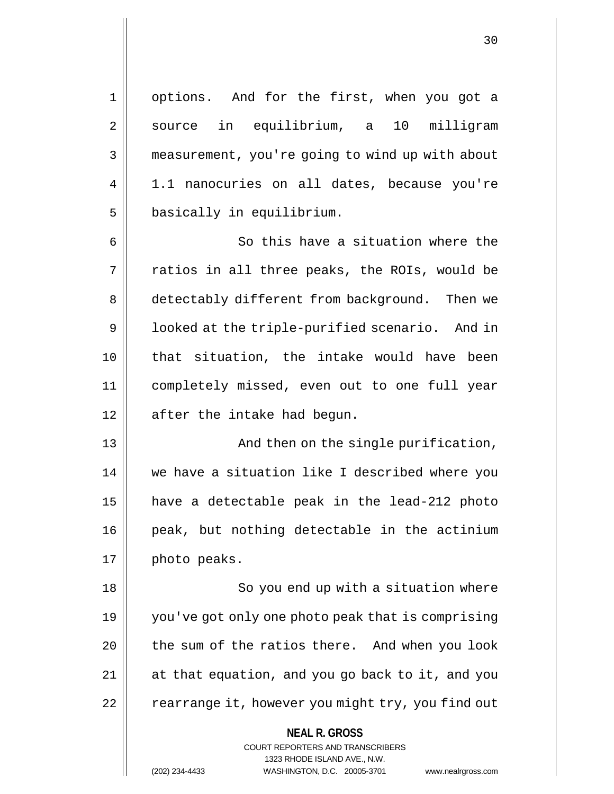1 options. And for the first, when you got a 2 || source in equilibrium, a 10 milligram 3 | measurement, you're going to wind up with about 4 | 1.1 nanocuries on all dates, because you're  $5$  | basically in equilibrium.

6 || So this have a situation where the  $7 \parallel$  ratios in all three peaks, the ROIs, would be 8 detectably different from background. Then we 9 | | looked at the triple-purified scenario. And in 10 that situation, the intake would have been 11 completely missed, even out to one full year  $12 \parallel$  after the intake had begun.

13 || And then on the single purification, 14 we have a situation like I described where you 15 have a detectable peak in the lead-212 photo 16 || peak, but nothing detectable in the actinium  $17 \parallel$  photo peaks.

18 || So you end up with a situation where 19 you've got only one photo peak that is comprising 20 || the sum of the ratios there. And when you look 21 at that equation, and you go back to it, and you  $22$  | rearrange it, however you might try, you find out

> **NEAL R. GROSS** COURT REPORTERS AND TRANSCRIBERS 1323 RHODE ISLAND AVE., N.W. (202) 234-4433 WASHINGTON, D.C. 20005-3701 www.nealrgross.com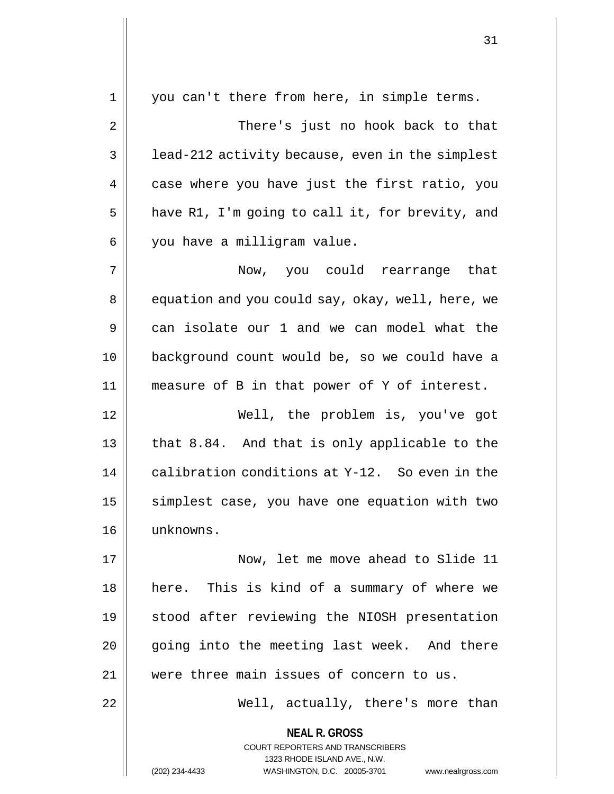| 1  | you can't there from here, in simple terms.                                                                                                                            |
|----|------------------------------------------------------------------------------------------------------------------------------------------------------------------------|
| 2  | There's just no hook back to that                                                                                                                                      |
| 3  | lead-212 activity because, even in the simplest                                                                                                                        |
| 4  | case where you have just the first ratio, you                                                                                                                          |
| 5  | have R1, I'm going to call it, for brevity, and                                                                                                                        |
| 6  | you have a milligram value.                                                                                                                                            |
| 7  | Now, you could rearrange that                                                                                                                                          |
| 8  | equation and you could say, okay, well, here, we                                                                                                                       |
| 9  | can isolate our 1 and we can model what the                                                                                                                            |
| 10 | background count would be, so we could have a                                                                                                                          |
| 11 | measure of B in that power of Y of interest.                                                                                                                           |
| 12 | Well, the problem is, you've got                                                                                                                                       |
| 13 | that 8.84. And that is only applicable to the                                                                                                                          |
| 14 | calibration conditions at Y-12. So even in the                                                                                                                         |
| 15 | simplest case, you have one equation with two                                                                                                                          |
| 16 | unknowns.                                                                                                                                                              |
| 17 | Now, let me move ahead to Slide 11                                                                                                                                     |
| 18 | here. This is kind of a summary of where we                                                                                                                            |
| 19 | stood after reviewing the NIOSH presentation                                                                                                                           |
| 20 | going into the meeting last week. And there                                                                                                                            |
| 21 | were three main issues of concern to us.                                                                                                                               |
| 22 | Well, actually, there's more than                                                                                                                                      |
|    | <b>NEAL R. GROSS</b><br><b>COURT REPORTERS AND TRANSCRIBERS</b><br>1323 RHODE ISLAND AVE., N.W.<br>(202) 234-4433<br>WASHINGTON, D.C. 20005-3701<br>www.nealrgross.com |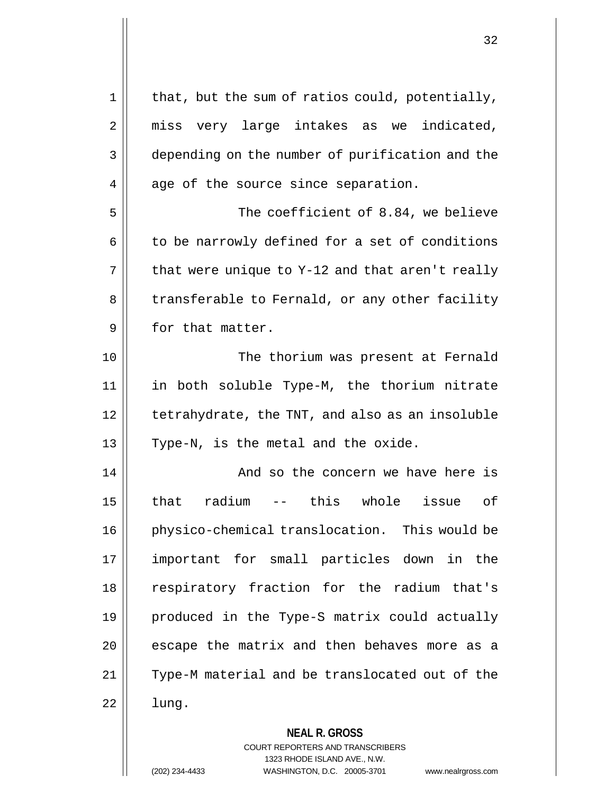| 1  | that, but the sum of ratios could, potentially, |
|----|-------------------------------------------------|
| 2  | miss very large intakes as we indicated,        |
| 3  | depending on the number of purification and the |
| 4  | age of the source since separation.             |
| 5  | The coefficient of 8.84, we believe             |
| 6  | to be narrowly defined for a set of conditions  |
| 7  | that were unique to Y-12 and that aren't really |
| 8  | transferable to Fernald, or any other facility  |
| 9  | for that matter.                                |
| 10 | The thorium was present at Fernald              |
| 11 | in both soluble Type-M, the thorium nitrate     |
| 12 | tetrahydrate, the TNT, and also as an insoluble |
| 13 | Type-N, is the metal and the oxide.             |
| 14 | And so the concern we have here is              |
| 15 | radium<br>this whole<br>оf<br>that<br>issue     |
| 16 | physico-chemical translocation. This would be   |
| 17 | important for small particles down in the       |
| 18 | respiratory fraction for the radium that's      |
| 19 | produced in the Type-S matrix could actually    |
| 20 | escape the matrix and then behaves more as a    |
| 21 | Type-M material and be translocated out of the  |
| 22 | lung.                                           |
|    | <b>NEAL R. GROSS</b>                            |

COURT REPORTERS AND TRANSCRIBERS 1323 RHODE ISLAND AVE., N.W. (202) 234-4433 WASHINGTON, D.C. 20005-3701 www.nealrgross.com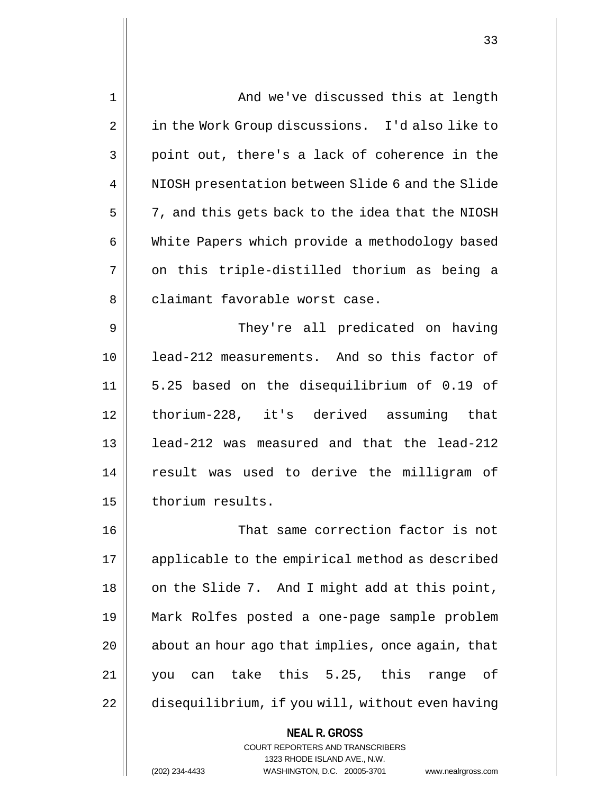| $\mathbf 1$ | And we've discussed this at length                                                                  |
|-------------|-----------------------------------------------------------------------------------------------------|
| 2           | in the Work Group discussions. I'd also like to                                                     |
| 3           | point out, there's a lack of coherence in the                                                       |
| 4           | NIOSH presentation between Slide 6 and the Slide                                                    |
| 5           | 7, and this gets back to the idea that the NIOSH                                                    |
| 6           | White Papers which provide a methodology based                                                      |
| 7           | on this triple-distilled thorium as being a                                                         |
| 8           | claimant favorable worst case.                                                                      |
| 9           | They're all predicated on having                                                                    |
| 10          | lead-212 measurements. And so this factor of                                                        |
| 11          | 5.25 based on the disequilibrium of 0.19 of                                                         |
| 12          | thorium-228, it's derived assuming that                                                             |
| 13          | lead-212 was measured and that the lead-212                                                         |
| 14          | result was used to derive the milligram of                                                          |
| 15          | thorium results.                                                                                    |
| 16          | That same correction factor is not                                                                  |
| 17          | applicable to the empirical method as described                                                     |
| 18          | on the Slide 7. And I might add at this point,                                                      |
| 19          | Mark Rolfes posted a one-page sample problem                                                        |
| 20          | about an hour ago that implies, once again, that                                                    |
| 21          | you can take this 5.25, this range<br>of                                                            |
| 22          | disequilibrium, if you will, without even having                                                    |
|             | <b>NEAL R. GROSS</b><br><b>COURT REPORTERS AND TRANSCRIBERS</b>                                     |
|             | 1323 RHODE ISLAND AVE., N.W.<br>WASHINGTON, D.C. 20005-3701<br>(202) 234-4433<br>www.nealrgross.com |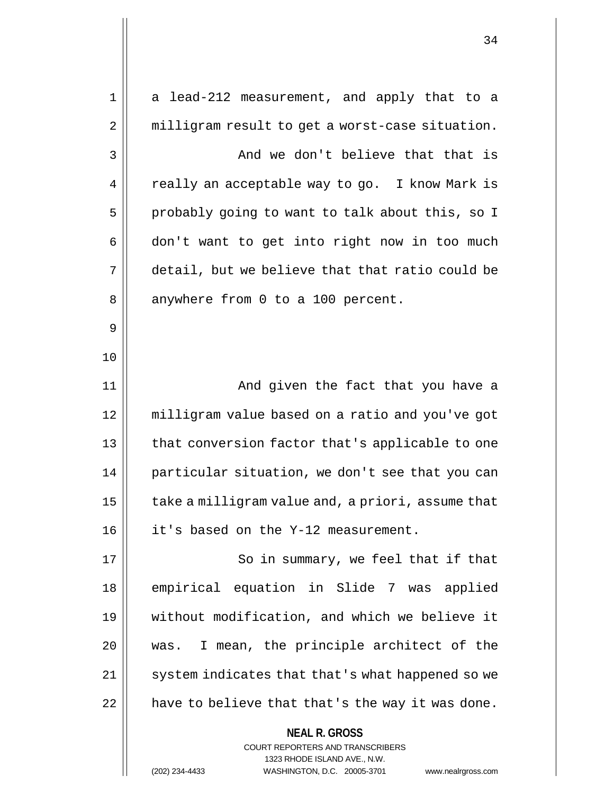| 1  | a lead-212 measurement, and apply that to a                             |
|----|-------------------------------------------------------------------------|
| 2  | milligram result to get a worst-case situation.                         |
| 3  | And we don't believe that that is                                       |
| 4  | really an acceptable way to go. I know Mark is                          |
| 5  | probably going to want to talk about this, so I                         |
| 6  | don't want to get into right now in too much                            |
| 7  | detail, but we believe that that ratio could be                         |
| 8  | anywhere from 0 to a 100 percent.                                       |
| 9  |                                                                         |
| 10 |                                                                         |
| 11 | And given the fact that you have a                                      |
| 12 | milligram value based on a ratio and you've got                         |
| 13 | that conversion factor that's applicable to one                         |
| 14 | particular situation, we don't see that you can                         |
| 15 | take a milligram value and, a priori, assume that                       |
| 16 | it's based on the Y-12 measurement.                                     |
| 17 | So in summary, we feel that if that                                     |
| 18 | empirical equation in Slide 7 was applied                               |
| 19 | without modification, and which we believe it                           |
| 20 | I mean, the principle architect of the<br>was.                          |
| 21 | system indicates that that's what happened so we                        |
| 22 | have to believe that that's the way it was done.                        |
|    | <b>NEAL R. GROSS</b>                                                    |
|    | <b>COURT REPORTERS AND TRANSCRIBERS</b><br>1323 RHODE ISLAND AVE., N.W. |
|    | (202) 234-4433<br>WASHINGTON, D.C. 20005-3701<br>www.nealrgross.com     |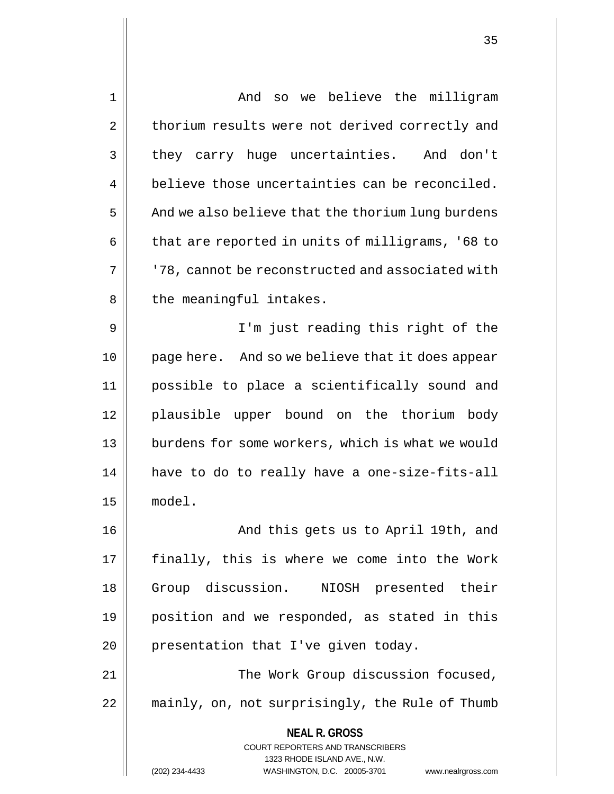| $\mathbf 1$ | And so we believe the milligram                                                                                                                                        |
|-------------|------------------------------------------------------------------------------------------------------------------------------------------------------------------------|
| 2           | thorium results were not derived correctly and                                                                                                                         |
| 3           | they carry huge uncertainties. And don't                                                                                                                               |
| 4           | believe those uncertainties can be reconciled.                                                                                                                         |
| 5           | And we also believe that the thorium lung burdens                                                                                                                      |
| 6           | that are reported in units of milligrams, '68 to                                                                                                                       |
| 7           | '78, cannot be reconstructed and associated with                                                                                                                       |
| 8           | the meaningful intakes.                                                                                                                                                |
| 9           | I'm just reading this right of the                                                                                                                                     |
| 10          | page here. And so we believe that it does appear                                                                                                                       |
| 11          | possible to place a scientifically sound and                                                                                                                           |
| 12          | plausible upper bound on the thorium body                                                                                                                              |
| 13          | burdens for some workers, which is what we would                                                                                                                       |
| 14          | have to do to really have a one-size-fits-all                                                                                                                          |
| 15          | model.                                                                                                                                                                 |
| 16          | And this gets us to April 19th, and                                                                                                                                    |
| 17          | finally, this is where we come into the Work                                                                                                                           |
| 18          | Group discussion. NIOSH presented their                                                                                                                                |
| 19          | position and we responded, as stated in this                                                                                                                           |
| 20          | presentation that I've given today.                                                                                                                                    |
| 21          | The Work Group discussion focused,                                                                                                                                     |
| 22          | mainly, on, not surprisingly, the Rule of Thumb                                                                                                                        |
|             | <b>NEAL R. GROSS</b><br><b>COURT REPORTERS AND TRANSCRIBERS</b><br>1323 RHODE ISLAND AVE., N.W.<br>(202) 234-4433<br>WASHINGTON, D.C. 20005-3701<br>www.nealrgross.com |
|             |                                                                                                                                                                        |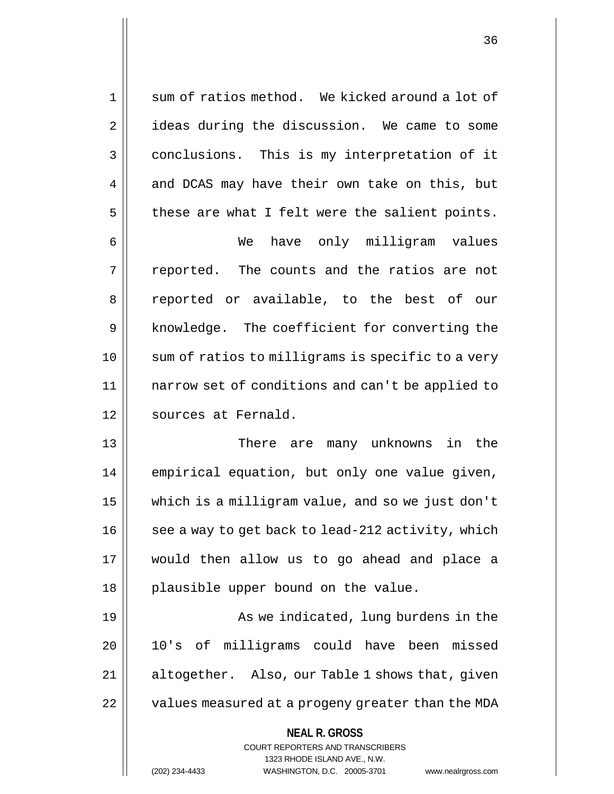1 || sum of ratios method. We kicked around a lot of 2 | ideas during the discussion. We came to some 3 conclusions. This is my interpretation of it  $4 \parallel$  and DCAS may have their own take on this, but  $5$  | these are what I felt were the salient points.

6 We have only milligram values  $7 \parallel$  reported. The counts and the ratios are not 8 || reported or available, to the best of our 9 || knowledge. The coefficient for converting the 10 || sum of ratios to milligrams is specific to a very 11 narrow set of conditions and can't be applied to 12 | sources at Fernald.

13 There are many unknowns in the 14 | empirical equation, but only one value given, 15 which is a milligram value, and so we just don't  $16$  | see a way to get back to lead-212 activity, which 17 would then allow us to go ahead and place a 18 || plausible upper bound on the value.

19 || As we indicated, lung burdens in the 20 10's of milligrams could have been missed 21 | altogether. Also, our Table 1 shows that, given 22 | values measured at a progeny greater than the MDA

## **NEAL R. GROSS**

COURT REPORTERS AND TRANSCRIBERS 1323 RHODE ISLAND AVE., N.W. (202) 234-4433 WASHINGTON, D.C. 20005-3701 www.nealrgross.com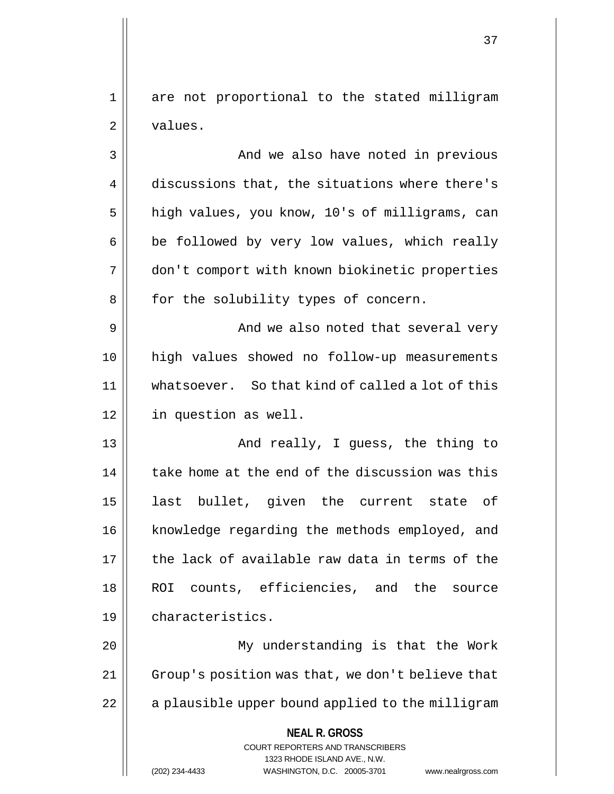1 are not proportional to the stated milligram 2 | values.

3 || And we also have noted in previous 4 discussions that, the situations where there's 5 | high values, you know, 10's of milligrams, can  $6 \parallel$  be followed by very low values, which really 7 don't comport with known biokinetic properties 8 | for the solubility types of concern.

9 || And we also noted that several very 10 high values showed no follow-up measurements 11 whatsoever. So that kind of called a lot of this 12 in question as well.

13 || And really, I guess, the thing to  $14$  | take home at the end of the discussion was this 15 || last bullet, given the current state of 16 | knowledge regarding the methods employed, and 17 the lack of available raw data in terms of the 18 ROI counts, efficiencies, and the source 19 characteristics.

20 My understanding is that the Work 21 | Group's position was that, we don't believe that 22 || a plausible upper bound applied to the milligram

**NEAL R. GROSS**

COURT REPORTERS AND TRANSCRIBERS 1323 RHODE ISLAND AVE., N.W. (202) 234-4433 WASHINGTON, D.C. 20005-3701 www.nealrgross.com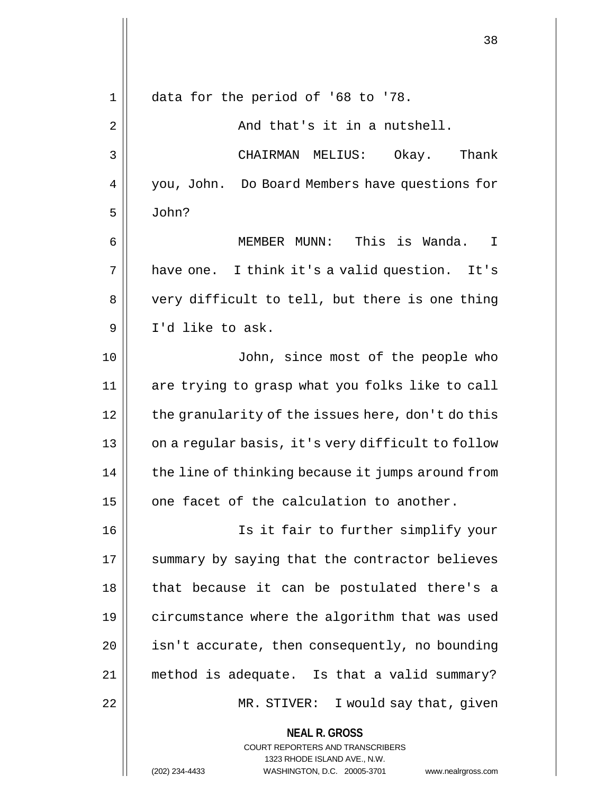| 1  | data for the period of '68 to '78.                                                                                                                              |
|----|-----------------------------------------------------------------------------------------------------------------------------------------------------------------|
| 2  | And that's it in a nutshell.                                                                                                                                    |
| 3  | CHAIRMAN MELIUS:<br>Okay.<br>Thank                                                                                                                              |
| 4  | you, John. Do Board Members have questions for                                                                                                                  |
| 5  | John?                                                                                                                                                           |
| 6  | MEMBER MUNN: This is Wanda.<br>I                                                                                                                                |
| 7  | have one. I think it's a valid question. It's                                                                                                                   |
| 8  | very difficult to tell, but there is one thing                                                                                                                  |
| 9  | I'd like to ask.                                                                                                                                                |
| 10 | John, since most of the people who                                                                                                                              |
| 11 | are trying to grasp what you folks like to call                                                                                                                 |
| 12 | the granularity of the issues here, don't do this                                                                                                               |
| 13 | on a regular basis, it's very difficult to follow                                                                                                               |
| 14 | the line of thinking because it jumps around from                                                                                                               |
| 15 | one facet of the calculation to another.                                                                                                                        |
| 16 | Is it fair to further simplify your                                                                                                                             |
| 17 | summary by saying that the contractor believes                                                                                                                  |
| 18 | that because it can be postulated there's a                                                                                                                     |
| 19 | circumstance where the algorithm that was used                                                                                                                  |
| 20 | isn't accurate, then consequently, no bounding                                                                                                                  |
| 21 | method is adequate. Is that a valid summary?                                                                                                                    |
| 22 | MR. STIVER: I would say that, given                                                                                                                             |
|    | <b>NEAL R. GROSS</b><br>COURT REPORTERS AND TRANSCRIBERS<br>1323 RHODE ISLAND AVE., N.W.<br>(202) 234-4433<br>WASHINGTON, D.C. 20005-3701<br>www.nealrgross.com |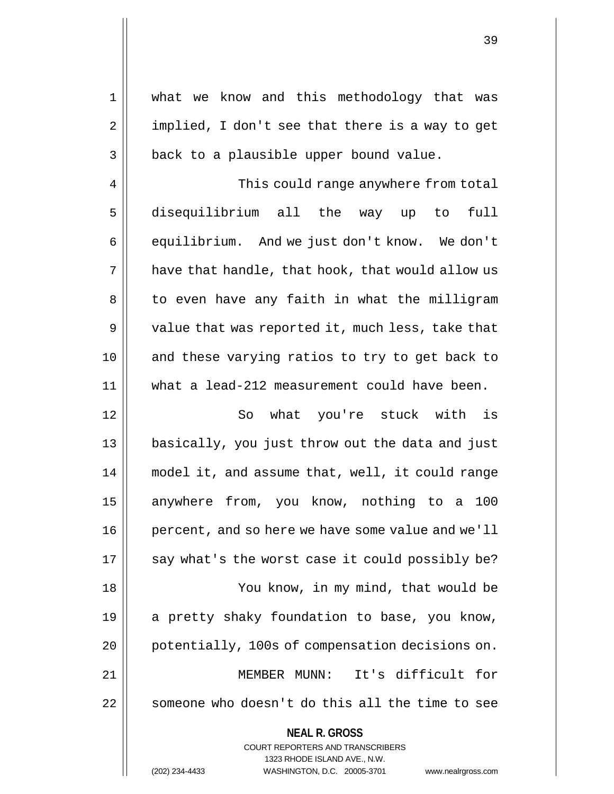| $\mathbf 1$ | what we know and this methodology that was                      |
|-------------|-----------------------------------------------------------------|
| 2           | implied, I don't see that there is a way to get                 |
| 3           | back to a plausible upper bound value.                          |
| 4           | This could range anywhere from total                            |
| 5           | disequilibrium all the way up to<br>full                        |
| 6           | equilibrium. And we just don't know. We don't                   |
| 7           | have that handle, that hook, that would allow us                |
| 8           | to even have any faith in what the milligram                    |
| 9           | value that was reported it, much less, take that                |
| 10          | and these varying ratios to try to get back to                  |
| 11          | what a lead-212 measurement could have been.                    |
| 12          | what you're stuck with is<br>So                                 |
| 13          | basically, you just throw out the data and just                 |
| 14          | model it, and assume that, well, it could range                 |
| 15          | anywhere from, you know, nothing to a<br>100                    |
| 16          | percent, and so here we have some value and we'll               |
| 17          | say what's the worst case it could possibly be?                 |
| 18          | You know, in my mind, that would be                             |
| 19          | a pretty shaky foundation to base, you know,                    |
| 20          | potentially, 100s of compensation decisions on.                 |
| 21          | It's difficult for<br>MEMBER MUNN:                              |
| 22          | someone who doesn't do this all the time to see                 |
|             | <b>NEAL R. GROSS</b><br><b>COURT REPORTERS AND TRANSCRIBERS</b> |

39

 $\prod$ 

1323 RHODE ISLAND AVE., N.W.

(202) 234-4433 WASHINGTON, D.C. 20005-3701 www.nealrgross.com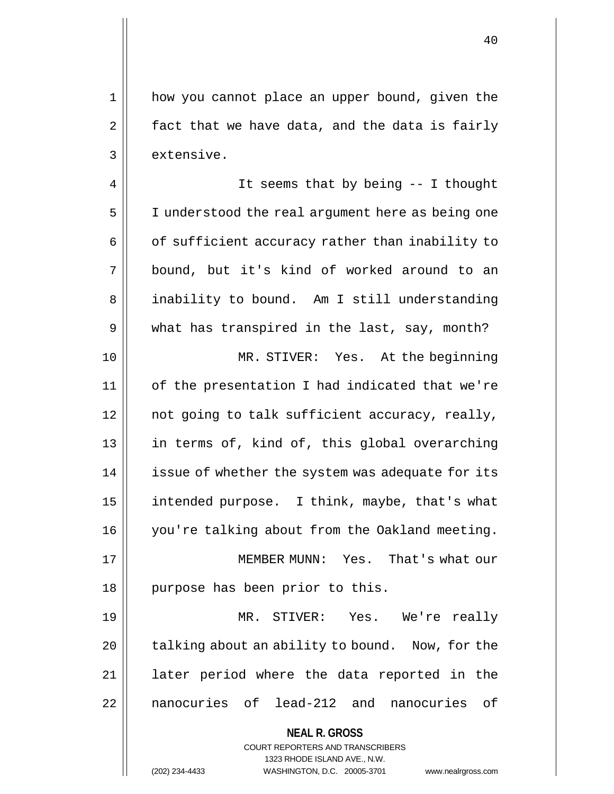1 || how you cannot place an upper bound, given the  $2 \parallel$  fact that we have data, and the data is fairly  $3$  | extensive.

4 || It seems that by being -- I thought 5 | I understood the real argument here as being one 6 | of sufficient accuracy rather than inability to 7 bound, but it's kind of worked around to an 8 | inability to bound. Am I still understanding  $9 \parallel$  what has transpired in the last, say, month? 10 MR. STIVER: Yes. At the beginning 11 of the presentation I had indicated that we're  $12$  | not going to talk sufficient accuracy, really, 13 || in terms of, kind of, this global overarching 14 | issue of whether the system was adequate for its 15  $\parallel$  intended purpose. I think, maybe, that's what 16 you're talking about from the Oakland meeting. 17 || MEMBER MUNN: Yes. That's what our 18 || purpose has been prior to this. 19 MR. STIVER: Yes. We're really 20 || talking about an ability to bound. Now, for the

21 || later period where the data reported in the 22 || nanocuries of lead-212 and nanocuries of

> **NEAL R. GROSS** COURT REPORTERS AND TRANSCRIBERS 1323 RHODE ISLAND AVE., N.W. (202) 234-4433 WASHINGTON, D.C. 20005-3701 www.nealrgross.com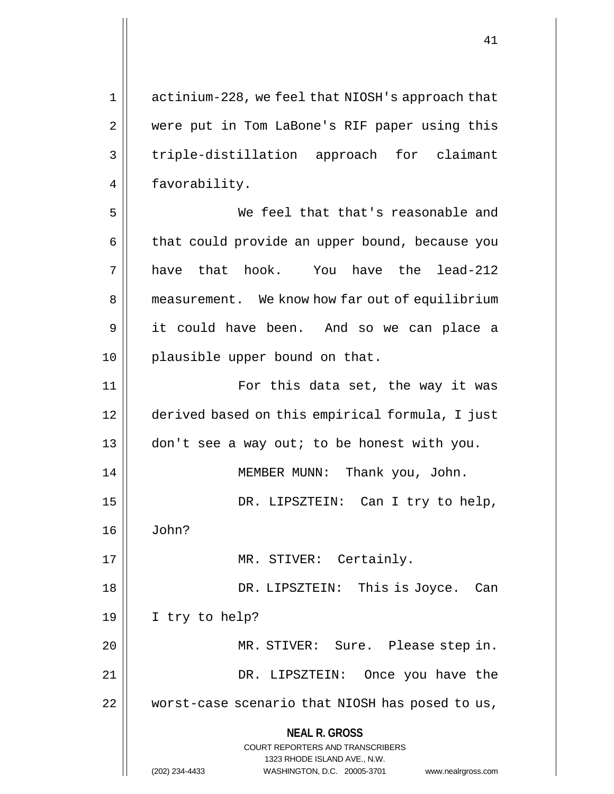**NEAL R. GROSS** COURT REPORTERS AND TRANSCRIBERS 1323 RHODE ISLAND AVE., N.W. 1 actinium-228, we feel that NIOSH's approach that 2 || were put in Tom LaBone's RIF paper using this 3 triple-distillation approach for claimant 4 | favorability. 5 We feel that that's reasonable and  $6 \parallel$  that could provide an upper bound, because you  $7 \parallel$  have that hook. You have the lead-212 8 | measurement. We know how far out of equilibrium 9 it could have been. And so we can place a 10 || plausible upper bound on that. 11 For this data set, the way it was 12 derived based on this empirical formula, I just 13 don't see a way out; to be honest with you. 14 || MEMBER MUNN: Thank you, John. 15 DR. LIPSZTEIN: Can I try to help, 16 John? 17 || MR. STIVER: Certainly. 18 DR. LIPSZTEIN: This is Joyce. Can 19 I try to help? 20 MR. STIVER: Sure. Please step in. 21 DR. LIPSZTEIN: Once you have the 22 worst-case scenario that NIOSH has posed to us,

(202) 234-4433 WASHINGTON, D.C. 20005-3701 www.nealrgross.com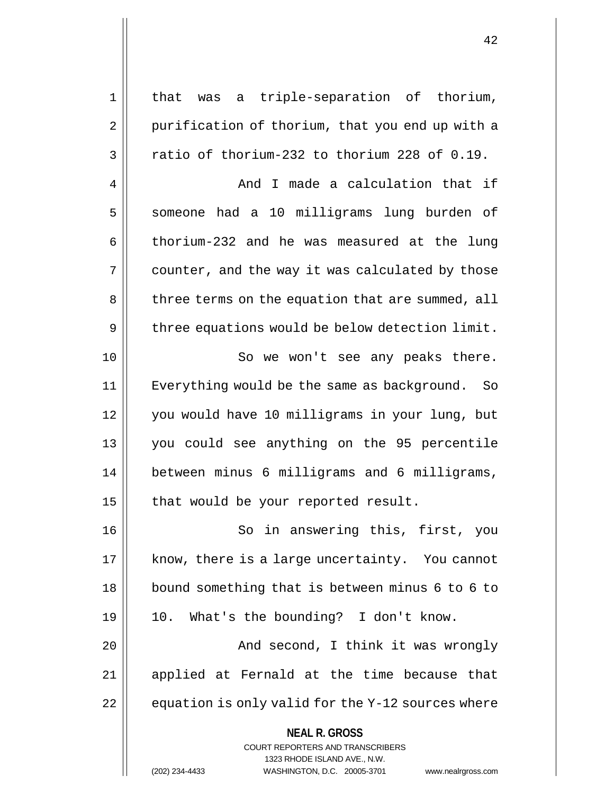| $\mathbf 1$ | that was a triple-separation of thorium,                            |
|-------------|---------------------------------------------------------------------|
| 2           | purification of thorium, that you end up with a                     |
| 3           | ratio of thorium-232 to thorium 228 of 0.19.                        |
| 4           | And I made a calculation that if                                    |
| 5           | someone had a 10 milligrams lung burden of                          |
| 6           | thorium-232 and he was measured at the lung                         |
| 7           | counter, and the way it was calculated by those                     |
| 8           | three terms on the equation that are summed, all                    |
| 9           | three equations would be below detection limit.                     |
| 10          | So we won't see any peaks there.                                    |
| 11          | Everything would be the same as background.<br>So                   |
| 12          | you would have 10 milligrams in your lung, but                      |
| 13          | you could see anything on the 95 percentile                         |
| 14          | between minus 6 milligrams and 6 milligrams,                        |
| 15          | that would be your reported result.                                 |
| 16          | So in answering this, first, you                                    |
| 17          | know, there is a large uncertainty. You cannot                      |
| 18          | bound something that is between minus 6 to 6 to                     |
| 19          | 10. What's the bounding? I don't know.                              |
| 20          | And second, I think it was wrongly                                  |
| 21          | applied at Fernald at the time because that                         |
| 22          | equation is only valid for the Y-12 sources where                   |
|             | <b>NEAL R. GROSS</b>                                                |
|             | <b>COURT REPORTERS AND TRANSCRIBERS</b>                             |
|             | 1323 RHODE ISLAND AVE., N.W.                                        |
|             | (202) 234-4433<br>WASHINGTON, D.C. 20005-3701<br>www.nealrgross.com |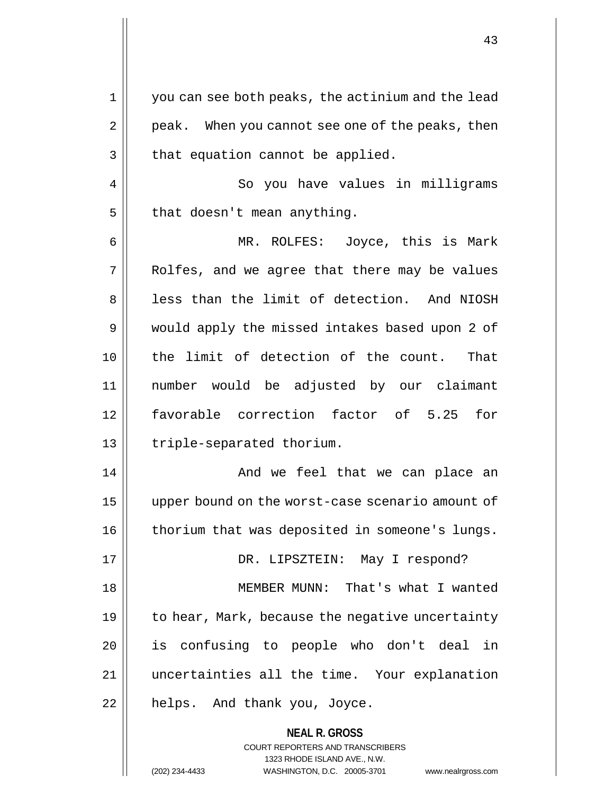**NEAL R. GROSS** 1 you can see both peaks, the actinium and the lead  $2 \parallel$  peak. When you cannot see one of the peaks, then  $3$  | that equation cannot be applied. 4 So you have values in milligrams  $5$  | that doesn't mean anything. 6 MR. ROLFES: Joyce, this is Mark  $7$  || Rolfes, and we agree that there may be values 8 | less than the limit of detection. And NIOSH 9 || would apply the missed intakes based upon 2 of 10 the limit of detection of the count. That 11 number would be adjusted by our claimant 12 favorable correction factor of 5.25 for 13 || triple-separated thorium. 14 And we feel that we can place an 15 upper bound on the worst-case scenario amount of 16 | thorium that was deposited in someone's lungs. 17 DR. LIPSZTEIN: May I respond? 18 MEMBER MUNN: That's what I wanted 19  $\parallel$  to hear, Mark, because the negative uncertainty 20 || is confusing to people who don't deal in 21 uncertainties all the time. Your explanation  $22$  | helps. And thank you, Joyce.

> COURT REPORTERS AND TRANSCRIBERS 1323 RHODE ISLAND AVE., N.W.

(202) 234-4433 WASHINGTON, D.C. 20005-3701 www.nealrgross.com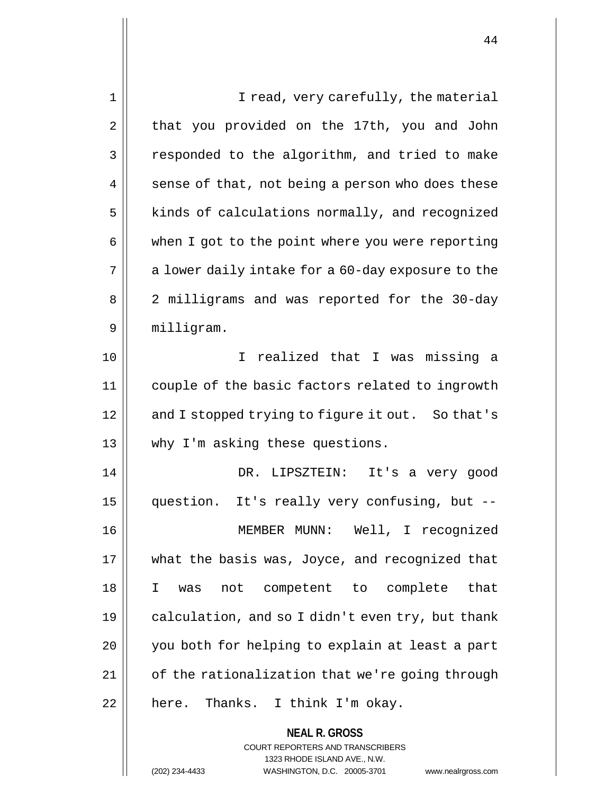**NEAL R. GROSS** 1 || I read, very carefully, the material 2 | that you provided on the 17th, you and John  $3 \parallel$  responded to the algorithm, and tried to make  $4 \parallel$  sense of that, not being a person who does these  $5$  kinds of calculations normally, and recognized 6 | when I got to the point where you were reporting  $7 \parallel$  a lower daily intake for a 60-day exposure to the 8 || 2 milligrams and was reported for the 30-day 9 milligram. 10 I realized that I was missing a 11 couple of the basic factors related to ingrowth 12 || and I stopped trying to figure it out. So that's 13 || why I'm asking these questions. 14 DR. LIPSZTEIN: It's a very good 15 question. It's really very confusing, but -- 16 MEMBER MUNN: Well, I recognized 17 || what the basis was, Joyce, and recognized that 18 I was not competent to complete that 19  $\parallel$  calculation, and so I didn't even try, but thank 20 || you both for helping to explain at least a part 21 | cf the rationalization that we're going through  $22$  | here. Thanks. I think I'm okay.

> COURT REPORTERS AND TRANSCRIBERS 1323 RHODE ISLAND AVE., N.W.

(202) 234-4433 WASHINGTON, D.C. 20005-3701 www.nealrgross.com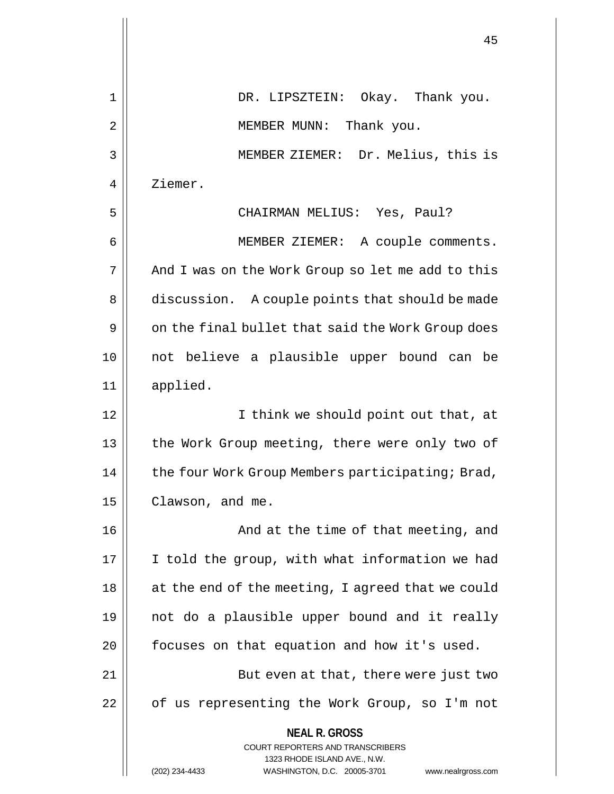|                | 45                                                                                                                                                              |
|----------------|-----------------------------------------------------------------------------------------------------------------------------------------------------------------|
| 1              | DR. LIPSZTEIN: Okay. Thank you.                                                                                                                                 |
| $\overline{2}$ | MEMBER MUNN: Thank you.                                                                                                                                         |
| 3              | MEMBER ZIEMER: Dr. Melius, this is                                                                                                                              |
| 4              | Ziemer.                                                                                                                                                         |
| 5              | CHAIRMAN MELIUS: Yes, Paul?                                                                                                                                     |
| 6              | MEMBER ZIEMER: A couple comments.                                                                                                                               |
| 7              | And I was on the Work Group so let me add to this                                                                                                               |
| 8              | discussion. A couple points that should be made                                                                                                                 |
| 9              | on the final bullet that said the Work Group does                                                                                                               |
| 10             | not believe a plausible upper bound can be                                                                                                                      |
| 11             | applied.                                                                                                                                                        |
| 12             | I think we should point out that, at                                                                                                                            |
| 13             | the Work Group meeting, there were only two of                                                                                                                  |
| 14             | the four Work Group Members participating; Brad,                                                                                                                |
| 15             | Clawson, and me.                                                                                                                                                |
| 16             | And at the time of that meeting, and                                                                                                                            |
| 17             | I told the group, with what information we had                                                                                                                  |
| 18             | at the end of the meeting, I agreed that we could                                                                                                               |
| 19             | not do a plausible upper bound and it really                                                                                                                    |
| 20             | focuses on that equation and how it's used.                                                                                                                     |
| 21             | But even at that, there were just two                                                                                                                           |
| 22             | of us representing the Work Group, so I'm not                                                                                                                   |
|                | <b>NEAL R. GROSS</b><br>COURT REPORTERS AND TRANSCRIBERS<br>1323 RHODE ISLAND AVE., N.W.<br>(202) 234-4433<br>WASHINGTON, D.C. 20005-3701<br>www.nealrgross.com |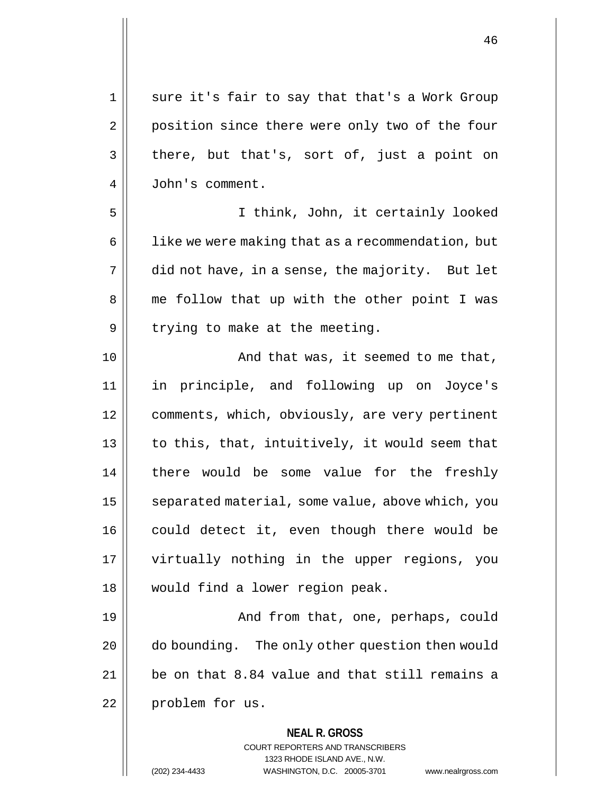**NEAL R. GROSS** COURT REPORTERS AND TRANSCRIBERS 1323 RHODE ISLAND AVE., N.W. 1 || sure it's fair to say that that's a Work Group 2 | position since there were only two of the four  $3 \parallel$  there, but that's, sort of, just a point on 4 John's comment. 5 I think, John, it certainly looked  $6$  | like we were making that as a recommendation, but  $7 \parallel$  did not have, in a sense, the majority. But let 8 || me follow that up with the other point I was  $9 \parallel$  trying to make at the meeting. 10 || And that was, it seemed to me that, 11 in principle, and following up on Joyce's 12 | comments, which, obviously, are very pertinent  $13$  | to this, that, intuitively, it would seem that 14 || there would be some value for the freshly 15 | separated material, some value, above which, you 16 || could detect it, even though there would be 17 virtually nothing in the upper regions, you 18 would find a lower region peak. 19 || And from that, one, perhaps, could 20 | do bounding. The only other question then would  $21$  | be on that 8.84 value and that still remains a 22 || problem for us.

(202) 234-4433 WASHINGTON, D.C. 20005-3701 www.nealrgross.com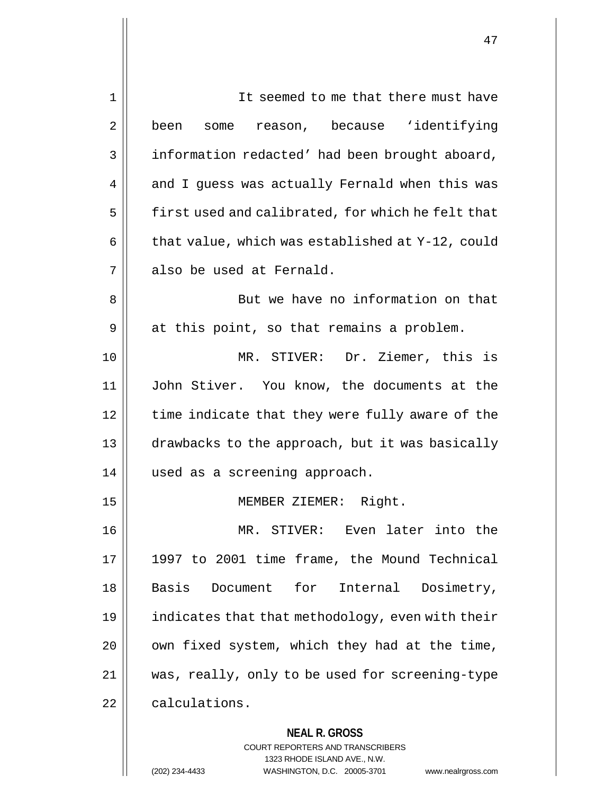| 1  | It seemed to me that there must have                     |
|----|----------------------------------------------------------|
| 2  | some reason, because 'identifying<br>been                |
| 3  | information redacted' had been brought aboard,           |
| 4  | and I guess was actually Fernald when this was           |
| 5  | first used and calibrated, for which he felt that        |
| 6  | that value, which was established at Y-12, could         |
| 7  | also be used at Fernald.                                 |
| 8  | But we have no information on that                       |
| 9  | at this point, so that remains a problem.                |
| 10 | MR. STIVER: Dr. Ziemer, this is                          |
| 11 | John Stiver. You know, the documents at the              |
| 12 | time indicate that they were fully aware of the          |
| 13 | drawbacks to the approach, but it was basically          |
| 14 | used as a screening approach.                            |
| 15 | MEMBER ZIEMER: Right.                                    |
| 16 | MR. STIVER: Even later into the                          |
| 17 | 1997 to 2001 time frame, the Mound Technical             |
| 18 | Basis<br>Document for Internal Dosimetry,                |
| 19 | indicates that that methodology, even with their         |
| 20 | own fixed system, which they had at the time,            |
| 21 | was, really, only to be used for screening-type          |
| 22 | calculations.                                            |
|    | <b>NEAL R. GROSS</b><br>COURT REPORTERS AND TRANSCRIBERS |

1323 RHODE ISLAND AVE., N.W.

 $\prod$ 

(202) 234-4433 WASHINGTON, D.C. 20005-3701 www.nealrgross.com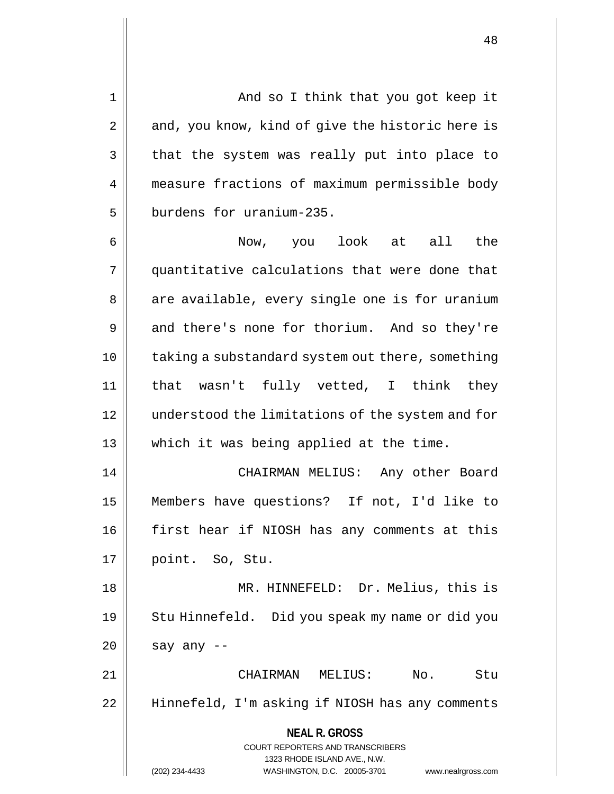1 And so I think that you got keep it  $2 \parallel$  and, you know, kind of give the historic here is  $3 \parallel$  that the system was really put into place to 4 measure fractions of maximum permissible body 5 **burdens** for uranium-235.

6 Now, you look at all the 7 quantitative calculations that were done that 8 || are available, every single one is for uranium 9 and there's none for thorium. And so they're 10 || taking a substandard system out there, something 11 that wasn't fully vetted, I think they 12 understood the limitations of the system and for 13 which it was being applied at the time. 14 CHAIRMAN MELIUS: Any other Board

15 Members have questions? If not, I'd like to 16 first hear if NIOSH has any comments at this 17 point. So, Stu.

18 || MR. HINNEFELD: Dr. Melius, this is 19 || Stu Hinnefeld. Did you speak my name or did you  $20$  || say any --

21 CHAIRMAN MELIUS: No. Stu 22 Hinnefeld, I'm asking if NIOSH has any comments

> **NEAL R. GROSS** COURT REPORTERS AND TRANSCRIBERS 1323 RHODE ISLAND AVE., N.W.

(202) 234-4433 WASHINGTON, D.C. 20005-3701 www.nealrgross.com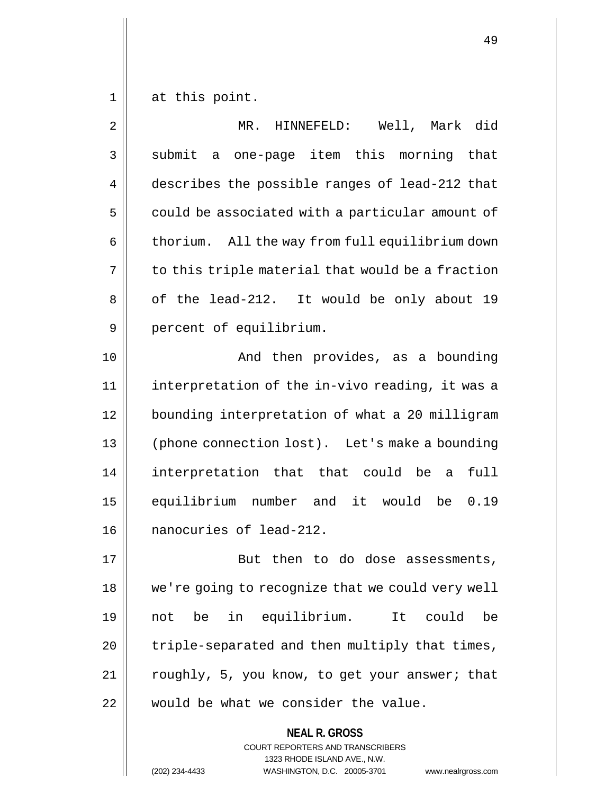$1 \parallel$  at this point.

| $\overline{2}$ | MR. HINNEFELD: Well, Mark did                                   |
|----------------|-----------------------------------------------------------------|
| 3              | submit a one-page item this morning that                        |
| 4              | describes the possible ranges of lead-212 that                  |
| 5              | could be associated with a particular amount of                 |
| 6              | thorium. All the way from full equilibrium down                 |
| 7              | to this triple material that would be a fraction                |
| 8              | of the lead-212. It would be only about 19                      |
| 9              | percent of equilibrium.                                         |
| 10             | And then provides, as a bounding                                |
| 11             | interpretation of the in-vivo reading, it was a                 |
| 12             | bounding interpretation of what a 20 milligram                  |
| 13             | (phone connection lost). Let's make a bounding                  |
| 14             | interpretation that that could be a<br>full                     |
| 15             | equilibrium number and it would be<br>0.19                      |
| 16             | nanocuries of lead-212.                                         |
| 17             | But then to do dose assessments,                                |
| 18             | we're going to recognize that we could very well                |
| 19             | in equilibrium.<br>It<br>could<br>not be<br>be                  |
| 20             | triple-separated and then multiply that times,                  |
| 21             | roughly, 5, you know, to get your answer; that                  |
| 22             | would be what we consider the value.                            |
|                | <b>NEAL R. GROSS</b><br><b>COURT REPORTERS AND TRANSCRIBERS</b> |

1323 RHODE ISLAND AVE., N.W.

(202) 234-4433 WASHINGTON, D.C. 20005-3701 www.nealrgross.com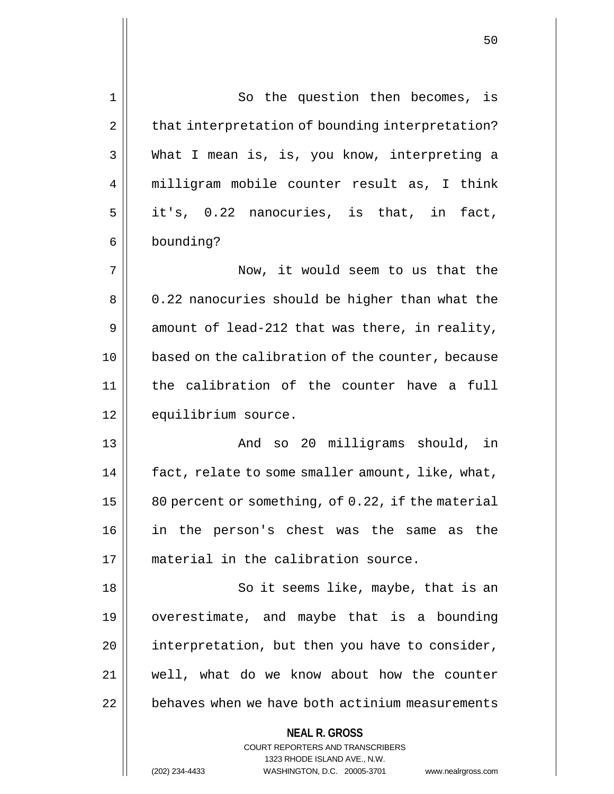| 1  | So the question then becomes, is                                                                    |
|----|-----------------------------------------------------------------------------------------------------|
| 2  | that interpretation of bounding interpretation?                                                     |
| 3  | What I mean is, is, you know, interpreting a                                                        |
| 4  | milligram mobile counter result as, I think                                                         |
| 5  | it's, 0.22 nanocuries, is that, in fact,                                                            |
| 6  | bounding?                                                                                           |
| 7  | Now, it would seem to us that the                                                                   |
| 8  | 0.22 nanocuries should be higher than what the                                                      |
| 9  | amount of lead-212 that was there, in reality,                                                      |
| 10 | based on the calibration of the counter, because                                                    |
| 11 | the calibration of the counter have a<br>full                                                       |
| 12 | equilibrium source.                                                                                 |
| 13 | And so 20 milligrams should, in                                                                     |
| 14 | fact, relate to some smaller amount, like, what,                                                    |
| 15 | 80 percent or something, of 0.22, if the material                                                   |
| 16 | in the person's chest was the same as the                                                           |
| 17 | material in the calibration source.                                                                 |
| 18 | So it seems like, maybe, that is an                                                                 |
| 19 | overestimate, and maybe that is a bounding                                                          |
| 20 | interpretation, but then you have to consider,                                                      |
| 21 | well, what do we know about how the counter                                                         |
| 22 | behaves when we have both actinium measurements                                                     |
|    | <b>NEAL R. GROSS</b>                                                                                |
|    | <b>COURT REPORTERS AND TRANSCRIBERS</b>                                                             |
|    | 1323 RHODE ISLAND AVE., N.W.<br>(202) 234-4433<br>WASHINGTON, D.C. 20005-3701<br>www.nealrgross.com |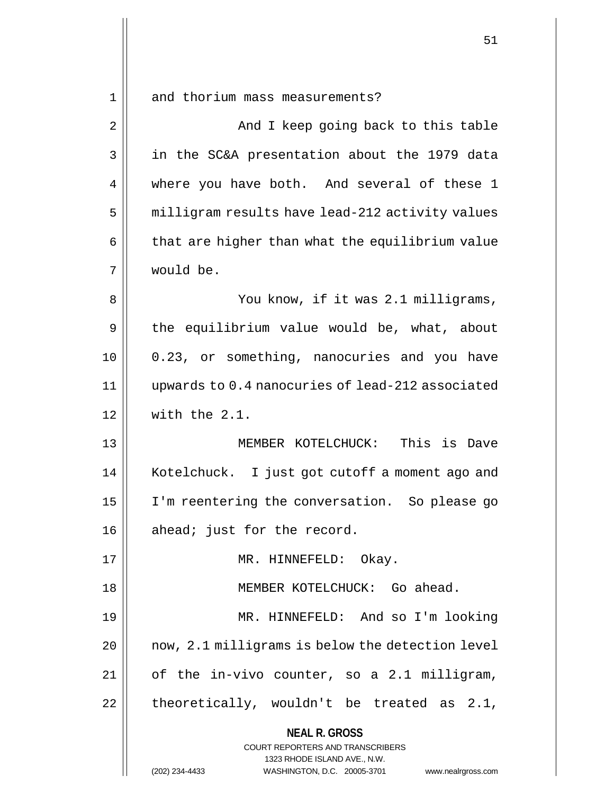1 || and thorium mass measurements?

**NEAL R. GROSS** COURT REPORTERS AND TRANSCRIBERS 2 And I keep going back to this table 3 in the SC&A presentation about the 1979 data 4 where you have both. And several of these 1 5 | milligram results have lead-212 activity values  $6 \parallel$  that are higher than what the equilibrium value 7 would be. 8 You know, if it was 2.1 milligrams, 9 | the equilibrium value would be, what, about 10 0.23, or something, nanocuries and you have 11 upwards to 0.4 nanocuries of lead-212 associated 12 with the 2.1. 13 MEMBER KOTELCHUCK: This is Dave 14 Kotelchuck. I just got cutoff a moment ago and 15 I'm reentering the conversation. So please go  $16 \parallel$  ahead; just for the record. 17 || MR. HINNEFELD: Okay. 18 || **MEMBER KOTELCHUCK:** Go ahead. 19 MR. HINNEFELD: And so I'm looking  $20$  | now,  $2.1$  milligrams is below the detection level  $21$  | of the in-vivo counter, so a 2.1 milligram,  $22$  || theoretically, wouldn't be treated as 2.1,

1323 RHODE ISLAND AVE., N.W.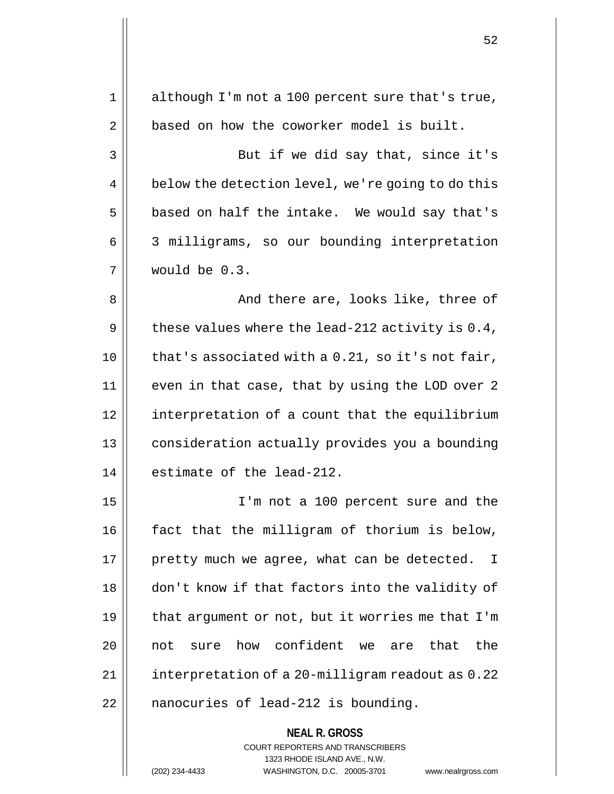| 1  | although I'm not a 100 percent sure that's true,                |
|----|-----------------------------------------------------------------|
| 2  | based on how the coworker model is built.                       |
| 3  | But if we did say that, since it's                              |
| 4  | below the detection level, we're going to do this               |
| 5  | based on half the intake. We would say that's                   |
| 6  | 3 milligrams, so our bounding interpretation                    |
| 7  | would be 0.3.                                                   |
| 8  | And there are, looks like, three of                             |
| 9  | these values where the lead-212 activity is $0.4$ ,             |
| 10 | that's associated with a 0.21, so it's not fair,                |
| 11 | even in that case, that by using the LOD over 2                 |
| 12 | interpretation of a count that the equilibrium                  |
| 13 | consideration actually provides you a bounding                  |
| 14 | estimate of the lead-212.                                       |
| 15 | I'm not a 100 percent sure and the                              |
| 16 | fact that the milligram of thorium is below,                    |
| 17 | pretty much we agree, what can be detected.<br>$\mathbf{I}$     |
| 18 | don't know if that factors into the validity of                 |
| 19 | that argument or not, but it worries me that I'm                |
| 20 | sure how confident we are that<br>the<br>not                    |
| 21 | interpretation of a 20-milligram readout as 0.22                |
| 22 | nanocuries of lead-212 is bounding.                             |
|    | <b>NEAL R. GROSS</b><br><b>COURT REPORTERS AND TRANSCRIBERS</b> |

1323 RHODE ISLAND AVE., N.W.

 $\prod$ 

(202) 234-4433 WASHINGTON, D.C. 20005-3701 www.nealrgross.com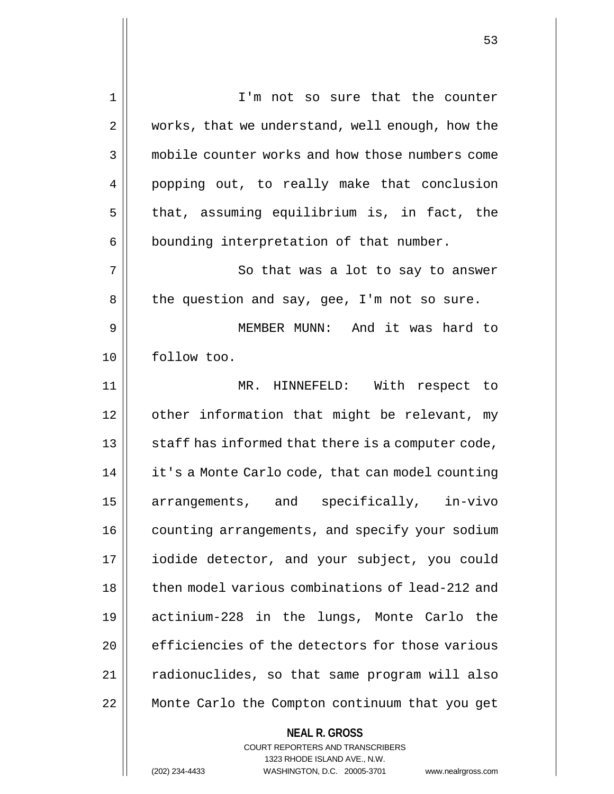**NEAL R. GROSS** 1 || I'm not so sure that the counter 2 | works, that we understand, well enough, how the 3 **mobile counter works and how those numbers come** 4 popping out, to really make that conclusion  $5$  | that, assuming equilibrium is, in fact, the  $6 \parallel$  bounding interpretation of that number. 7 || So that was a lot to say to answer  $8 \parallel$  the question and say, gee, I'm not so sure. 9 MEMBER MUNN: And it was hard to 10 follow too. 11 MR. HINNEFELD: With respect to 12 | other information that might be relevant, my  $13$   $\parallel$  staff has informed that there is a computer code, 14 | it's a Monte Carlo code, that can model counting 15 arrangements, and specifically, in-vivo 16 | counting arrangements, and specify your sodium 17 | iodide detector, and your subject, you could 18 || then model various combinations of lead-212 and 19 actinium-228 in the lungs, Monte Carlo the 20 **efficiencies of the detectors for those various** 21 | radionuclides, so that same program will also 22 Monte Carlo the Compton continuum that you get

> COURT REPORTERS AND TRANSCRIBERS 1323 RHODE ISLAND AVE., N.W.

(202) 234-4433 WASHINGTON, D.C. 20005-3701 www.nealrgross.com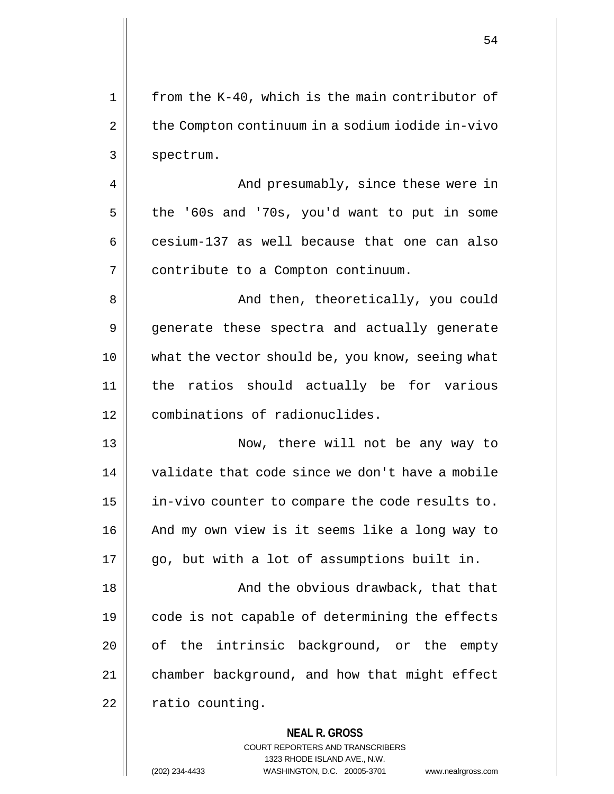| 1  | from the K-40, which is the main contributor of          |
|----|----------------------------------------------------------|
| 2  | the Compton continuum in a sodium iodide in-vivo         |
| 3  | spectrum.                                                |
| 4  | And presumably, since these were in                      |
| 5  | the '60s and '70s, you'd want to put in some             |
| 6  | cesium-137 as well because that one can also             |
| 7  | contribute to a Compton continuum.                       |
| 8  | And then, theoretically, you could                       |
| 9  | generate these spectra and actually generate             |
| 10 | what the vector should be, you know, seeing what         |
| 11 | the ratios should actually be for various                |
| 12 | combinations of radionuclides.                           |
| 13 | Now, there will not be any way to                        |
| 14 | validate that code since we don't have a mobile          |
| 15 | in-vivo counter to compare the code results to.          |
| 16 | And my own view is it seems like a long way to           |
| 17 | go, but with a lot of assumptions built in.              |
| 18 | And the obvious drawback, that that                      |
| 19 | code is not capable of determining the effects           |
| 20 | of the intrinsic background, or the empty                |
| 21 | chamber background, and how that might effect            |
| 22 | ratio counting.                                          |
|    | <b>NEAL R. GROSS</b><br>COURT REPORTERS AND TRANSCRIBERS |

1323 RHODE ISLAND AVE., N.W.

 $\prod$ 

(202) 234-4433 WASHINGTON, D.C. 20005-3701 www.nealrgross.com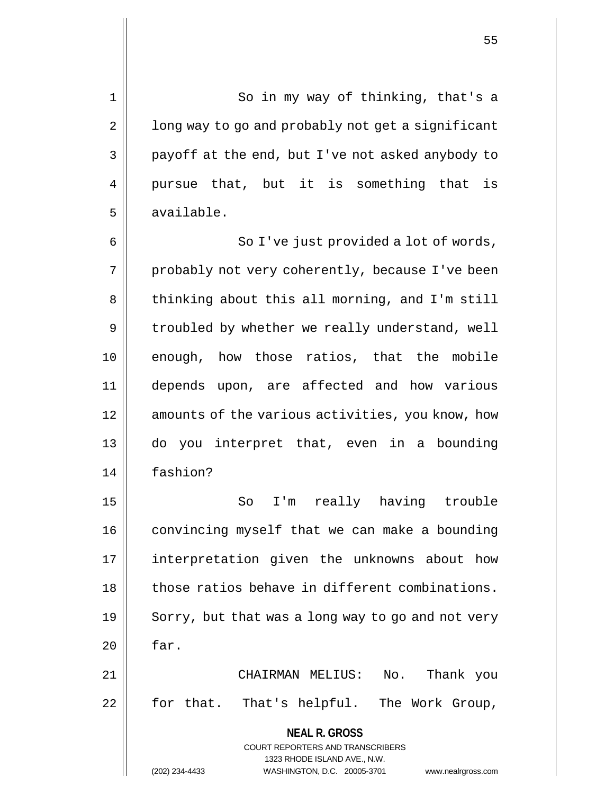1 || So in my way of thinking, that's a  $2 \parallel$  long way to go and probably not get a significant  $3 \parallel$  payoff at the end, but I've not asked anybody to 4 || pursue that, but it is something that is 5 available.

6 || So I've just provided a lot of words, 7 || probably not very coherently, because I've been 8 | thinking about this all morning, and I'm still  $9 \parallel$  troubled by whether we really understand, well 10 || enough, how those ratios, that the mobile 11 depends upon, are affected and how various 12 || amounts of the various activities, you know, how 13 do you interpret that, even in a bounding 14 fashion?

15 || So I'm really having trouble 16 | convincing myself that we can make a bounding 17 interpretation given the unknowns about how 18 || those ratios behave in different combinations.  $19 \parallel$  Sorry, but that was a long way to go and not very  $20$  | far. 21 CHAIRMAN MELIUS: No. Thank you  $22$  | for that. That's helpful. The Work Group,

> **NEAL R. GROSS** COURT REPORTERS AND TRANSCRIBERS 1323 RHODE ISLAND AVE., N.W. (202) 234-4433 WASHINGTON, D.C. 20005-3701 www.nealrgross.com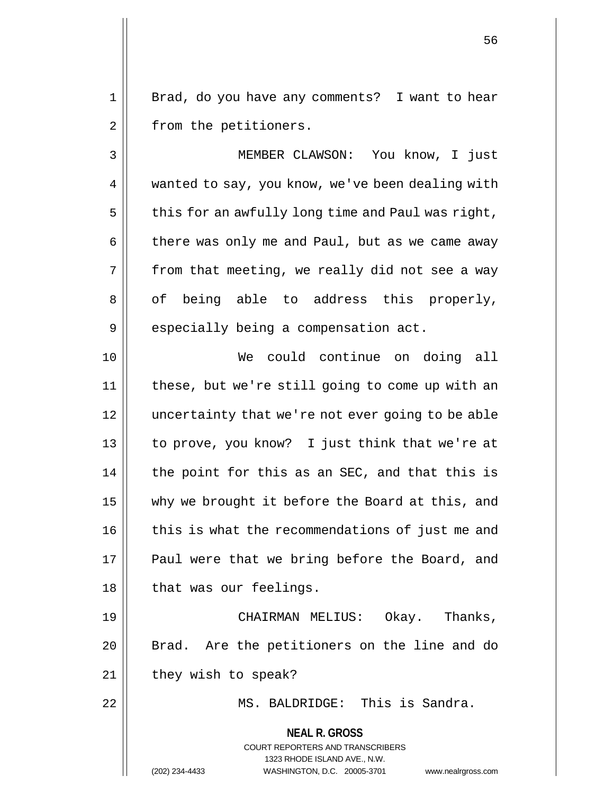1 || Brad, do you have any comments? I want to hear 2 | from the petitioners.

3 MEMBER CLAWSON: You know, I just 4 | wanted to say, you know, we've been dealing with  $5 \parallel$  this for an awfully long time and Paul was right,  $6 \parallel$  there was only me and Paul, but as we came away  $7 \parallel$  from that meeting, we really did not see a way  $8 \parallel$  of being able to address this properly, 9 | especially being a compensation act.

10 We could continue on doing all 11 these, but we're still going to come up with an 12 uncertainty that we're not ever going to be able 13 || to prove, you know? I just think that we're at  $14$  || the point for this as an SEC, and that this is 15 || why we brought it before the Board at this, and 16 | this is what the recommendations of just me and 17 || Paul were that we bring before the Board, and 18 || that was our feelings.

19 CHAIRMAN MELIUS: Okay. Thanks, 20 || Brad. Are the petitioners on the line and do 21 | they wish to speak?

22 MS. BALDRIDGE: This is Sandra.

**NEAL R. GROSS**

COURT REPORTERS AND TRANSCRIBERS

1323 RHODE ISLAND AVE., N.W. (202) 234-4433 WASHINGTON, D.C. 20005-3701 www.nealrgross.com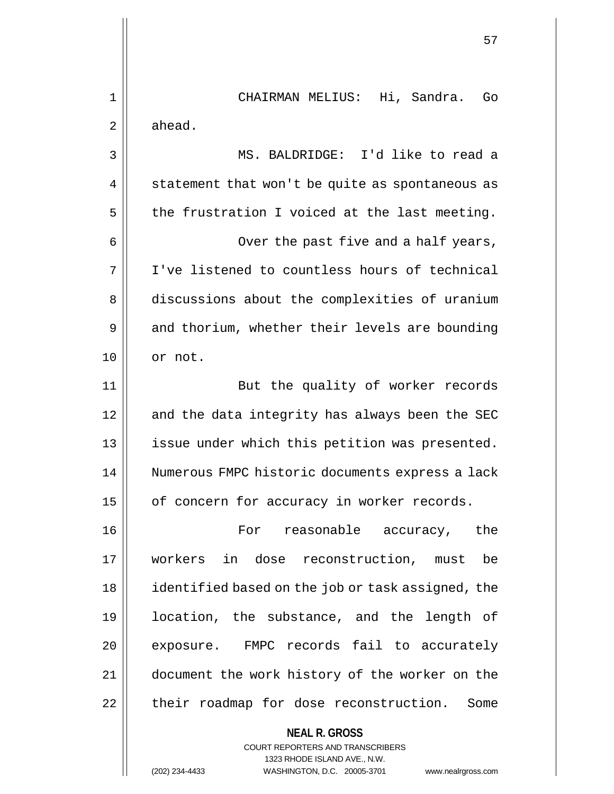**NEAL R. GROSS** COURT REPORTERS AND TRANSCRIBERS 1323 RHODE ISLAND AVE., N.W. 1 CHAIRMAN MELIUS: Hi, Sandra. Go  $2 \parallel$  ahead. 3 MS. BALDRIDGE: I'd like to read a  $4 \parallel$  statement that won't be quite as spontaneous as  $5 \parallel$  the frustration I voiced at the last meeting. 6 || Over the past five and a half years, 7 I've listened to countless hours of technical 8 discussions about the complexities of uranium 9 || and thorium, whether their levels are bounding 10 | or not. 11 || But the quality of worker records 12 || and the data integrity has always been the SEC 13 || issue under which this petition was presented. 14 | Numerous FMPC historic documents express a lack  $15$  | of concern for accuracy in worker records. 16 || Tor reasonable accuracy, the 17 workers in dose reconstruction, must be 18 identified based on the job or task assigned, the 19 location, the substance, and the length of 20 | exposure. FMPC records fail to accurately 21 document the work history of the worker on the 22 | their roadmap for dose reconstruction. Some

(202) 234-4433 WASHINGTON, D.C. 20005-3701 www.nealrgross.com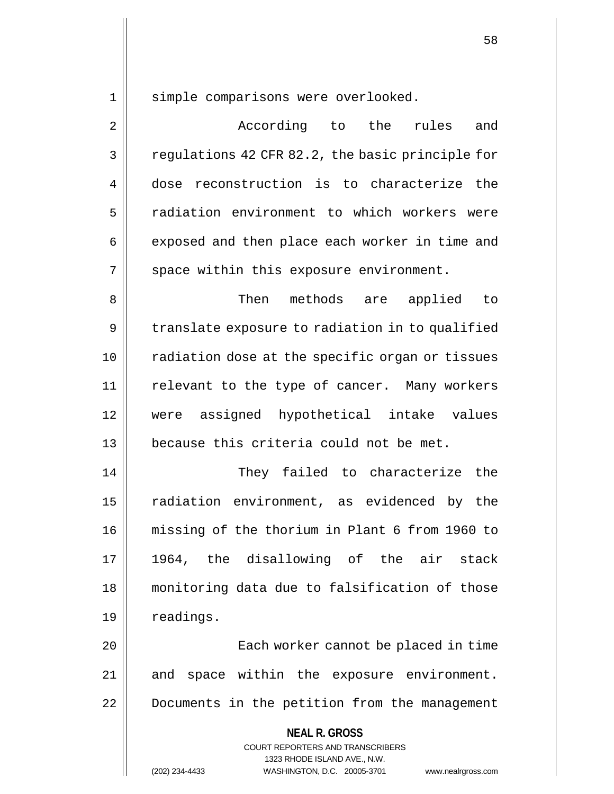1 || simple comparisons were overlooked.

2 According to the rules and  $3 \parallel$  regulations 42 CFR 82.2, the basic principle for 4 dose reconstruction is to characterize the 5 | radiation environment to which workers were 6 | exposed and then place each worker in time and  $7 \parallel$  space within this exposure environment.

8 Then methods are applied to  $9 \parallel$  translate exposure to radiation in to qualified 10 || radiation dose at the specific organ or tissues 11 || relevant to the type of cancer. Many workers 12 were assigned hypothetical intake values 13 because this criteria could not be met.

14 They failed to characterize the 15 || radiation environment, as evidenced by the 16 missing of the thorium in Plant 6 from 1960 to 17 1964, the disallowing of the air stack 18 monitoring data due to falsification of those 19 | readings.

20 Each worker cannot be placed in time 21 || and space within the exposure environment. 22 Documents in the petition from the management

> **NEAL R. GROSS** COURT REPORTERS AND TRANSCRIBERS 1323 RHODE ISLAND AVE., N.W. (202) 234-4433 WASHINGTON, D.C. 20005-3701 www.nealrgross.com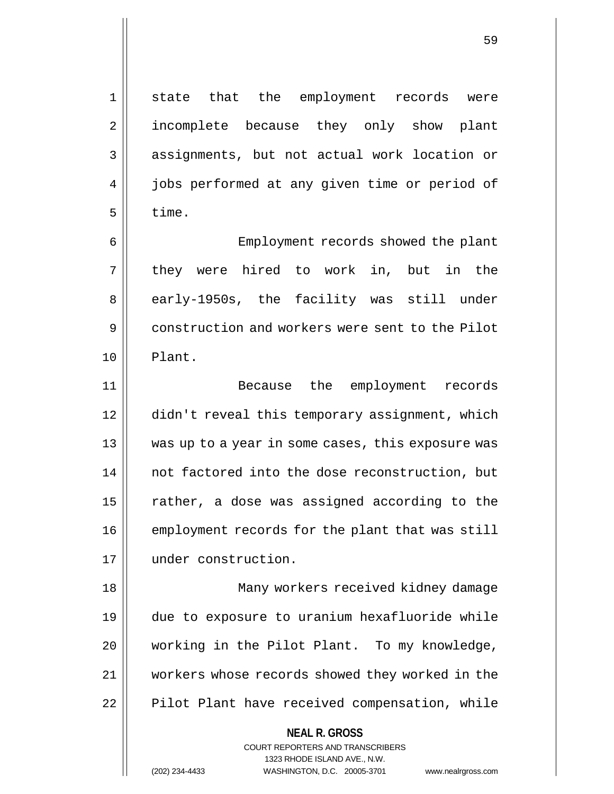1 || state that the employment records were 2 || incomplete because they only show plant 3 || assignments, but not actual work location or 4 | jobs performed at any given time or period of  $5 \parallel$  time.

6 Employment records showed the plant 7 || they were hired to work in, but in the 8 || early-1950s, the facility was still under 9 **construction and workers were sent to the Pilot** 10 Plant.

11 Because the employment records 12 didn't reveal this temporary assignment, which 13 was up to a year in some cases, this exposure was 14 || not factored into the dose reconstruction, but 15  $\parallel$  rather, a dose was assigned according to the 16 | employment records for the plant that was still 17 under construction.

18 Many workers received kidney damage 19 due to exposure to uranium hexafluoride while 20 || working in the Pilot Plant. To my knowledge, 21 workers whose records showed they worked in the 22 | Pilot Plant have received compensation, while

## **NEAL R. GROSS**

COURT REPORTERS AND TRANSCRIBERS 1323 RHODE ISLAND AVE., N.W. (202) 234-4433 WASHINGTON, D.C. 20005-3701 www.nealrgross.com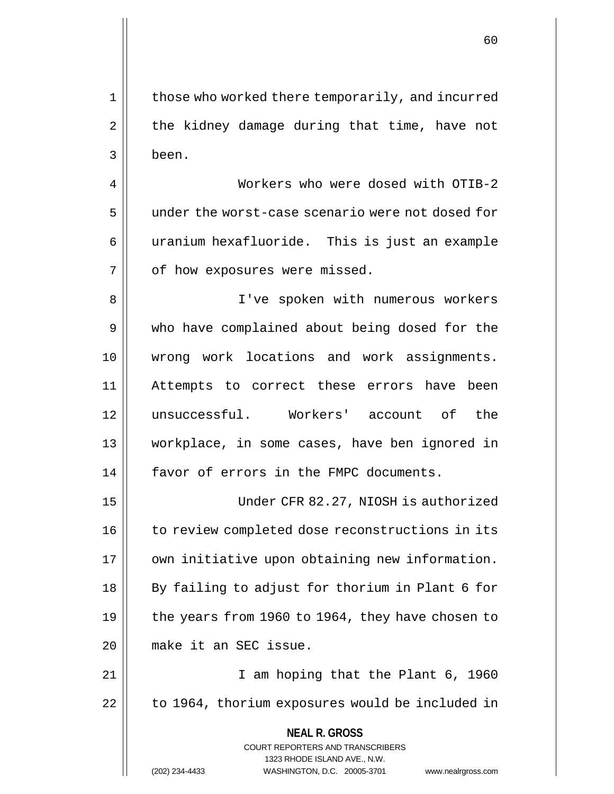1 | those who worked there temporarily, and incurred  $2 \parallel$  the kidney damage during that time, have not 3 been.

4 Workers who were dosed with OTIB-2 5 || under the worst-case scenario were not dosed for 6 | uranium hexafluoride. This is just an example 7 | of how exposures were missed.

8 || I've spoken with numerous workers 9 who have complained about being dosed for the 10 wrong work locations and work assignments. 11 Attempts to correct these errors have been 12 unsuccessful. Workers' account of the 13 workplace, in some cases, have ben ignored in 14 || favor of errors in the FMPC documents.

15 Under CFR 82.27, NIOSH is authorized 16 | to review completed dose reconstructions in its 17 | own initiative upon obtaining new information. 18 || By failing to adjust for thorium in Plant 6 for 19  $\vert$  the years from 1960 to 1964, they have chosen to 20 make it an SEC issue.

21 || I am hoping that the Plant 6, 1960 22 | to 1964, thorium exposures would be included in

**NEAL R. GROSS**

COURT REPORTERS AND TRANSCRIBERS 1323 RHODE ISLAND AVE., N.W.

(202) 234-4433 WASHINGTON, D.C. 20005-3701 www.nealrgross.com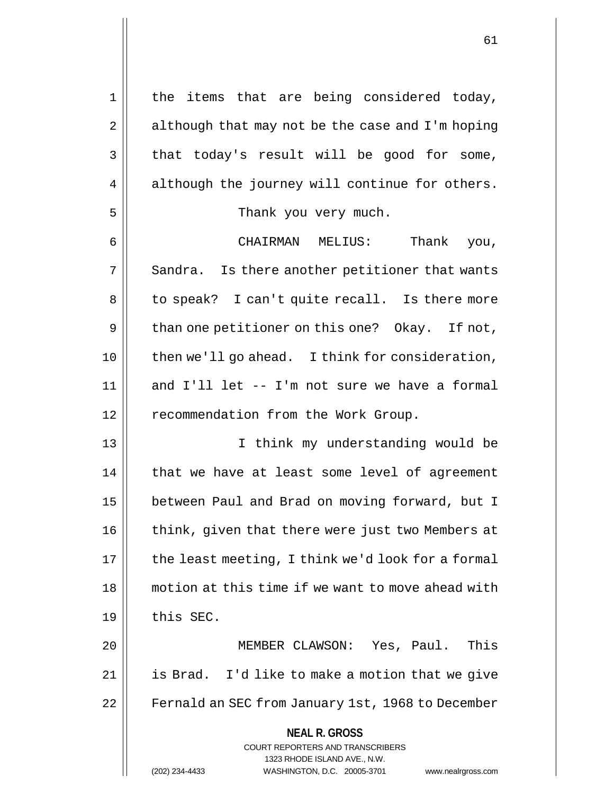**NEAL R. GROSS** COURT REPORTERS AND TRANSCRIBERS 1323 RHODE ISLAND AVE., N.W. 1 || the items that are being considered today,  $2 \parallel$  although that may not be the case and I'm hoping  $3 \parallel$  that today's result will be good for some, 4 || although the journey will continue for others. 5 Thank you very much. 6 CHAIRMAN MELIUS: Thank you,  $7 \parallel$  Sandra. Is there another petitioner that wants 8 || to speak? I can't quite recall. Is there more  $9 \parallel$  than one petitioner on this one? Okay. If not, 10 || then we'll go ahead. I think for consideration,  $11$  and I'll let -- I'm not sure we have a formal 12 | recommendation from the Work Group. 13 I think my understanding would be  $14$  | that we have at least some level of agreement 15 | between Paul and Brad on moving forward, but I 16 | think, given that there were just two Members at  $17$  | the least meeting, I think we'd look for a formal 18 motion at this time if we want to move ahead with  $19$   $\parallel$  this SEC. 20 MEMBER CLAWSON: Yes, Paul. This 21 is Brad. I'd like to make a motion that we give 22 | Fernald an SEC from January 1st, 1968 to December

(202) 234-4433 WASHINGTON, D.C. 20005-3701 www.nealrgross.com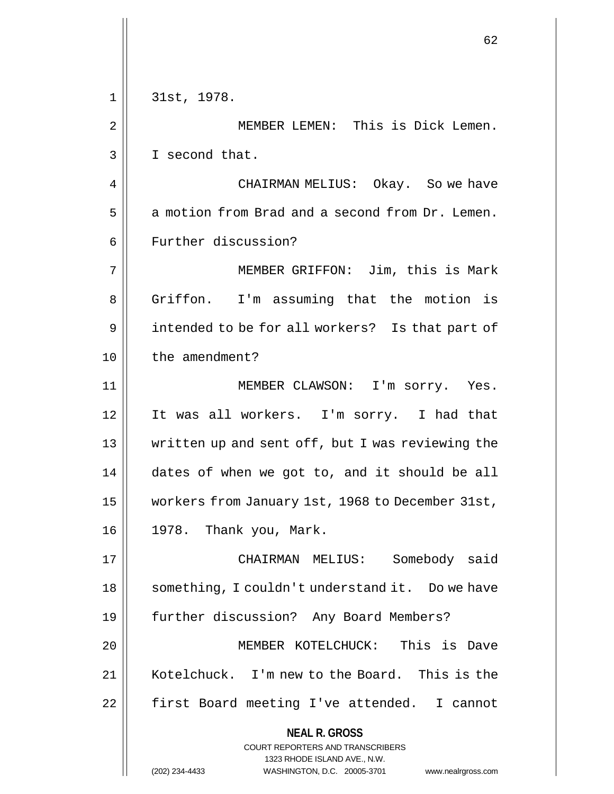|    | 62                                                                                                                                                                     |
|----|------------------------------------------------------------------------------------------------------------------------------------------------------------------------|
| 1  | 31st, 1978.                                                                                                                                                            |
| 2  | MEMBER LEMEN: This is Dick Lemen.                                                                                                                                      |
| 3  | I second that.                                                                                                                                                         |
|    |                                                                                                                                                                        |
| 4  | CHAIRMAN MELIUS: Okay. So we have                                                                                                                                      |
| 5  | a motion from Brad and a second from Dr. Lemen.                                                                                                                        |
| 6  | Further discussion?                                                                                                                                                    |
| 7  | MEMBER GRIFFON: Jim, this is Mark                                                                                                                                      |
| 8  | Griffon. I'm assuming that the motion is                                                                                                                               |
| 9  | intended to be for all workers? Is that part of                                                                                                                        |
| 10 | the amendment?                                                                                                                                                         |
| 11 | MEMBER CLAWSON: I'm sorry. Yes.                                                                                                                                        |
| 12 | It was all workers. I'm sorry. I had that                                                                                                                              |
| 13 | written up and sent off, but I was reviewing the                                                                                                                       |
| 14 | dates of when we got to, and it should be all                                                                                                                          |
| 15 | workers from January 1st, 1968 to December 31st,                                                                                                                       |
| 16 | 1978. Thank you, Mark.                                                                                                                                                 |
| 17 | CHAIRMAN MELIUS: Somebody said                                                                                                                                         |
| 18 | something, I couldn't understand it. Do we have                                                                                                                        |
| 19 | further discussion? Any Board Members?                                                                                                                                 |
| 20 | MEMBER KOTELCHUCK: This is Dave                                                                                                                                        |
| 21 | Kotelchuck. I'm new to the Board. This is the                                                                                                                          |
| 22 | first Board meeting I've attended. I cannot                                                                                                                            |
|    | <b>NEAL R. GROSS</b><br><b>COURT REPORTERS AND TRANSCRIBERS</b><br>1323 RHODE ISLAND AVE., N.W.<br>(202) 234-4433<br>WASHINGTON, D.C. 20005-3701<br>www.nealrgross.com |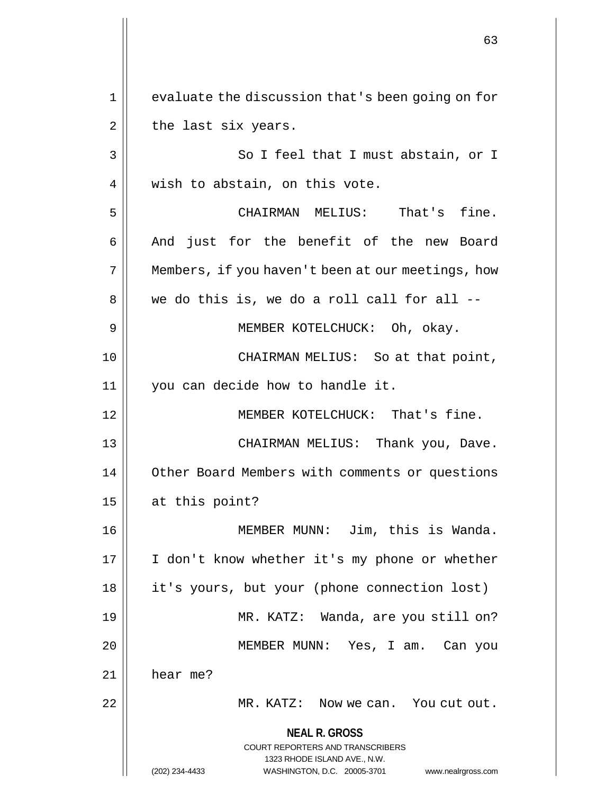**NEAL R. GROSS** COURT REPORTERS AND TRANSCRIBERS 1323 RHODE ISLAND AVE., N.W. (202) 234-4433 WASHINGTON, D.C. 20005-3701 www.nealrgross.com 1 || evaluate the discussion that's been going on for  $2 \parallel$  the last six years. 3 || So I feel that I must abstain, or I 4 || wish to abstain, on this vote. 5 CHAIRMAN MELIUS: That's fine. 6 || And just for the benefit of the new Board 7 | Members, if you haven't been at our meetings, how  $8 \parallel$  we do this is, we do a roll call for all  $-$ 9 || MEMBER KOTELCHUCK: Oh, okay. 10 CHAIRMAN MELIUS: So at that point, 11 | you can decide how to handle it. 12 MEMBER KOTELCHUCK: That's fine. 13 CHAIRMAN MELIUS: Thank you, Dave. 14 | Other Board Members with comments or questions  $15$  || at this point? 16 MEMBER MUNN: Jim, this is Wanda. 17 || I don't know whether it's my phone or whether 18 it's yours, but your (phone connection lost) 19 MR. KATZ: Wanda, are you still on? 20 MEMBER MUNN: Yes, I am. Can you 21 hear me? 22 | MR. KATZ: Now we can. You cut out.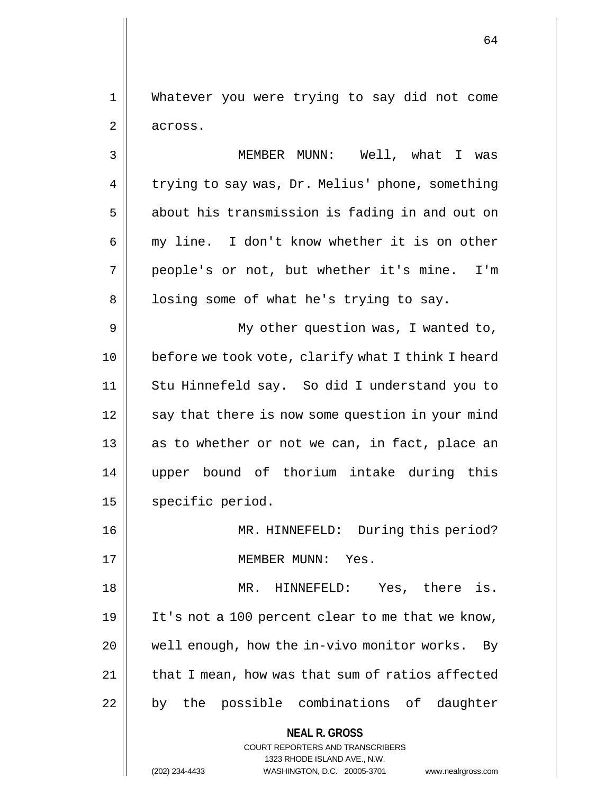1 Whatever you were trying to say did not come 2 across.

3 MEMBER MUNN: Well, what I was 4 | trying to say was, Dr. Melius' phone, something 5 | about his transmission is fading in and out on 6 my line. I don't know whether it is on other 7 people's or not, but whether it's mine. I'm  $8 \parallel$  losing some of what he's trying to say. 9 || My other question was, I wanted to, 10 || before we took vote, clarify what I think I heard 11 Stu Hinnefeld say. So did I understand you to 12 || say that there is now some question in your mind 13 || as to whether or not we can, in fact, place an 14 upper bound of thorium intake during this 15 | specific period.

16 || MR. HINNEFELD: During this period? 17 MEMBER MUNN: Yes.

18 MR. HINNEFELD: Yes, there is. 19 || It's not a 100 percent clear to me that we know, 20 || well enough, how the in-vivo monitor works. By  $21$  | that I mean, how was that sum of ratios affected 22 || by the possible combinations of daughter

> **NEAL R. GROSS** COURT REPORTERS AND TRANSCRIBERS

> > 1323 RHODE ISLAND AVE., N.W.

(202) 234-4433 WASHINGTON, D.C. 20005-3701 www.nealrgross.com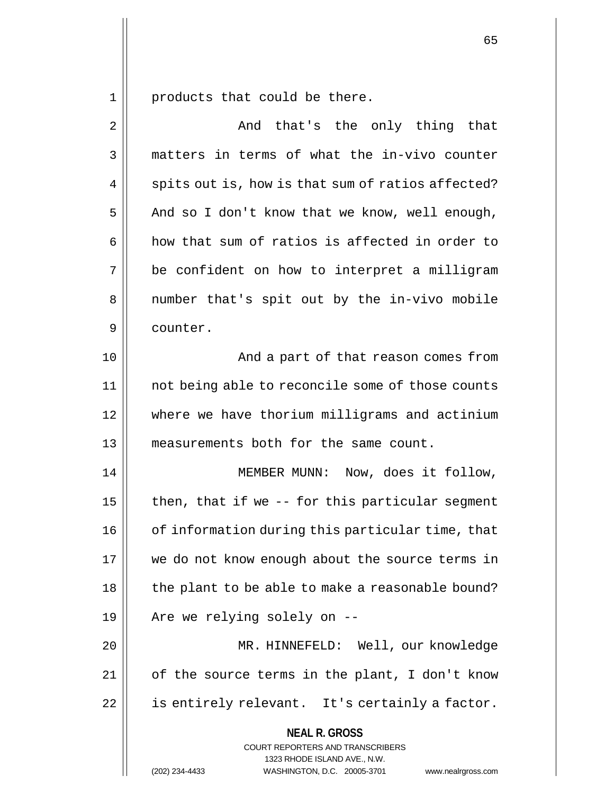$1 \parallel$  products that could be there.

| $\overline{2}$ | And that's the only thing that                                                                                                                                  |
|----------------|-----------------------------------------------------------------------------------------------------------------------------------------------------------------|
| 3              | matters in terms of what the in-vivo counter                                                                                                                    |
| 4              | spits out is, how is that sum of ratios affected?                                                                                                               |
| 5              | And so I don't know that we know, well enough,                                                                                                                  |
| 6              | how that sum of ratios is affected in order to                                                                                                                  |
| 7              | be confident on how to interpret a milligram                                                                                                                    |
| 8              | number that's spit out by the in-vivo mobile                                                                                                                    |
| 9              | counter.                                                                                                                                                        |
| 10             | And a part of that reason comes from                                                                                                                            |
| 11             | not being able to reconcile some of those counts                                                                                                                |
| 12             | where we have thorium milligrams and actinium                                                                                                                   |
| 13             | measurements both for the same count.                                                                                                                           |
| 14             | MEMBER MUNN: Now, does it follow,                                                                                                                               |
| 15             | then, that if we -- for this particular segment                                                                                                                 |
| 16             | of information during this particular time, that                                                                                                                |
| 17             | we do not know enough about the source terms in                                                                                                                 |
| 18             | the plant to be able to make a reasonable bound?                                                                                                                |
| 19             | Are we relying solely on --                                                                                                                                     |
| 20             | MR. HINNEFELD: Well, our knowledge                                                                                                                              |
| 21             | of the source terms in the plant, I don't know                                                                                                                  |
| 22             | is entirely relevant. It's certainly a factor.                                                                                                                  |
|                | <b>NEAL R. GROSS</b><br>COURT REPORTERS AND TRANSCRIBERS<br>1323 RHODE ISLAND AVE., N.W.<br>(202) 234-4433<br>WASHINGTON, D.C. 20005-3701<br>www.nealrgross.com |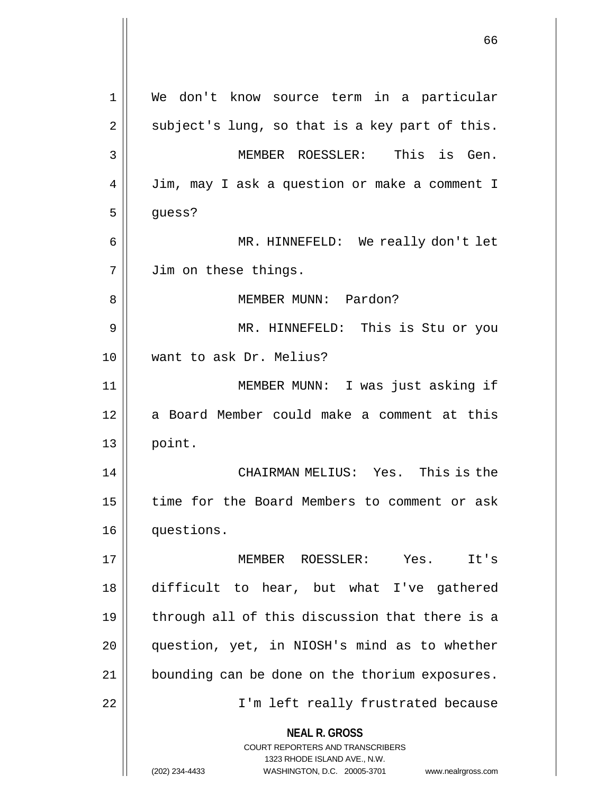|                | 66                                                                                               |
|----------------|--------------------------------------------------------------------------------------------------|
|                |                                                                                                  |
| $\mathbf 1$    | We don't know source term in a particular                                                        |
| $\overline{2}$ | subject's lung, so that is a key part of this.                                                   |
| 3              | MEMBER ROESSLER:<br>This is Gen.                                                                 |
| 4              | Jim, may I ask a question or make a comment I                                                    |
| 5              | guess?                                                                                           |
| 6              | MR. HINNEFELD: We really don't let                                                               |
| 7              | Jim on these things.                                                                             |
| 8              | MEMBER MUNN: Pardon?                                                                             |
| 9              | MR. HINNEFELD: This is Stu or you                                                                |
| 10             | want to ask Dr. Melius?                                                                          |
| 11             | MEMBER MUNN: I was just asking if                                                                |
| 12             | a Board Member could make a comment at this                                                      |
| 13             | point.                                                                                           |
| 14             | Yes. This is the<br>CHAIRMAN MELIUS:                                                             |
| 15             | time for the Board Members to comment or ask                                                     |
| 16             | questions.                                                                                       |
| 17             | MEMBER ROESSLER: Yes. It's                                                                       |
| 18             | difficult to hear, but what I've gathered                                                        |
| 19             | through all of this discussion that there is a                                                   |
| 20             | question, yet, in NIOSH's mind as to whether                                                     |
| 21             | bounding can be done on the thorium exposures.                                                   |
| 22             | I'm left really frustrated because                                                               |
|                | <b>NEAL R. GROSS</b><br>COURT REPORTERS AND TRANSCRIBERS                                         |
|                | 1323 RHODE ISLAND AVE., N.W.<br>WASHINGTON, D.C. 20005-3701 www.nealrgross.com<br>(202) 234-4433 |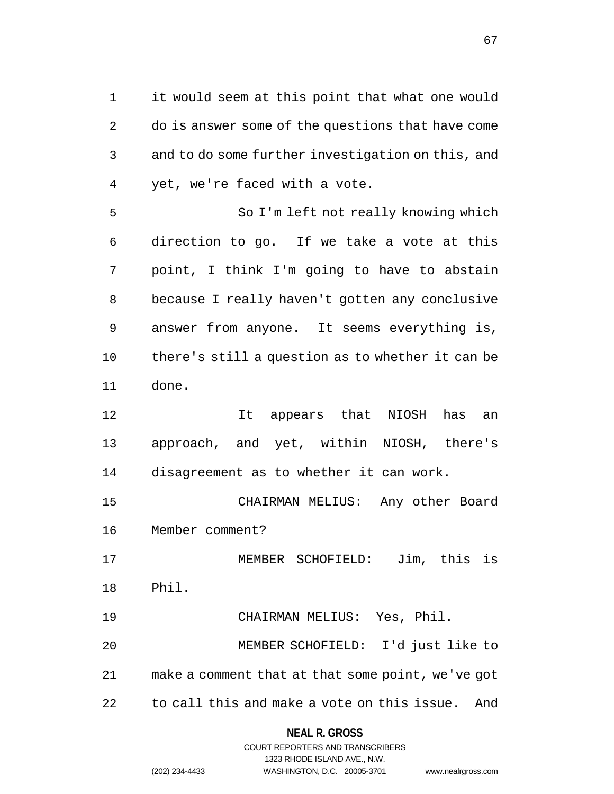**NEAL R. GROSS** COURT REPORTERS AND TRANSCRIBERS 1323 RHODE ISLAND AVE., N.W. 1 || it would seem at this point that what one would 2 | do is answer some of the questions that have come 3 || and to do some further investigation on this, and 4 | vet, we're faced with a vote. 5 || So I'm left not really knowing which  $6 \parallel$  direction to go. If we take a vote at this  $7 \parallel$  point, I think I'm going to have to abstain 8 | because I really haven't gotten any conclusive 9 answer from anyone. It seems everything is, 10 there's still a question as to whether it can be 11 done. 12 It appears that NIOSH has an 13 approach, and yet, within NIOSH, there's 14 disagreement as to whether it can work. 15 CHAIRMAN MELIUS: Any other Board 16 Member comment? 17 MEMBER SCHOFIELD: Jim, this is  $18$  || Phil. 19 CHAIRMAN MELIUS: Yes, Phil. 20 MEMBER SCHOFIELD: I'd just like to 21 make a comment that at that some point, we've got  $22$  | to call this and make a vote on this issue. And

<sup>(202) 234-4433</sup> WASHINGTON, D.C. 20005-3701 www.nealrgross.com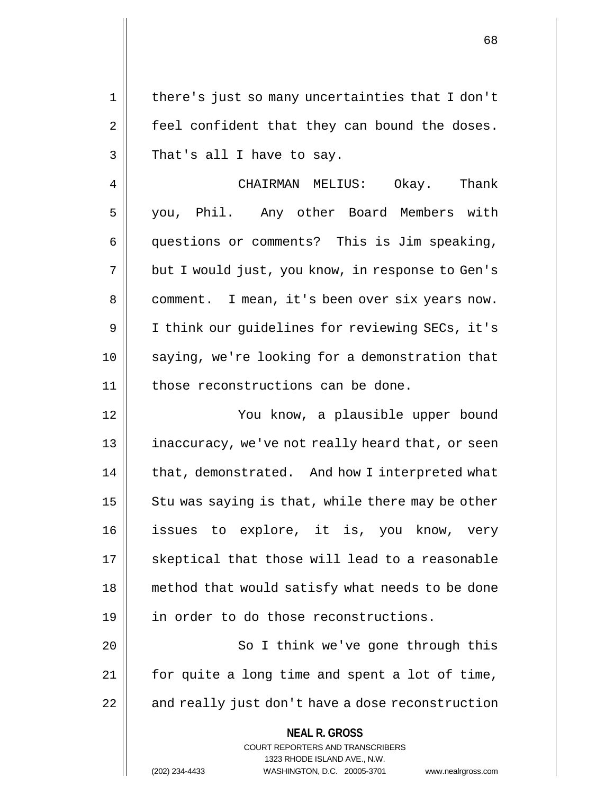1 || there's just so many uncertainties that I don't  $2 \parallel$  feel confident that they can bound the doses.  $3 \parallel$  That's all I have to say.

4 | CHAIRMAN MELIUS: Okay. Thank 5 you, Phil. Any other Board Members with 6 questions or comments? This is Jim speaking, 7 | but I would just, you know, in response to Gen's 8 || comment. I mean, it's been over six years now. 9 I think our guidelines for reviewing SECs, it's 10 saying, we're looking for a demonstration that 11 || those reconstructions can be done.

12 You know, a plausible upper bound 13 || inaccuracy, we've not really heard that, or seen 14 | that, demonstrated. And how I interpreted what 15  $\parallel$  Stu was saying is that, while there may be other 16 issues to explore, it is, you know, very 17 || skeptical that those will lead to a reasonable 18 || method that would satisfy what needs to be done 19 || in order to do those reconstructions.

20 || So I think we've gone through this 21 for quite a long time and spent a lot of time,  $22$  | and really just don't have a dose reconstruction

## **NEAL R. GROSS**

COURT REPORTERS AND TRANSCRIBERS 1323 RHODE ISLAND AVE., N.W. (202) 234-4433 WASHINGTON, D.C. 20005-3701 www.nealrgross.com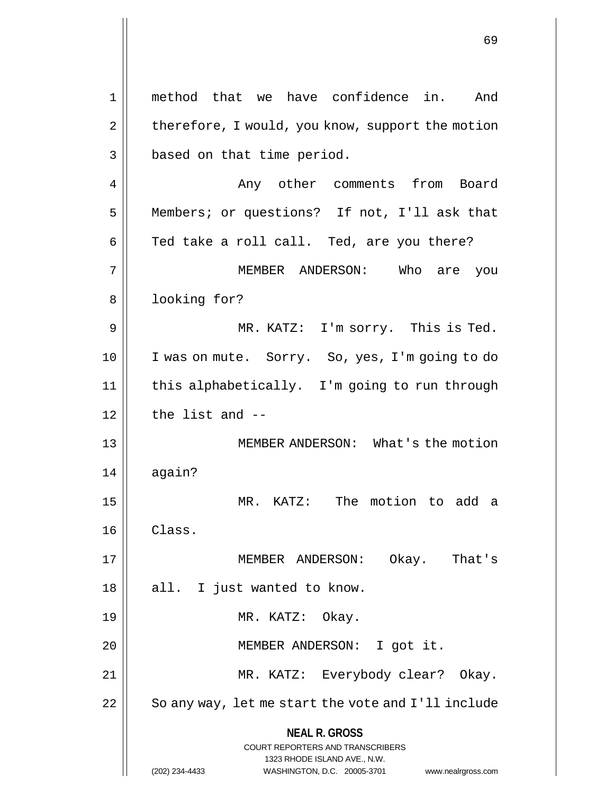**NEAL R. GROSS** COURT REPORTERS AND TRANSCRIBERS 1323 RHODE ISLAND AVE., N.W. (202) 234-4433 WASHINGTON, D.C. 20005-3701 www.nealrgross.com 1 || method that we have confidence in. And 2 | therefore, I would, you know, support the motion 3 | based on that time period. 4 | Any other comments from Board 5 Members; or questions? If not, I'll ask that  $6 \parallel$  Ted take a roll call. Ted, are you there? 7 MEMBER ANDERSON: Who are you 8 || looking for? 9 MR. KATZ: I'm sorry. This is Ted. 10 || I was on mute. Sorry. So, yes, I'm going to do 11 this alphabetically. I'm going to run through  $12$   $\parallel$  the list and  $-$ 13 || MEMBER ANDERSON: What's the motion 14 | again? 15 MR. KATZ: The motion to add a 16 Class. 17 MEMBER ANDERSON: Okay. That's  $18 \parallel$  all. I just wanted to know. 19 || MR. KATZ: Okay. 20 || **MEMBER ANDERSON:** I got it. 21 MR. KATZ: Everybody clear? Okay.  $22$   $\vert$  So any way, let me start the vote and I'll include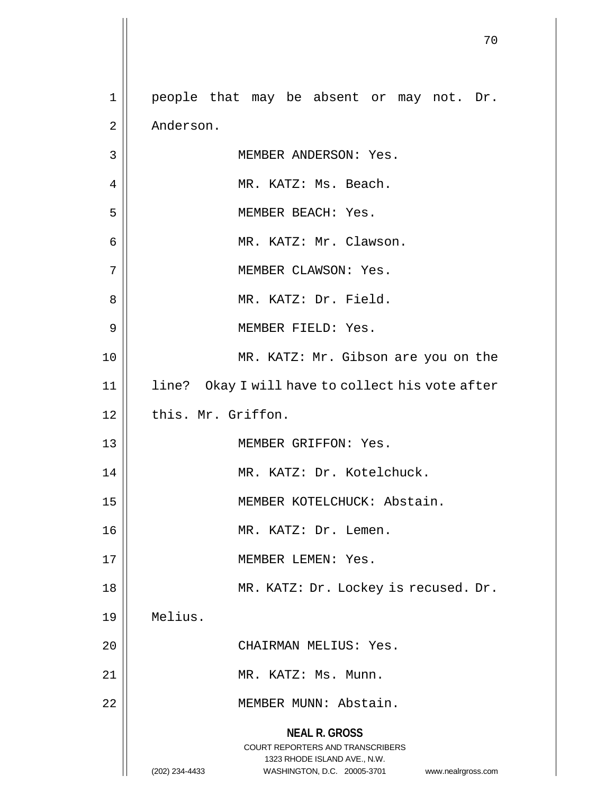|                | 70                                                                                                                                                              |
|----------------|-----------------------------------------------------------------------------------------------------------------------------------------------------------------|
| 1              | people that may be absent or may not. Dr.                                                                                                                       |
| $\overline{2}$ | Anderson.                                                                                                                                                       |
| 3              | MEMBER ANDERSON: Yes.                                                                                                                                           |
| 4              | MR. KATZ: Ms. Beach.                                                                                                                                            |
| 5              | MEMBER BEACH: Yes.                                                                                                                                              |
| 6              | MR. KATZ: Mr. Clawson.                                                                                                                                          |
| 7              | MEMBER CLAWSON: Yes.                                                                                                                                            |
| 8              | MR. KATZ: Dr. Field.                                                                                                                                            |
| 9              | MEMBER FIELD: Yes.                                                                                                                                              |
| 10             | MR. KATZ: Mr. Gibson are you on the                                                                                                                             |
| 11             | line? Okay I will have to collect his vote after                                                                                                                |
| 12             | this. Mr. Griffon.                                                                                                                                              |
| 13             | MEMBER GRIFFON: Yes.                                                                                                                                            |
| 14             | MR. KATZ: Dr. Kotelchuck.                                                                                                                                       |
| 15             | MEMBER KOTELCHUCK: Abstain.                                                                                                                                     |
| 16             | MR. KATZ: Dr. Lemen.                                                                                                                                            |
| 17             | MEMBER LEMEN: Yes.                                                                                                                                              |
| 18             | MR. KATZ: Dr. Lockey is recused. Dr.                                                                                                                            |
| 19             | Melius.                                                                                                                                                         |
| 20             | CHAIRMAN MELIUS: Yes.                                                                                                                                           |
| 21             | MR. KATZ: Ms. Munn.                                                                                                                                             |
| 22             | MEMBER MUNN: Abstain.                                                                                                                                           |
|                | <b>NEAL R. GROSS</b><br>COURT REPORTERS AND TRANSCRIBERS<br>1323 RHODE ISLAND AVE., N.W.<br>WASHINGTON, D.C. 20005-3701<br>(202) 234-4433<br>www.nealrgross.com |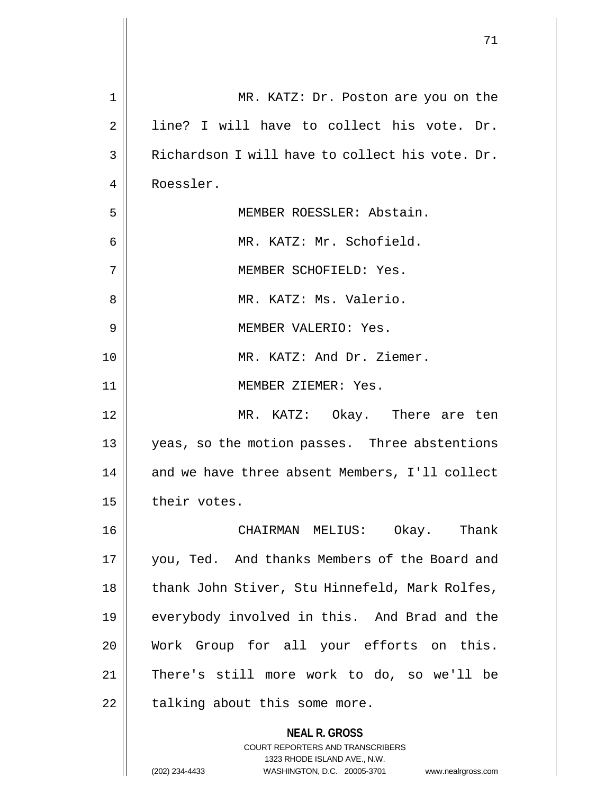|    | 71                                                                                                                                                                     |
|----|------------------------------------------------------------------------------------------------------------------------------------------------------------------------|
| 1  | MR. KATZ: Dr. Poston are you on the                                                                                                                                    |
| 2  | line? I will have to collect his vote. Dr.                                                                                                                             |
| 3  | Richardson I will have to collect his vote. Dr.                                                                                                                        |
| 4  | Roessler.                                                                                                                                                              |
| 5  | MEMBER ROESSLER: Abstain.                                                                                                                                              |
| 6  | MR. KATZ: Mr. Schofield.                                                                                                                                               |
| 7  | MEMBER SCHOFIELD: Yes.                                                                                                                                                 |
| 8  | MR. KATZ: Ms. Valerio.                                                                                                                                                 |
| 9  | MEMBER VALERIO: Yes.                                                                                                                                                   |
| 10 | MR. KATZ: And Dr. Ziemer.                                                                                                                                              |
| 11 | MEMBER ZIEMER: Yes.                                                                                                                                                    |
| 12 | MR. KATZ: Okay. There are ten                                                                                                                                          |
| 13 | yeas, so the motion passes. Three abstentions                                                                                                                          |
| 14 | and we have three absent Members, I'll collect                                                                                                                         |
| 15 | their votes.                                                                                                                                                           |
| 16 | CHAIRMAN MELIUS: Okay. Thank                                                                                                                                           |
| 17 | you, Ted. And thanks Members of the Board and                                                                                                                          |
| 18 | thank John Stiver, Stu Hinnefeld, Mark Rolfes,                                                                                                                         |
| 19 | everybody involved in this. And Brad and the                                                                                                                           |
| 20 | Work Group for all your efforts on this.                                                                                                                               |
| 21 | There's still more work to do, so we'll be                                                                                                                             |
| 22 | talking about this some more.                                                                                                                                          |
|    | <b>NEAL R. GROSS</b><br><b>COURT REPORTERS AND TRANSCRIBERS</b><br>1323 RHODE ISLAND AVE., N.W.<br>(202) 234-4433<br>WASHINGTON, D.C. 20005-3701<br>www.nealrgross.com |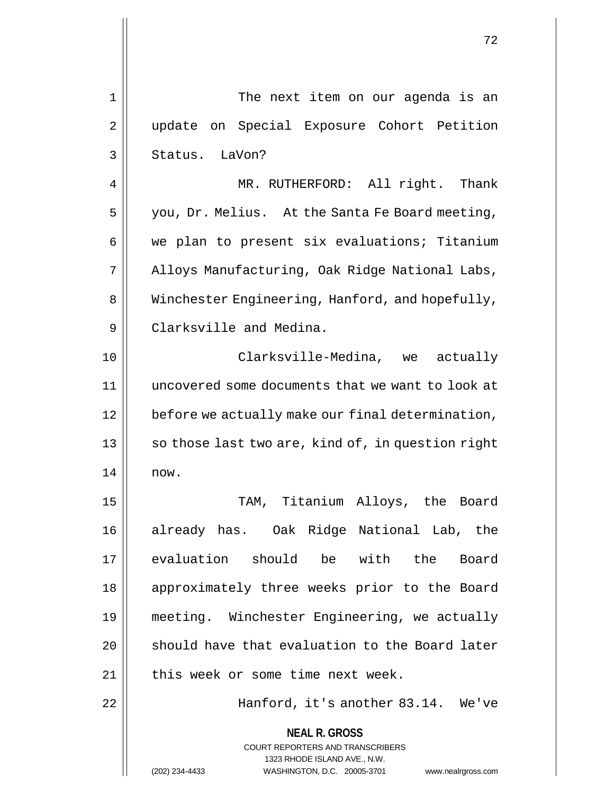| $1\,$ | The next item on our agenda is an                                                                                                                                      |
|-------|------------------------------------------------------------------------------------------------------------------------------------------------------------------------|
| 2     | update on Special Exposure Cohort Petition                                                                                                                             |
| 3     | Status. LaVon?                                                                                                                                                         |
| 4     | MR. RUTHERFORD: All right. Thank                                                                                                                                       |
| 5     | you, Dr. Melius. At the Santa Fe Board meeting,                                                                                                                        |
| 6     | we plan to present six evaluations; Titanium                                                                                                                           |
| 7     | Alloys Manufacturing, Oak Ridge National Labs,                                                                                                                         |
| 8     | Winchester Engineering, Hanford, and hopefully,                                                                                                                        |
| 9     | Clarksville and Medina.                                                                                                                                                |
| 10    | Clarksville-Medina, we actually                                                                                                                                        |
| 11    | uncovered some documents that we want to look at                                                                                                                       |
| 12    | before we actually make our final determination,                                                                                                                       |
| 13    | so those last two are, kind of, in question right                                                                                                                      |
| 14    | now.                                                                                                                                                                   |
| 15    | TAM, Titanium Alloys, the Board                                                                                                                                        |
| 16    | already has. Oak Ridge National Lab, the                                                                                                                               |
| 17    | evaluation should be with the<br>Board                                                                                                                                 |
| 18    | approximately three weeks prior to the Board                                                                                                                           |
| 19    | meeting. Winchester Engineering, we actually                                                                                                                           |
| 20    | should have that evaluation to the Board later                                                                                                                         |
| 21    | this week or some time next week.                                                                                                                                      |
| 22    | Hanford, it's another 83.14. We've                                                                                                                                     |
|       | <b>NEAL R. GROSS</b><br><b>COURT REPORTERS AND TRANSCRIBERS</b><br>1323 RHODE ISLAND AVE., N.W.<br>(202) 234-4433<br>WASHINGTON, D.C. 20005-3701<br>www.nealrgross.com |

 $\mathsf{II}$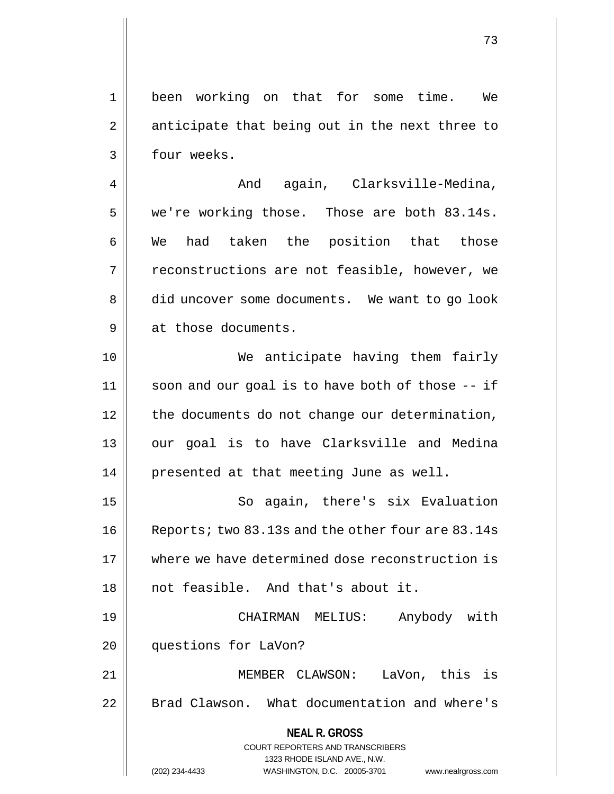1 been working on that for some time. We  $2 \parallel$  anticipate that being out in the next three to 3 | four weeks.

4 | Romandagain, Clarksville-Medina, 5 | we're working those. Those are both 83.14s. 6 We had taken the position that those 7 || reconstructions are not feasible, however, we 8 | did uncover some documents. We want to go look 9 || at those documents.

10 We anticipate having them fairly 11 || soon and our goal is to have both of those -- if 12 | the documents do not change our determination, 13 || our goal is to have Clarksville and Medina 14 || presented at that meeting June as well.

15 || So again, there's six Evaluation 16 | Reports; two 83.13s and the other four are 83.14s 17 where we have determined dose reconstruction is 18 || not feasible. And that's about it.

19 CHAIRMAN MELIUS: Anybody with 20 | questions for LaVon?

21 MEMBER CLAWSON: LaVon, this is 22 | Brad Clawson. What documentation and where's

**NEAL R. GROSS**

COURT REPORTERS AND TRANSCRIBERS 1323 RHODE ISLAND AVE., N.W. (202) 234-4433 WASHINGTON, D.C. 20005-3701 www.nealrgross.com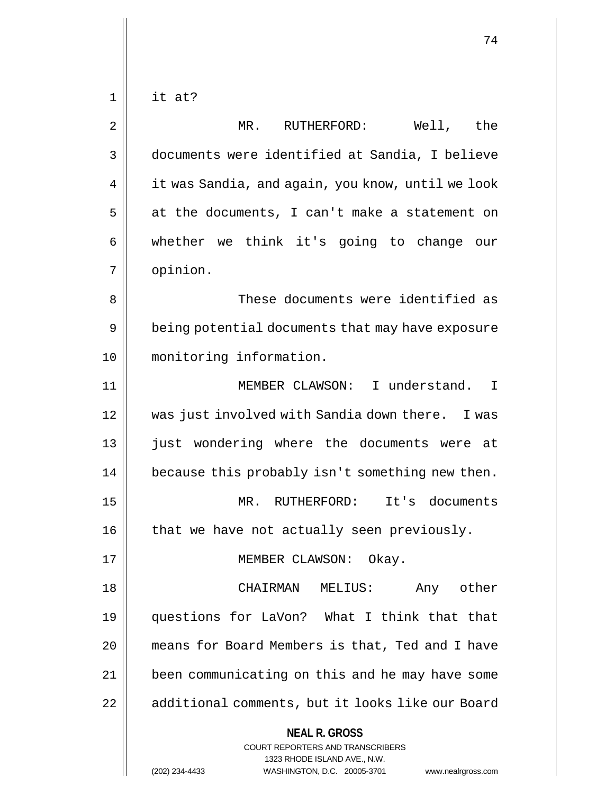**NEAL R. GROSS** COURT REPORTERS AND TRANSCRIBERS 1323 RHODE ISLAND AVE., N.W.  $1 \parallel$  it at? 2 MR. RUTHERFORD: Well, the 3 documents were identified at Sandia, I believe 4 | it was Sandia, and again, you know, until we look  $5 \parallel$  at the documents, I can't make a statement on  $6 \parallel$  whether we think it's going to change our 7 opinion. 8 These documents were identified as 9 | being potential documents that may have exposure 10 monitoring information. 11 MEMBER CLAWSON: I understand. I 12 was just involved with Sandia down there. I was 13 || just wondering where the documents were at 14 || because this probably isn't something new then. 15 MR. RUTHERFORD: It's documents  $16$  | that we have not actually seen previously. 17 || MEMBER CLAWSON: Okay. 18 CHAIRMAN MELIUS: Any other 19 questions for LaVon? What I think that that 20 means for Board Members is that, Ted and I have 21 | been communicating on this and he may have some 22 | additional comments, but it looks like our Board

(202) 234-4433 WASHINGTON, D.C. 20005-3701 www.nealrgross.com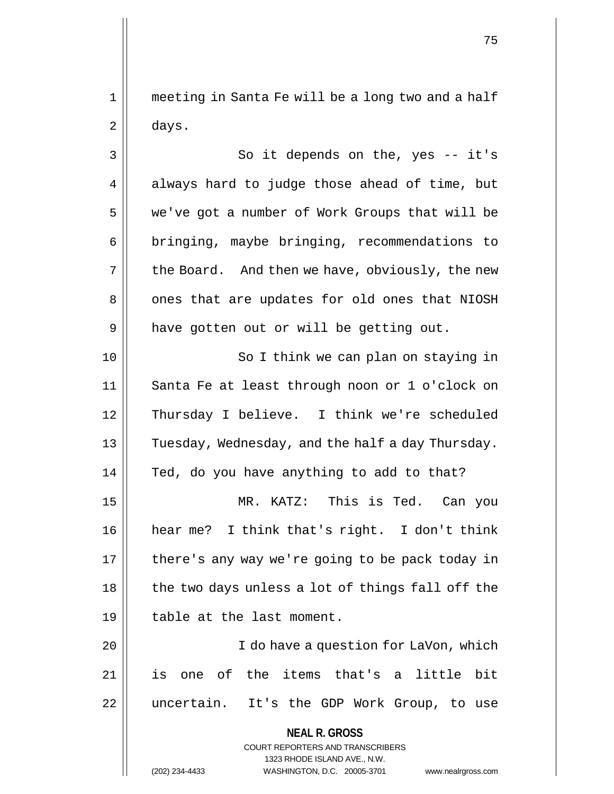1 meeting in Santa Fe will be a long two and a half  $2 \parallel$  days.

3 || So it depends on the, yes -- it's  $4 \parallel$  always hard to judge those ahead of time, but 5 we've got a number of Work Groups that will be 6 | bringing, maybe bringing, recommendations to  $7 \parallel$  the Board. And then we have, obviously, the new 8 || ones that are updates for old ones that NIOSH  $9 \parallel$  have gotten out or will be getting out.

10 || So I think we can plan on staying in 11 Santa Fe at least through noon or 1 o'clock on 12 Thursday I believe. I think we're scheduled 13 || Tuesday, Wednesday, and the half a day Thursday. 14 || Ted, do you have anything to add to that?

15 MR. KATZ: This is Ted. Can you 16 hear me? I think that's right. I don't think 17 || there's any way we're going to be pack today in  $18$  || the two days unless a lot of things fall off the 19 || table at the last moment.

20 I do have a question for LaVon, which 21 is one of the items that's a little bit 22 || uncertain. It's the GDP Work Group, to use

> **NEAL R. GROSS** COURT REPORTERS AND TRANSCRIBERS 1323 RHODE ISLAND AVE., N.W. (202) 234-4433 WASHINGTON, D.C. 20005-3701 www.nealrgross.com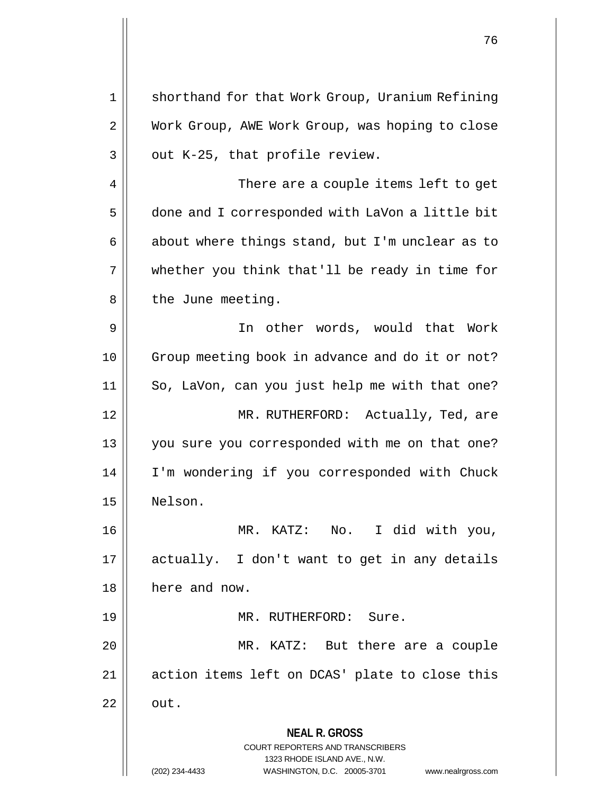**NEAL R. GROSS** COURT REPORTERS AND TRANSCRIBERS 1323 RHODE ISLAND AVE., N.W. (202) 234-4433 WASHINGTON, D.C. 20005-3701 www.nealrgross.com 1 || shorthand for that Work Group, Uranium Refining 2 | Work Group, AWE Work Group, was hoping to close  $3 \parallel$  out K-25, that profile review. 4 || There are a couple items left to get 5 done and I corresponded with LaVon a little bit 6  $\parallel$  about where things stand, but I'm unclear as to  $7 \parallel$  whether you think that'll be ready in time for 8 | the June meeting. 9 In other words, would that Work 10 Group meeting book in advance and do it or not? 11 So, LaVon, can you just help me with that one? 12 || MR. RUTHERFORD: Actually, Ted, are 13 || you sure you corresponded with me on that one? 14 I'm wondering if you corresponded with Chuck 15 Nelson. 16 MR. KATZ: No. I did with you, 17 actually. I don't want to get in any details 18 | here and now. 19 MR. RUTHERFORD: Sure. 20 MR. KATZ: But there are a couple 21 || action items left on DCAS' plate to close this  $22 \parallel \quad \text{out.}$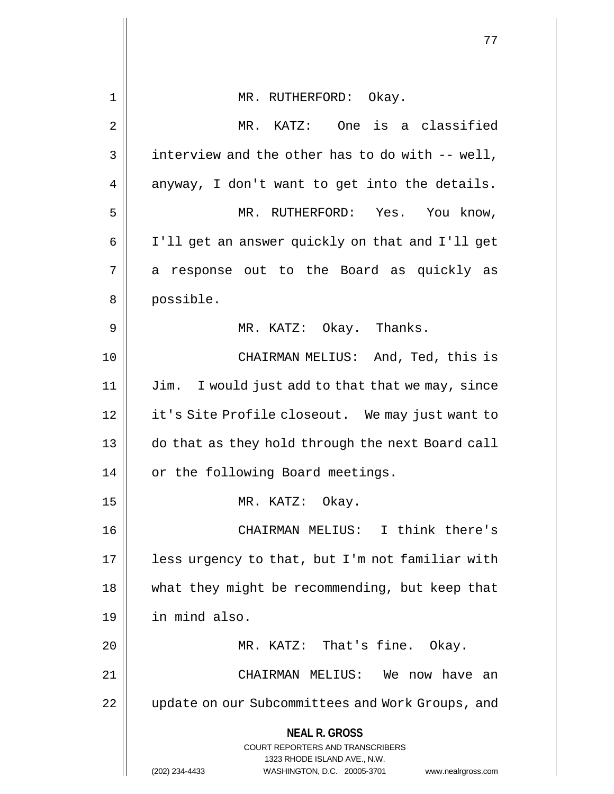|             | 77                                                                                                  |  |  |  |
|-------------|-----------------------------------------------------------------------------------------------------|--|--|--|
|             |                                                                                                     |  |  |  |
| $\mathbf 1$ | MR. RUTHERFORD: Okay.                                                                               |  |  |  |
| 2           | MR. KATZ: One is a classified                                                                       |  |  |  |
| 3           | interview and the other has to do with -- well,                                                     |  |  |  |
| 4           | anyway, I don't want to get into the details.                                                       |  |  |  |
| 5           | MR. RUTHERFORD: Yes. You know,                                                                      |  |  |  |
| 6           | I'll get an answer quickly on that and I'll get                                                     |  |  |  |
| 7           | a response out to the Board as quickly as                                                           |  |  |  |
| 8           | possible.                                                                                           |  |  |  |
| 9           | MR. KATZ: Okay. Thanks.                                                                             |  |  |  |
| 10          | CHAIRMAN MELIUS: And, Ted, this is                                                                  |  |  |  |
| 11          | Jim. I would just add to that that we may, since                                                    |  |  |  |
| 12          | it's Site Profile closeout. We may just want to                                                     |  |  |  |
| 13          | do that as they hold through the next Board call                                                    |  |  |  |
| 14          | or the following Board meetings.                                                                    |  |  |  |
| 15          | MR. KATZ: Okay.                                                                                     |  |  |  |
| 16          | CHAIRMAN MELIUS: I think there's                                                                    |  |  |  |
| 17          | less urgency to that, but I'm not familiar with                                                     |  |  |  |
| 18          | what they might be recommending, but keep that                                                      |  |  |  |
| 19          | in mind also.                                                                                       |  |  |  |
| 20          | MR. KATZ: That's fine. Okay.                                                                        |  |  |  |
| 21          | CHAIRMAN MELIUS: We now have an                                                                     |  |  |  |
| 22          | update on our Subcommittees and Work Groups, and                                                    |  |  |  |
|             | <b>NEAL R. GROSS</b>                                                                                |  |  |  |
|             | COURT REPORTERS AND TRANSCRIBERS                                                                    |  |  |  |
|             | 1323 RHODE ISLAND AVE., N.W.<br>(202) 234-4433<br>WASHINGTON, D.C. 20005-3701<br>www.nealrgross.com |  |  |  |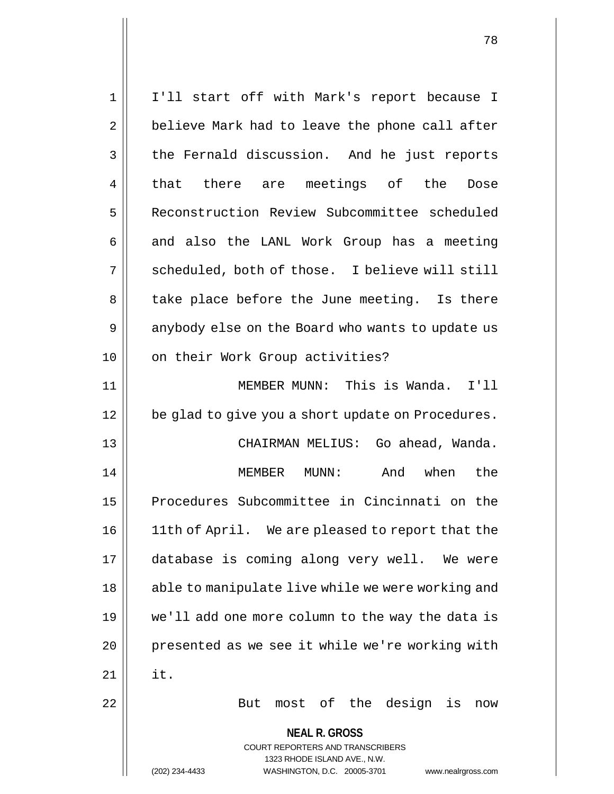**NEAL R. GROSS** COURT REPORTERS AND TRANSCRIBERS 1323 RHODE ISLAND AVE., N.W. (202) 234-4433 WASHINGTON, D.C. 20005-3701 www.nealrgross.com 1 I'll start off with Mark's report because I  $2 \parallel$  believe Mark had to leave the phone call after 3 the Fernald discussion. And he just reports 4 || that there are meetings of the Dose 5 Reconstruction Review Subcommittee scheduled  $6 \parallel$  and also the LANL Work Group has a meeting 7 || scheduled, both of those. I believe will still 8 || take place before the June meeting. Is there 9 || anybody else on the Board who wants to update us 10 || on their Work Group activities? 11 MEMBER MUNN: This is Wanda. I'll 12 || be glad to give you a short update on Procedures. 13 CHAIRMAN MELIUS: Go ahead, Wanda. 14 MEMBER MUNN: And when the 15 Procedures Subcommittee in Cincinnati on the 16 || 11th of April. We are pleased to report that the 17 database is coming along very well. We were 18 || able to manipulate live while we were working and 19 we'll add one more column to the way the data is 20 || presented as we see it while we're working with  $21$  II it. 22 || But most of the design is now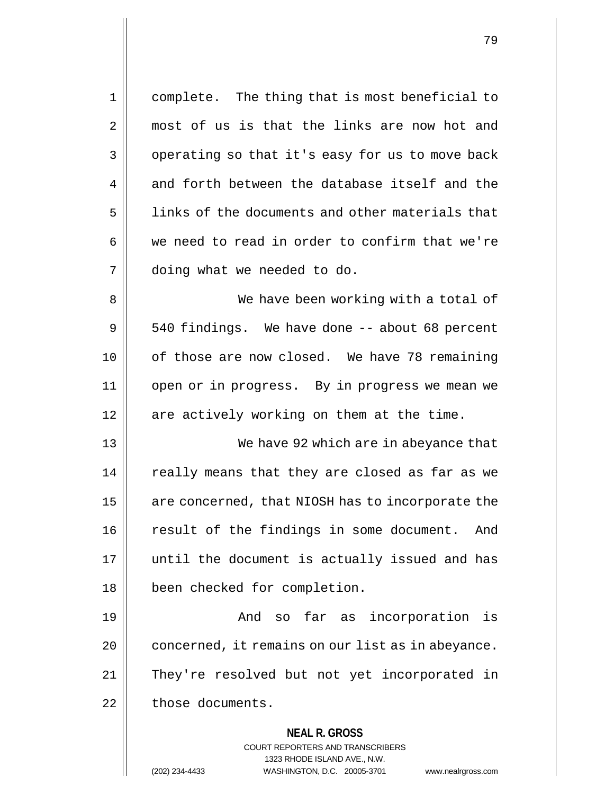| 1  | complete. The thing that is most beneficial to                                                                                                                         |  |  |  |
|----|------------------------------------------------------------------------------------------------------------------------------------------------------------------------|--|--|--|
| 2  | most of us is that the links are now hot and                                                                                                                           |  |  |  |
| 3  | operating so that it's easy for us to move back                                                                                                                        |  |  |  |
| 4  | and forth between the database itself and the                                                                                                                          |  |  |  |
| 5  | links of the documents and other materials that                                                                                                                        |  |  |  |
| 6  | we need to read in order to confirm that we're                                                                                                                         |  |  |  |
| 7  | doing what we needed to do.                                                                                                                                            |  |  |  |
| 8  | We have been working with a total of                                                                                                                                   |  |  |  |
| 9  | 540 findings. We have done -- about 68 percent                                                                                                                         |  |  |  |
| 10 | of those are now closed. We have 78 remaining                                                                                                                          |  |  |  |
| 11 | open or in progress. By in progress we mean we                                                                                                                         |  |  |  |
| 12 | are actively working on them at the time.                                                                                                                              |  |  |  |
| 13 | We have 92 which are in abeyance that                                                                                                                                  |  |  |  |
| 14 | really means that they are closed as far as we                                                                                                                         |  |  |  |
| 15 | are concerned, that NIOSH has to incorporate the                                                                                                                       |  |  |  |
| 16 | result of the findings in some document.<br>And                                                                                                                        |  |  |  |
| 17 | until the document is actually issued and has                                                                                                                          |  |  |  |
| 18 | been checked for completion.                                                                                                                                           |  |  |  |
| 19 | so far as incorporation is<br>And                                                                                                                                      |  |  |  |
| 20 | concerned, it remains on our list as in abeyance.                                                                                                                      |  |  |  |
| 21 | They're resolved but not yet incorporated in                                                                                                                           |  |  |  |
| 22 | those documents.                                                                                                                                                       |  |  |  |
|    | <b>NEAL R. GROSS</b><br><b>COURT REPORTERS AND TRANSCRIBERS</b><br>1323 RHODE ISLAND AVE., N.W.<br>(202) 234-4433<br>WASHINGTON, D.C. 20005-3701<br>www.nealrgross.com |  |  |  |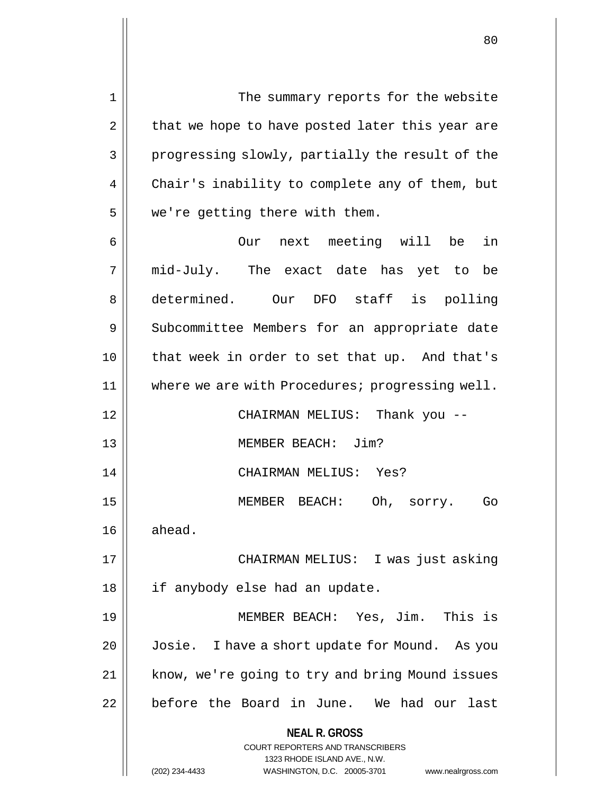1 The summary reports for the website  $2 \parallel$  that we hope to have posted later this year are 3 progressing slowly, partially the result of the 4 | Chair's inability to complete any of them, but 5 | we're getting there with them. 6 Our next meeting will be in 7 mid-July. The exact date has yet to be 8 determined. Our DFO staff is polling 9 Subcommittee Members for an appropriate date 10 that week in order to set that up. And that's 11 | where we are with Procedures; progressing well. 12 CHAIRMAN MELIUS: Thank you -- 13 MEMBER BEACH: Jim? 14 CHAIRMAN MELIUS: Yes? 15 MEMBER BEACH: Oh, sorry. Go  $16 \parallel$  ahead.

17 || CHAIRMAN MELIUS: I was just asking 18 if anybody else had an update.

19 MEMBER BEACH: Yes, Jim. This is 20 Josie. I have a short update for Mound. As you 21 || know, we're going to try and bring Mound issues 22 || before the Board in June. We had our last

**NEAL R. GROSS**

COURT REPORTERS AND TRANSCRIBERS 1323 RHODE ISLAND AVE., N.W. (202) 234-4433 WASHINGTON, D.C. 20005-3701 www.nealrgross.com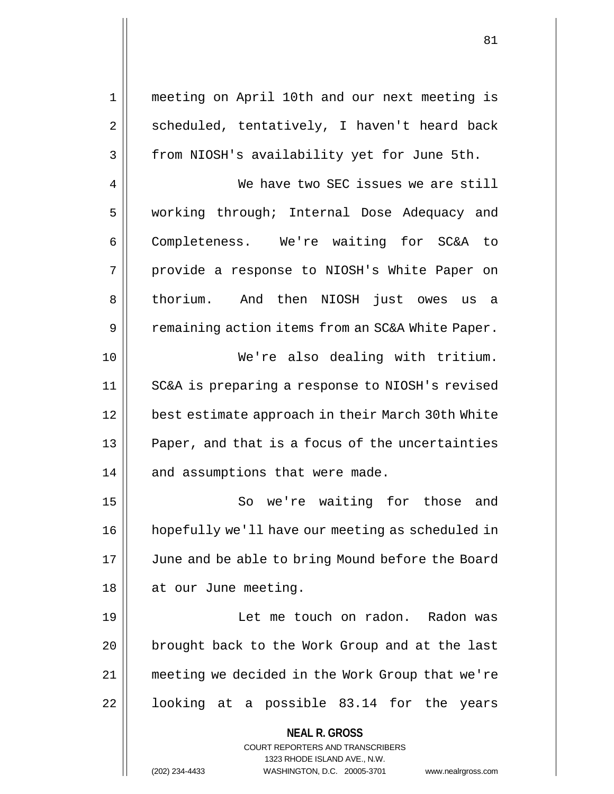1 meeting on April 10th and our next meeting is  $2 \parallel$  scheduled, tentatively, I haven't heard back 3 | from NIOSH's availability yet for June 5th.

4 We have two SEC issues we are still 5 working through; Internal Dose Adequacy and 6 Completeness. We're waiting for SC&A to 7 || provide a response to NIOSH's White Paper on 8 || thorium. And then NIOSH just owes us a 9 | Pemaining action items from an SC&A White Paper. 10 || We're also dealing with tritium. 11 SC&A is preparing a response to NIOSH's revised 12 best estimate approach in their March 30th White  $13$  | Paper, and that is a focus of the uncertainties  $14$  | and assumptions that were made.

15 || So we're waiting for those and 16 hopefully we'll have our meeting as scheduled in 17 || June and be able to bring Mound before the Board 18 || at our June meeting.

19 Let me touch on radon. Radon was 20 || brought back to the Work Group and at the last 21 meeting we decided in the Work Group that we're 22 || looking at a possible 83.14 for the years

> **NEAL R. GROSS** COURT REPORTERS AND TRANSCRIBERS

> > 1323 RHODE ISLAND AVE., N.W.

(202) 234-4433 WASHINGTON, D.C. 20005-3701 www.nealrgross.com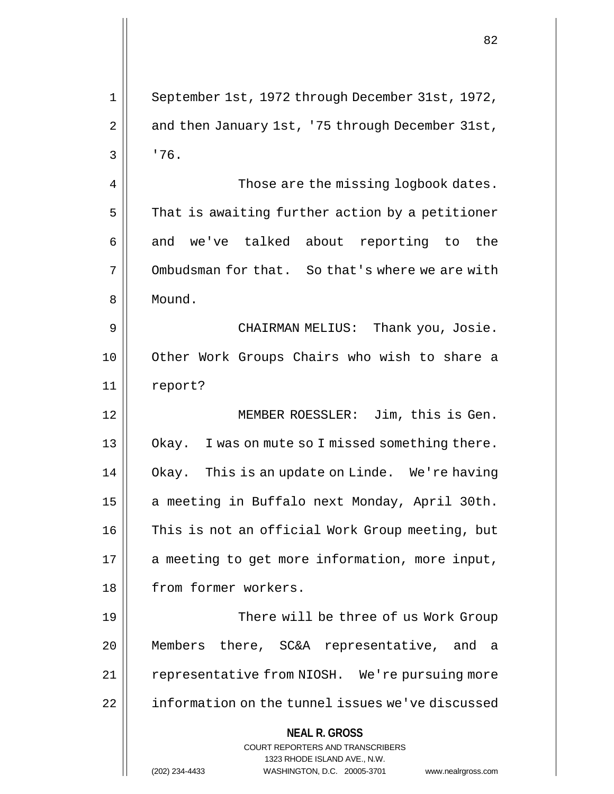**NEAL R. GROSS** COURT REPORTERS AND TRANSCRIBERS 1323 RHODE ISLAND AVE., N.W. 1 September 1st, 1972 through December 31st, 1972,  $2 \parallel$  and then January 1st, '75 through December 31st,  $3 \mid 76$ . 4 | Those are the missing logbook dates.  $5$  That is awaiting further action by a petitioner  $6 \parallel$  and we've talked about reporting to the 7 | Ombudsman for that. So that's where we are with 8 Mound. 9 CHAIRMAN MELIUS: Thank you, Josie. 10 Other Work Groups Chairs who wish to share a 11 report? 12 MEMBER ROESSLER: Jim, this is Gen. 13 || Okay. I was on mute so I missed something there. 14 Okay. This is an update on Linde. We're having 15 | a meeting in Buffalo next Monday, April 30th. 16 || This is not an official Work Group meeting, but  $17$  | a meeting to get more information, more input, 18 || from former workers. 19 || There will be three of us Work Group 20 Members there, SC&A representative, and a 21 || representative from NIOSH. We're pursuing more 22 | information on the tunnel issues we've discussed

(202) 234-4433 WASHINGTON, D.C. 20005-3701 www.nealrgross.com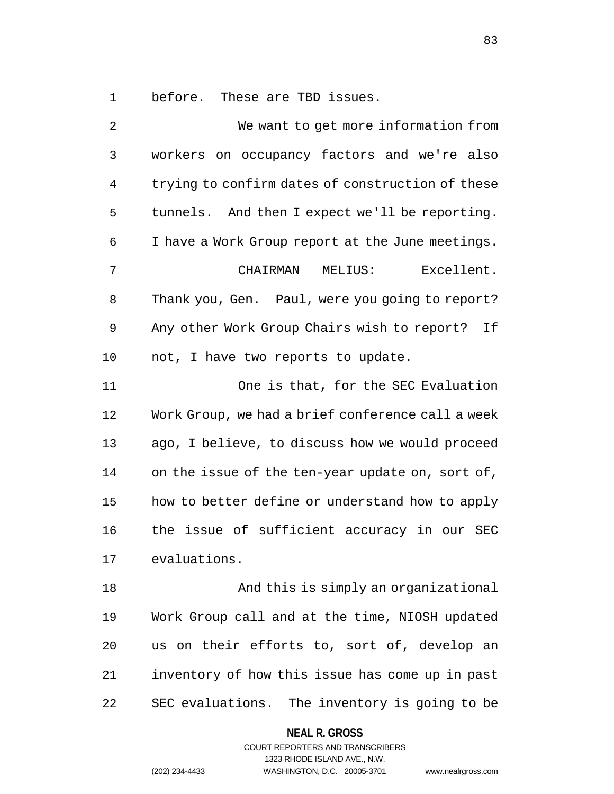1 before. These are TBD issues.

| $\overline{2}$ | We want to get more information from                                                                                                                            |  |  |  |  |
|----------------|-----------------------------------------------------------------------------------------------------------------------------------------------------------------|--|--|--|--|
| 3              | workers on occupancy factors and we're also                                                                                                                     |  |  |  |  |
| 4              | trying to confirm dates of construction of these                                                                                                                |  |  |  |  |
| 5              | tunnels. And then I expect we'll be reporting.                                                                                                                  |  |  |  |  |
| 6              | I have a Work Group report at the June meetings.                                                                                                                |  |  |  |  |
| 7              | CHAIRMAN MELIUS:<br>Excellent.                                                                                                                                  |  |  |  |  |
| 8              | Thank you, Gen. Paul, were you going to report?                                                                                                                 |  |  |  |  |
| 9              | Any other Work Group Chairs wish to report?<br>If                                                                                                               |  |  |  |  |
| 10             | not, I have two reports to update.                                                                                                                              |  |  |  |  |
| 11             | One is that, for the SEC Evaluation                                                                                                                             |  |  |  |  |
| 12             | Work Group, we had a brief conference call a week                                                                                                               |  |  |  |  |
| 13             | ago, I believe, to discuss how we would proceed                                                                                                                 |  |  |  |  |
| 14             | on the issue of the ten-year update on, sort of,                                                                                                                |  |  |  |  |
| 15             | how to better define or understand how to apply                                                                                                                 |  |  |  |  |
| 16             | the issue of sufficient accuracy in our SEC                                                                                                                     |  |  |  |  |
| 17             | evaluations.                                                                                                                                                    |  |  |  |  |
| 18             | And this is simply an organizational                                                                                                                            |  |  |  |  |
| 19             | Work Group call and at the time, NIOSH updated                                                                                                                  |  |  |  |  |
| 20             | us on their efforts to, sort of, develop an                                                                                                                     |  |  |  |  |
| 21             | inventory of how this issue has come up in past                                                                                                                 |  |  |  |  |
| 22             | SEC evaluations. The inventory is going to be                                                                                                                   |  |  |  |  |
|                | <b>NEAL R. GROSS</b><br>COURT REPORTERS AND TRANSCRIBERS<br>1323 RHODE ISLAND AVE., N.W.<br>(202) 234-4433<br>WASHINGTON, D.C. 20005-3701<br>www.nealrgross.com |  |  |  |  |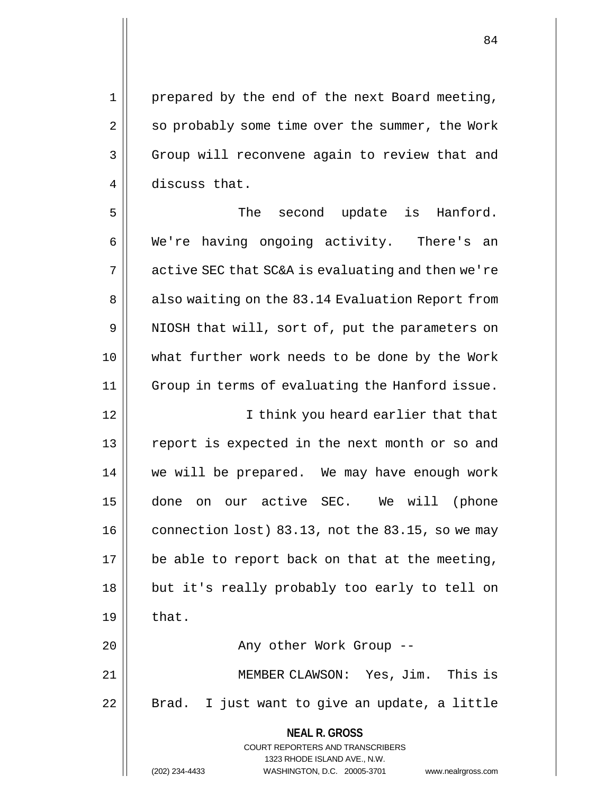1 || prepared by the end of the next Board meeting, 2 | so probably some time over the summer, the Work 3 Group will reconvene again to review that and 4 discuss that.

5 || The second update is Hanford. 6 We're having ongoing activity. There's an  $7 \parallel$  active SEC that SC&A is evaluating and then we're 8 || also waiting on the 83.14 Evaluation Report from 9 || NIOSH that will, sort of, put the parameters on 10 what further work needs to be done by the Work 11 Group in terms of evaluating the Hanford issue. 12 || I think you heard earlier that that 13 || report is expected in the next month or so and 14 we will be prepared. We may have enough work 15 done on our active SEC. We will (phone  $16$  connection lost) 83.13, not the 83.15, so we may  $17$  | be able to report back on that at the meeting, 18 || but it's really probably too early to tell on  $19 \parallel$  that. 20 || Any other Work Group --

21 MEMBER CLAWSON: Yes, Jim. This is 22 || Brad. I just want to give an update, a little

> **NEAL R. GROSS** COURT REPORTERS AND TRANSCRIBERS 1323 RHODE ISLAND AVE., N.W. (202) 234-4433 WASHINGTON, D.C. 20005-3701 www.nealrgross.com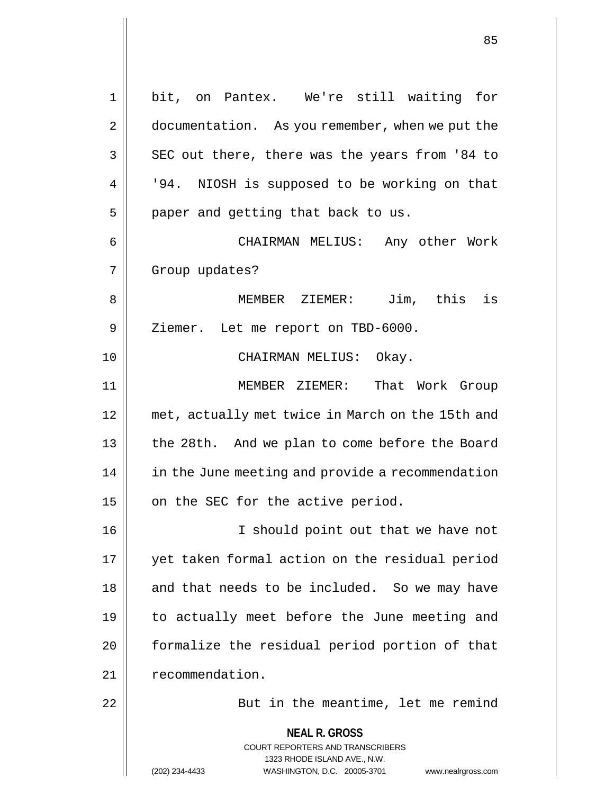**NEAL R. GROSS** COURT REPORTERS AND TRANSCRIBERS 1323 RHODE ISLAND AVE., N.W. (202) 234-4433 WASHINGTON, D.C. 20005-3701 www.nealrgross.com 1 bit, on Pantex. We're still waiting for 2 | documentation. As you remember, when we put the  $3 \parallel$  SEC out there, there was the years from '84 to 4 | '94. NIOSH is supposed to be working on that  $5$  | paper and getting that back to us. 6 CHAIRMAN MELIUS: Any other Work 7 Group updates? 8 MEMBER ZIEMER: Jim, this is 9 | Ziemer. Let me report on TBD-6000. 10 || CHAIRMAN MELIUS: Okay. 11 MEMBER ZIEMER: That Work Group 12 met, actually met twice in March on the 15th and 13 || the 28th. And we plan to come before the Board 14 | in the June meeting and provide a recommendation  $15$  | on the SEC for the active period. 16 || I should point out that we have not 17 yet taken formal action on the residual period 18 || and that needs to be included. So we may have 19 to actually meet before the June meeting and 20 | formalize the residual period portion of that 21 | recommendation. 22 | But in the meantime, let me remind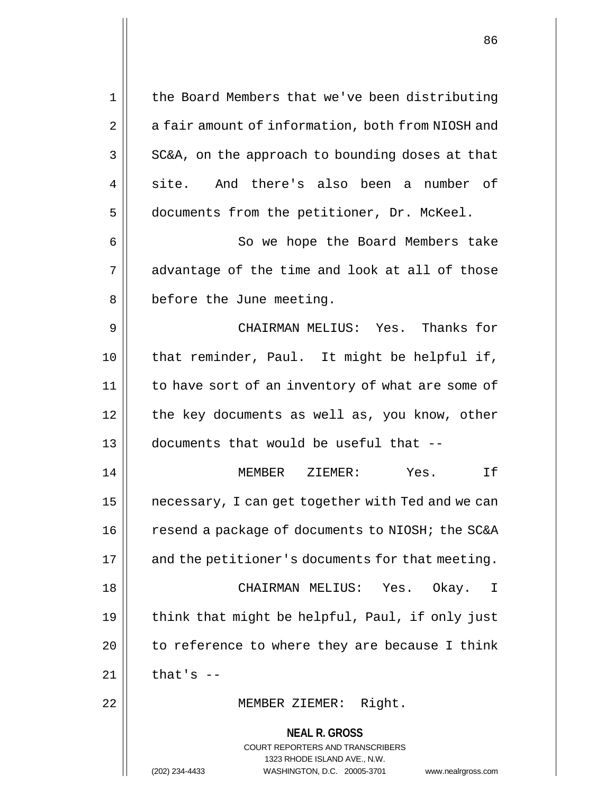**NEAL R. GROSS** COURT REPORTERS AND TRANSCRIBERS 1323 RHODE ISLAND AVE., N.W. (202) 234-4433 WASHINGTON, D.C. 20005-3701 www.nealrgross.com 1 | the Board Members that we've been distributing 2 | a fair amount of information, both from NIOSH and  $3 \parallel$  SC&A, on the approach to bounding doses at that 4 site. And there's also been a number of 5 documents from the petitioner, Dr. McKeel. 6 || So we hope the Board Members take  $7 \parallel$  advantage of the time and look at all of those 8 | before the June meeting. 9 CHAIRMAN MELIUS: Yes. Thanks for 10 that reminder, Paul. It might be helpful if, 11 to have sort of an inventory of what are some of 12 || the key documents as well as, you know, other 13 documents that would be useful that -- 14 MEMBER ZIEMER: Yes. If 15 | necessary, I can get together with Ted and we can 16 | resend a package of documents to NIOSH; the SC&A  $17$  | and the petitioner's documents for that meeting. 18 CHAIRMAN MELIUS: Yes. Okay. I 19  $\parallel$  think that might be helpful, Paul, if only just  $20$  || to reference to where they are because I think  $21$  | that's  $-$ 22 MEMBER ZIEMER: Right.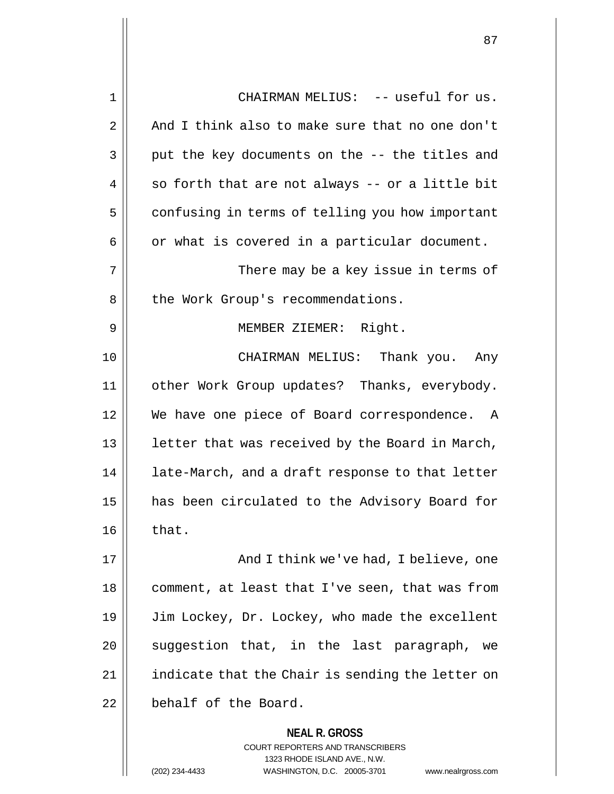| $\mathbf 1$ | CHAIRMAN MELIUS: -- useful for us.                                                                                                                              |  |  |  |
|-------------|-----------------------------------------------------------------------------------------------------------------------------------------------------------------|--|--|--|
| 2           | And I think also to make sure that no one don't                                                                                                                 |  |  |  |
| 3           | put the key documents on the -- the titles and                                                                                                                  |  |  |  |
| 4           | so forth that are not always -- or a little bit                                                                                                                 |  |  |  |
| 5           | confusing in terms of telling you how important                                                                                                                 |  |  |  |
| 6           | or what is covered in a particular document.                                                                                                                    |  |  |  |
| 7           | There may be a key issue in terms of                                                                                                                            |  |  |  |
| 8           | the Work Group's recommendations.                                                                                                                               |  |  |  |
| 9           | MEMBER ZIEMER: Right.                                                                                                                                           |  |  |  |
| 10          | CHAIRMAN MELIUS: Thank you. Any                                                                                                                                 |  |  |  |
| 11          | other Work Group updates? Thanks, everybody.                                                                                                                    |  |  |  |
| 12          | We have one piece of Board correspondence. A                                                                                                                    |  |  |  |
| 13          | letter that was received by the Board in March,                                                                                                                 |  |  |  |
| 14          | late-March, and a draft response to that letter                                                                                                                 |  |  |  |
| 15          | has been circulated to the Advisory Board for                                                                                                                   |  |  |  |
| 16          | that.                                                                                                                                                           |  |  |  |
| 17          | And I think we've had, I believe, one                                                                                                                           |  |  |  |
| 18          | comment, at least that I've seen, that was from                                                                                                                 |  |  |  |
| 19          | Jim Lockey, Dr. Lockey, who made the excellent                                                                                                                  |  |  |  |
| 20          | suggestion that, in the last paragraph,<br>we                                                                                                                   |  |  |  |
| 21          | indicate that the Chair is sending the letter on                                                                                                                |  |  |  |
| 22          | behalf of the Board.                                                                                                                                            |  |  |  |
|             | <b>NEAL R. GROSS</b><br>COURT REPORTERS AND TRANSCRIBERS<br>1323 RHODE ISLAND AVE., N.W.<br>(202) 234-4433<br>WASHINGTON, D.C. 20005-3701<br>www.nealrgross.com |  |  |  |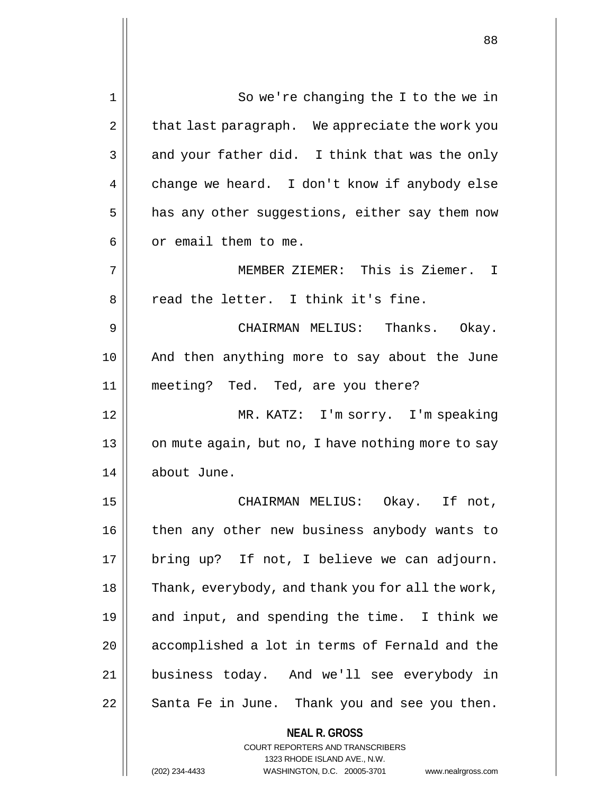| 1  | So we're changing the I to the we in                                                                                                                                   |  |  |  |
|----|------------------------------------------------------------------------------------------------------------------------------------------------------------------------|--|--|--|
| 2  | that last paragraph. We appreciate the work you                                                                                                                        |  |  |  |
| 3  | and your father did. I think that was the only                                                                                                                         |  |  |  |
| 4  | change we heard. I don't know if anybody else                                                                                                                          |  |  |  |
| 5  | has any other suggestions, either say them now                                                                                                                         |  |  |  |
| 6  | or email them to me.                                                                                                                                                   |  |  |  |
| 7  | MEMBER ZIEMER: This is Ziemer. I                                                                                                                                       |  |  |  |
| 8  | read the letter. I think it's fine.                                                                                                                                    |  |  |  |
| 9  | CHAIRMAN MELIUS: Thanks. Okay.                                                                                                                                         |  |  |  |
| 10 | And then anything more to say about the June                                                                                                                           |  |  |  |
| 11 | meeting? Ted. Ted, are you there?                                                                                                                                      |  |  |  |
| 12 | MR. KATZ: I'm sorry. I'm speaking                                                                                                                                      |  |  |  |
| 13 | on mute again, but no, I have nothing more to say                                                                                                                      |  |  |  |
| 14 | about June.                                                                                                                                                            |  |  |  |
| 15 | CHAIRMAN MELIUS: Okay. If not,                                                                                                                                         |  |  |  |
| 16 | then any other new business anybody wants to                                                                                                                           |  |  |  |
| 17 | bring up? If not, I believe we can adjourn.                                                                                                                            |  |  |  |
| 18 | Thank, everybody, and thank you for all the work,                                                                                                                      |  |  |  |
| 19 | and input, and spending the time. I think we                                                                                                                           |  |  |  |
| 20 | accomplished a lot in terms of Fernald and the                                                                                                                         |  |  |  |
| 21 | business today. And we'll see everybody in                                                                                                                             |  |  |  |
| 22 | Santa Fe in June. Thank you and see you then.                                                                                                                          |  |  |  |
|    | <b>NEAL R. GROSS</b><br><b>COURT REPORTERS AND TRANSCRIBERS</b><br>1323 RHODE ISLAND AVE., N.W.<br>WASHINGTON, D.C. 20005-3701<br>(202) 234-4433<br>www.nealrgross.com |  |  |  |